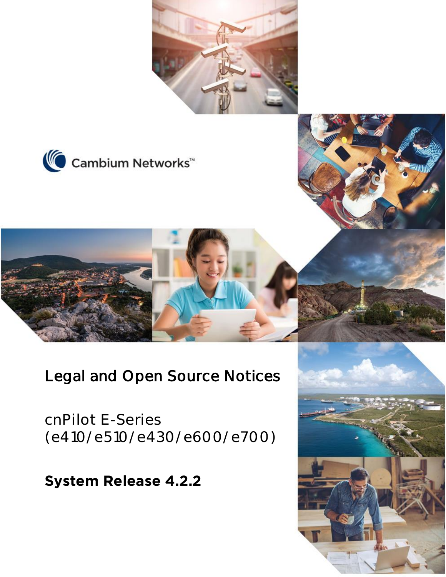





**cnPilot E-Series (e410/e510/e430/e600/e700)**

**System Release 4.2.2**

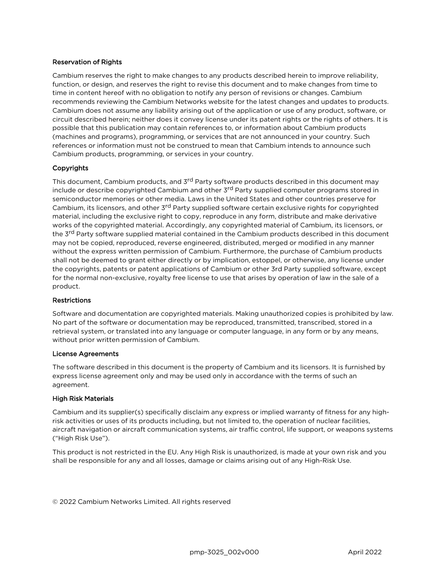#### Reservation of Rights

Cambium reserves the right to make changes to any products described herein to improve reliability, function, or design, and reserves the right to revise this document and to make changes from time to time in content hereof with no obligation to notify any person of revisions or changes. Cambium recommends reviewing the Cambium Networks website for the latest changes and updates to products. Cambium does not assume any liability arising out of the application or use of any product, software, or circuit described herein; neither does it convey license under its patent rights or the rights of others. It is possible that this publication may contain references to, or information about Cambium products (machines and programs), programming, or services that are not announced in your country. Such references or information must not be construed to mean that Cambium intends to announce such Cambium products, programming, or services in your country.

#### Copyrights

This document, Cambium products, and 3<sup>rd</sup> Party software products described in this document may include or describe copyrighted Cambium and other 3<sup>rd</sup> Party supplied computer programs stored in semiconductor memories or other media. Laws in the United States and other countries preserve for Cambium, its licensors, and other 3<sup>rd</sup> Party supplied software certain exclusive rights for copyrighted material, including the exclusive right to copy, reproduce in any form, distribute and make derivative works of the copyrighted material. Accordingly, any copyrighted material of Cambium, its licensors, or the 3<sup>rd</sup> Party software supplied material contained in the Cambium products described in this document may not be copied, reproduced, reverse engineered, distributed, merged or modified in any manner without the express written permission of Cambium. Furthermore, the purchase of Cambium products shall not be deemed to grant either directly or by implication, estoppel, or otherwise, any license under the copyrights, patents or patent applications of Cambium or other 3rd Party supplied software, except for the normal non-exclusive, royalty free license to use that arises by operation of law in the sale of a product.

#### **Restrictions**

Software and documentation are copyrighted materials. Making unauthorized copies is prohibited by law. No part of the software or documentation may be reproduced, transmitted, transcribed, stored in a retrieval system, or translated into any language or computer language, in any form or by any means, without prior written permission of Cambium.

#### License Agreements

The software described in this document is the property of Cambium and its licensors. It is furnished by express license agreement only and may be used only in accordance with the terms of such an agreement.

#### High Risk Materials

Cambium and its supplier(s) specifically disclaim any express or implied warranty of fitness for any highrisk activities or uses of its products including, but not limited to, the operation of nuclear facilities, aircraft navigation or aircraft communication systems, air traffic control, life support, or weapons systems ("High Risk Use").

This product is not restricted in the EU. Any High Risk is unauthorized, is made at your own risk and you shall be responsible for any and all losses, damage or claims arising out of any High-Risk Use.

© 2022 Cambium Networks Limited. All rights reserved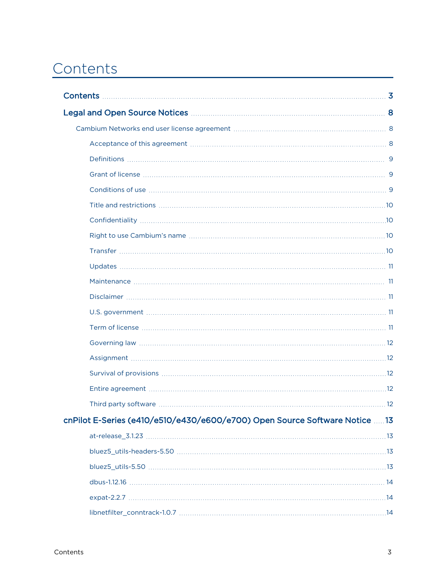# <span id="page-2-0"></span>Contents

| Legal and Open Source Notices <b>Manual Accord and Service Accord Accord Accord Accord Accord Accord Accord Accord</b> |  |
|------------------------------------------------------------------------------------------------------------------------|--|
|                                                                                                                        |  |
|                                                                                                                        |  |
|                                                                                                                        |  |
|                                                                                                                        |  |
|                                                                                                                        |  |
|                                                                                                                        |  |
|                                                                                                                        |  |
|                                                                                                                        |  |
|                                                                                                                        |  |
|                                                                                                                        |  |
|                                                                                                                        |  |
|                                                                                                                        |  |
|                                                                                                                        |  |
|                                                                                                                        |  |
|                                                                                                                        |  |
|                                                                                                                        |  |
|                                                                                                                        |  |
|                                                                                                                        |  |
|                                                                                                                        |  |
| cnPilot E-Series (e410/e510/e430/e600/e700) Open Source Software Notice 13                                             |  |
|                                                                                                                        |  |
|                                                                                                                        |  |
|                                                                                                                        |  |
|                                                                                                                        |  |
|                                                                                                                        |  |
|                                                                                                                        |  |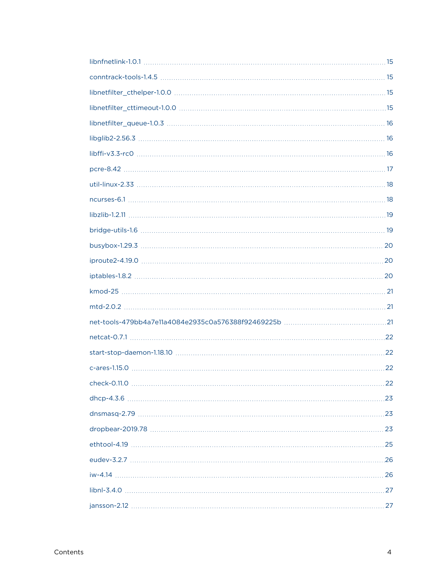| $check-0.11.0$<br>22 |
|----------------------|
|                      |
|                      |
|                      |
|                      |
|                      |
|                      |
|                      |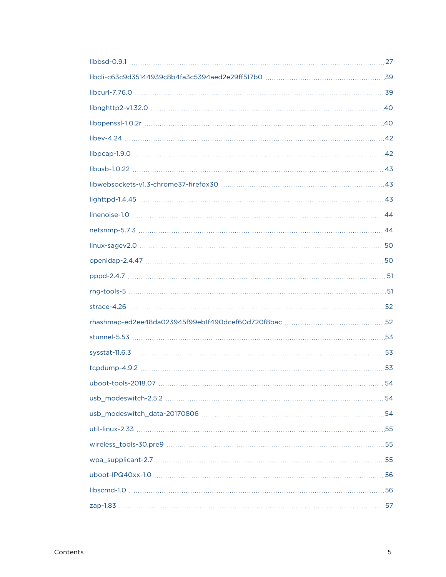| uboot-tools-2018.07 | . 54 |
|---------------------|------|
|                     |      |
|                     |      |
|                     |      |
|                     |      |
|                     |      |
|                     |      |
|                     |      |
|                     |      |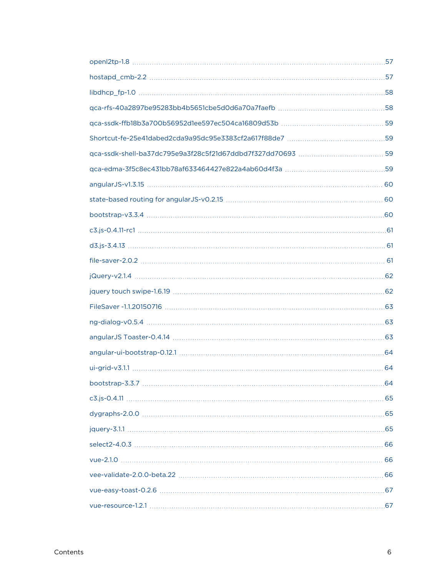| bootstrap-3.3.7<br>64 |
|-----------------------|
|                       |
|                       |
|                       |
|                       |
|                       |
|                       |
|                       |
|                       |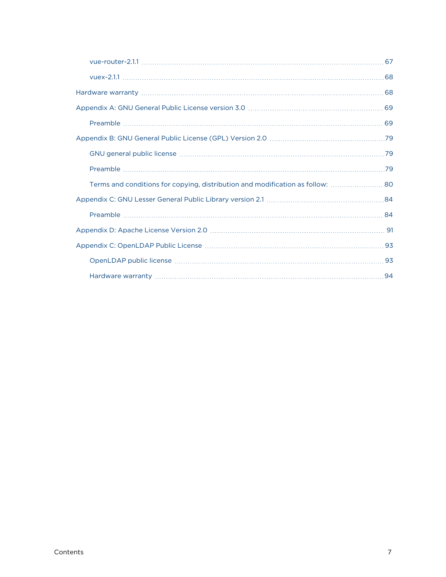| Terms and conditions for copying, distribution and modification as follow: |  |
|----------------------------------------------------------------------------|--|
|                                                                            |  |
|                                                                            |  |
|                                                                            |  |
|                                                                            |  |
|                                                                            |  |
|                                                                            |  |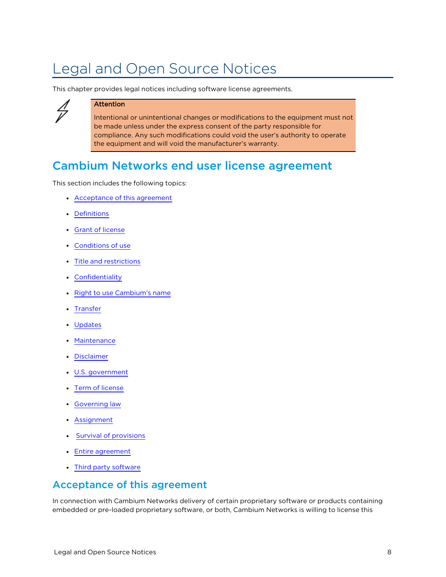# <span id="page-7-0"></span>Legal and Open Source Notices

This chapter provides legal notices including software license agreements.



#### Attention

Intentional or unintentional changes or modifications to the equipment must not be made unless under the express consent of the party responsible for compliance. Any such modifications could void the user's authority to operate the equipment and will void the manufacturer's warranty.

# <span id="page-7-1"></span>Cambium Networks end user license agreement

This section includes the following topics:

- [Acceptance](#page-7-2) of this agreement
- [Definitions](#page-8-0)
- **Grant of [license](#page-8-1)**
- [Conditions](#page-8-2) of use
- Title and [restrictions](#page-9-0)
- [Confidentiality](#page-9-1)
- Right to use [Cambium's](#page-9-2) name
- [Transfer](#page-9-3)
- [Updates](#page-10-0)
- [Maintenance](#page-10-1)
- [Disclaimer](#page-10-2)
- U.S. [government](#page-10-3)
- Term of [license](#page-10-4)
- **[Governing](#page-11-0) law**
- [Assignment](#page-11-1)
- **Survival of [provisions](#page-11-2)**
- Entire [agreement](#page-11-3)
- <span id="page-7-2"></span>• Third party [software](#page-11-4)

#### Acceptance of this agreement

In connection with Cambium Networks delivery of certain proprietary software or products containing embedded or pre-loaded proprietary software, or both, Cambium Networks is willing to license this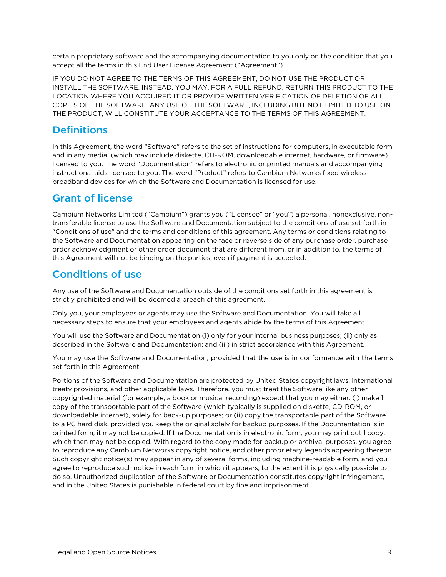certain proprietary software and the accompanying documentation to you only on the condition that you accept all the terms in this End User License Agreement ("Agreement").

IF YOU DO NOT AGREE TO THE TERMS OF THIS AGREEMENT, DO NOT USE THE PRODUCT OR INSTALL THE SOFTWARE. INSTEAD, YOU MAY, FOR A FULL REFUND, RETURN THIS PRODUCT TO THE LOCATION WHERE YOU ACQUIRED IT OR PROVIDE WRITTEN VERIFICATION OF DELETION OF ALL COPIES OF THE SOFTWARE. ANY USE OF THE SOFTWARE, INCLUDING BUT NOT LIMITED TO USE ON THE PRODUCT, WILL CONSTITUTE YOUR ACCEPTANCE TO THE TERMS OF THIS AGREEMENT.

## <span id="page-8-0"></span>**Definitions**

In this Agreement, the word "Software" refers to the set of instructions for computers, in executable form and in any media, (which may include diskette, CD-ROM, downloadable internet, hardware, or firmware) licensed to you. The word "Documentation" refers to electronic or printed manuals and accompanying instructional aids licensed to you. The word "Product" refers to Cambium Networks fixed wireless broadband devices for which the Software and Documentation is licensed for use.

## <span id="page-8-1"></span>Grant of license

Cambium Networks Limited ("Cambium") grants you ("Licensee" or "you") a personal, nonexclusive, nontransferable license to use the Software and Documentation subject to the conditions of use set forth in "Conditions of use" and the terms and conditions of this agreement. Any terms or conditions relating to the Software and Documentation appearing on the face or reverse side of any purchase order, purchase order acknowledgment or other order document that are different from, or in addition to, the terms of this Agreement will not be binding on the parties, even if payment is accepted.

## <span id="page-8-2"></span>Conditions of use

Any use of the Software and Documentation outside of the conditions set forth in this agreement is strictly prohibited and will be deemed a breach of this agreement.

Only you, your employees or agents may use the Software and Documentation. You will take all necessary steps to ensure that your employees and agents abide by the terms of this Agreement.

You will use the Software and Documentation (i) only for your internal business purposes; (ii) only as described in the Software and Documentation; and (iii) in strict accordance with this Agreement.

You may use the Software and Documentation, provided that the use is in conformance with the terms set forth in this Agreement.

Portions of the Software and Documentation are protected by United States copyright laws, international treaty provisions, and other applicable laws. Therefore, you must treat the Software like any other copyrighted material (for example, a book or musical recording) except that you may either: (i) make 1 copy of the transportable part of the Software (which typically is supplied on diskette, CD-ROM, or downloadable internet), solely for back-up purposes; or (ii) copy the transportable part of the Software to a PC hard disk, provided you keep the original solely for backup purposes. If the Documentation is in printed form, it may not be copied. If the Documentation is in electronic form, you may print out 1 copy, which then may not be copied. With regard to the copy made for backup or archival purposes, you agree to reproduce any Cambium Networks copyright notice, and other proprietary legends appearing thereon. Such copyright notice(s) may appear in any of several forms, including machine-readable form, and you agree to reproduce such notice in each form in which it appears, to the extent it is physically possible to do so. Unauthorized duplication of the Software or Documentation constitutes copyright infringement, and in the United States is punishable in federal court by fine and imprisonment.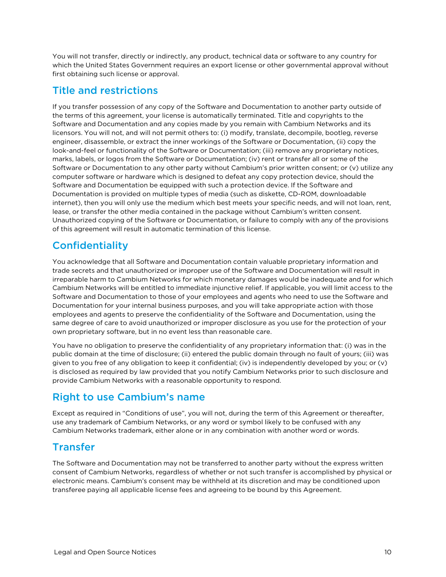You will not transfer, directly or indirectly, any product, technical data or software to any country for which the United States Government requires an export license or other governmental approval without first obtaining such license or approval.

## <span id="page-9-0"></span>Title and restrictions

If you transfer possession of any copy of the Software and Documentation to another party outside of the terms of this agreement, your license is automatically terminated. Title and copyrights to the Software and Documentation and any copies made by you remain with Cambium Networks and its licensors. You will not, and will not permit others to: (i) modify, translate, decompile, bootleg, reverse engineer, disassemble, or extract the inner workings of the Software or Documentation, (ii) copy the look-and-feel or functionality of the Software or Documentation; (iii) remove any proprietary notices, marks, labels, or logos from the Software or Documentation; (iv) rent or transfer all or some of the Software or Documentation to any other party without Cambium's prior written consent; or (v) utilize any computer software or hardware which is designed to defeat any copy protection device, should the Software and Documentation be equipped with such a protection device. If the Software and Documentation is provided on multiple types of media (such as diskette, CD-ROM, downloadable internet), then you will only use the medium which best meets your specific needs, and will not loan, rent, lease, or transfer the other media contained in the package without Cambium's written consent. Unauthorized copying of the Software or Documentation, or failure to comply with any of the provisions of this agreement will result in automatic termination of this license.

# <span id="page-9-1"></span>**Confidentiality**

You acknowledge that all Software and Documentation contain valuable proprietary information and trade secrets and that unauthorized or improper use of the Software and Documentation will result in irreparable harm to Cambium Networks for which monetary damages would be inadequate and for which Cambium Networks will be entitled to immediate injunctive relief. If applicable, you will limit access to the Software and Documentation to those of your employees and agents who need to use the Software and Documentation for your internal business purposes, and you will take appropriate action with those employees and agents to preserve the confidentiality of the Software and Documentation, using the same degree of care to avoid unauthorized or improper disclosure as you use for the protection of your own proprietary software, but in no event less than reasonable care.

You have no obligation to preserve the confidentiality of any proprietary information that: (i) was in the public domain at the time of disclosure; (ii) entered the public domain through no fault of yours; (iii) was given to you free of any obligation to keep it confidential; (iv) is independently developed by you; or (v) is disclosed as required by law provided that you notify Cambium Networks prior to such disclosure and provide Cambium Networks with a reasonable opportunity to respond.

# <span id="page-9-2"></span>Right to use Cambium's name

Except as required in "Conditions of use", you will not, during the term of this Agreement or thereafter, use any trademark of Cambium Networks, or any word or symbol likely to be confused with any Cambium Networks trademark, either alone or in any combination with another word or words.

# <span id="page-9-3"></span>Transfer

The Software and Documentation may not be transferred to another party without the express written consent of Cambium Networks, regardless of whether or not such transfer is accomplished by physical or electronic means. Cambium's consent may be withheld at its discretion and may be conditioned upon transferee paying all applicable license fees and agreeing to be bound by this Agreement.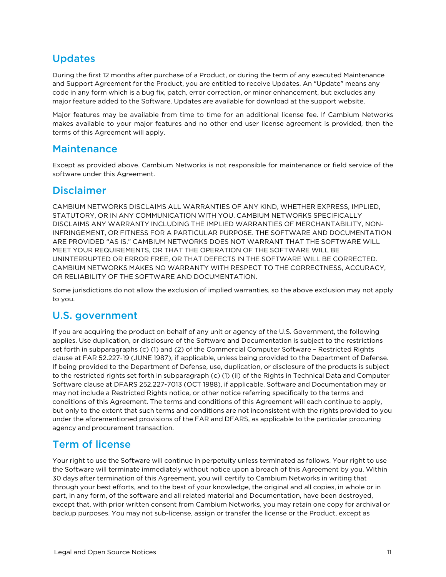## <span id="page-10-0"></span>Updates

During the first 12 months after purchase of a Product, or during the term of any executed Maintenance and Support Agreement for the Product, you are entitled to receive Updates. An "Update" means any code in any form which is a bug fix, patch, error correction, or minor enhancement, but excludes any major feature added to the Software. Updates are available for download at the support website.

Major features may be available from time to time for an additional license fee. If Cambium Networks makes available to your major features and no other end user license agreement is provided, then the terms of this Agreement will apply.

#### <span id="page-10-1"></span>Maintenance

<span id="page-10-2"></span>Except as provided above, Cambium Networks is not responsible for maintenance or field service of the software under this Agreement.

#### **Disclaimer**

CAMBIUM NETWORKS DISCLAIMS ALL WARRANTIES OF ANY KIND, WHETHER EXPRESS, IMPLIED, STATUTORY, OR IN ANY COMMUNICATION WITH YOU. CAMBIUM NETWORKS SPECIFICALLY DISCLAIMS ANY WARRANTY INCLUDING THE IMPLIED WARRANTIES OF MERCHANTABILITY, NON-INFRINGEMENT, OR FITNESS FOR A PARTICULAR PURPOSE. THE SOFTWARE AND DOCUMENTATION ARE PROVIDED "AS IS." CAMBIUM NETWORKS DOES NOT WARRANT THAT THE SOFTWARE WILL MEET YOUR REQUIREMENTS, OR THAT THE OPERATION OF THE SOFTWARE WILL BE UNINTERRUPTED OR ERROR FREE, OR THAT DEFECTS IN THE SOFTWARE WILL BE CORRECTED. CAMBIUM NETWORKS MAKES NO WARRANTY WITH RESPECT TO THE CORRECTNESS, ACCURACY, OR RELIABILITY OF THE SOFTWARE AND DOCUMENTATION.

<span id="page-10-3"></span>Some jurisdictions do not allow the exclusion of implied warranties, so the above exclusion may not apply to you.

## U.S. government

If you are acquiring the product on behalf of any unit or agency of the U.S. Government, the following applies. Use duplication, or disclosure of the Software and Documentation is subject to the restrictions set forth in subparagraphs (c) (1) and (2) of the Commercial Computer Software – Restricted Rights clause at FAR 52.227-19 (JUNE 1987), if applicable, unless being provided to the Department of Defense. If being provided to the Department of Defense, use, duplication, or disclosure of the products is subject to the restricted rights set forth in subparagraph (c) (1) (ii) of the Rights in Technical Data and Computer Software clause at DFARS 252.227-7013 (OCT 1988), if applicable. Software and Documentation may or may not include a Restricted Rights notice, or other notice referring specifically to the terms and conditions of this Agreement. The terms and conditions of this Agreement will each continue to apply, but only to the extent that such terms and conditions are not inconsistent with the rights provided to you under the aforementioned provisions of the FAR and DFARS, as applicable to the particular procuring agency and procurement transaction.

## <span id="page-10-4"></span>Term of license

Your right to use the Software will continue in perpetuity unless terminated as follows. Your right to use the Software will terminate immediately without notice upon a breach of this Agreement by you. Within 30 days after termination of this Agreement, you will certify to Cambium Networks in writing that through your best efforts, and to the best of your knowledge, the original and all copies, in whole or in part, in any form, of the software and all related material and Documentation, have been destroyed, except that, with prior written consent from Cambium Networks, you may retain one copy for archival or backup purposes. You may not sub-license, assign or transfer the license or the Product, except as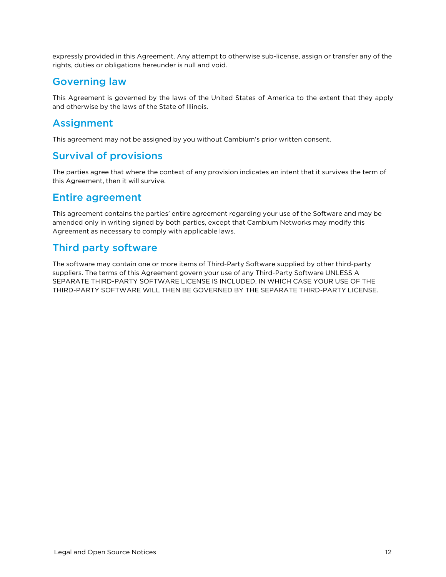<span id="page-11-0"></span>expressly provided in this Agreement. Any attempt to otherwise sub-license, assign or transfer any of the rights, duties or obligations hereunder is null and void.

#### Governing law

<span id="page-11-1"></span>This Agreement is governed by the laws of the United States of America to the extent that they apply and otherwise by the laws of the State of Illinois.

## Assignment

<span id="page-11-2"></span>This agreement may not be assigned by you without Cambium's prior written consent.

## Survival of provisions

<span id="page-11-3"></span>The parties agree that where the context of any provision indicates an intent that it survives the term of this Agreement, then it will survive.

#### Entire agreement

This agreement contains the parties' entire agreement regarding your use of the Software and may be amended only in writing signed by both parties, except that Cambium Networks may modify this Agreement as necessary to comply with applicable laws.

## <span id="page-11-4"></span>Third party software

The software may contain one or more items of Third-Party Software supplied by other third-party suppliers. The terms of this Agreement govern your use of any Third-Party Software UNLESS A SEPARATE THIRD-PARTY SOFTWARE LICENSE IS INCLUDED, IN WHICH CASE YOUR USE OF THE THIRD-PARTY SOFTWARE WILL THEN BE GOVERNED BY THE SEPARATE THIRD-PARTY LICENSE.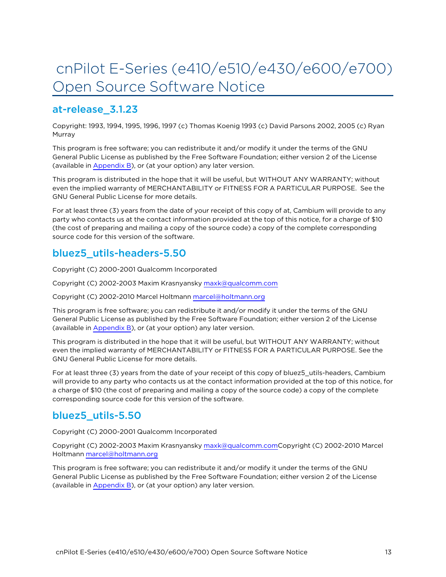# <span id="page-12-0"></span>cnPilot E-Series (e410/e510/e430/e600/e700) Open Source Software Notice

# <span id="page-12-1"></span>at-release\_3.1.23

Copyright: 1993, 1994, 1995, 1996, 1997 (c) Thomas Koenig 1993 (c) David Parsons 2002, 2005 (c) Ryan Murray

This program is free software; you can redistribute it and/or modify it under the terms of the GNU General Public License as published by the Free Software Foundation; either version 2 of the License (available in [Appendix](Appendix B Legal.htm) B), or (at your option) any later version.

This program is distributed in the hope that it will be useful, but WITHOUT ANY WARRANTY; without even the implied warranty of MERCHANTABILITY or FITNESS FOR A PARTICULAR PURPOSE. See the GNU General Public License for more details.

For at least three (3) years from the date of your receipt of this copy of at, Cambium will provide to any party who contacts us at the contact information provided at the top of this notice, for a charge of \$10 (the cost of preparing and mailing a copy of the source code) a copy of the complete corresponding source code for this version of the software.

## <span id="page-12-2"></span>bluez5\_utils-headers-5.50

Copyright (C) 2000-2001 Qualcomm Incorporated

Copyright (C) 2002-2003 Maxim Krasnyansky [maxk@qualcomm.com](mailto:maxk@qualcomm.com)

Copyright (C) 2002-2010 Marcel Holtmann [marcel@holtmann.org](mailto:marcel@holtmann.org)

This program is free software; you can redistribute it and/or modify it under the terms of the GNU General Public License as published by the Free Software Foundation; either version 2 of the License (available in [Appendix](Appendix B Legal.htm) B), or (at your option) any later version.

This program is distributed in the hope that it will be useful, but WITHOUT ANY WARRANTY; without even the implied warranty of MERCHANTABILITY or FITNESS FOR A PARTICULAR PURPOSE. See the GNU General Public License for more details.

For at least three (3) years from the date of your receipt of this copy of bluez5\_utils-headers, Cambium will provide to any party who contacts us at the contact information provided at the top of this notice, for a charge of \$10 (the cost of preparing and mailing a copy of the source code) a copy of the complete corresponding source code for this version of the software.

## <span id="page-12-3"></span>bluez5\_utils-5.50

Copyright (C) 2000-2001 Qualcomm Incorporated

Copyright (C) 2002-2003 Maxim Krasnyansky [maxk@qualcomm.comC](mailto:maxk@qualcomm.com)opyright (C) 2002-2010 Marcel Holtmann [marcel@holtmann.org](mailto:marcel@holtmann.org)

This program is free software; you can redistribute it and/or modify it under the terms of the GNU General Public License as published by the Free Software Foundation; either version 2 of the License (available in [Appendix](Appendix B Legal.htm) B), or (at your option) any later version.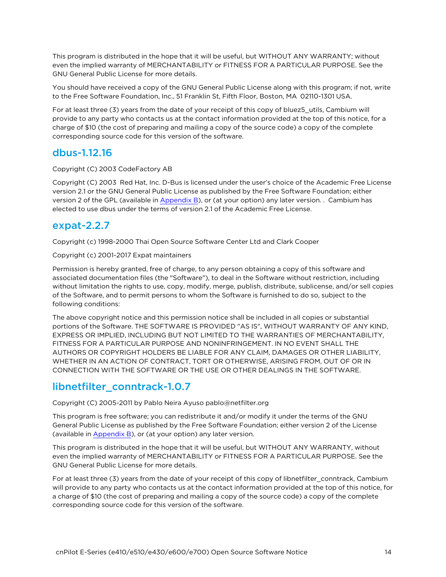This program is distributed in the hope that it will be useful, but WITHOUT ANY WARRANTY; without even the implied warranty of MERCHANTABILITY or FITNESS FOR A PARTICULAR PURPOSE. See the GNU General Public License for more details.

You should have received a copy of the GNU General Public License along with this program; if not, write to the Free Software Foundation, Inc., 51 Franklin St, Fifth Floor, Boston, MA 02110-1301 USA.

For at least three (3) years from the date of your receipt of this copy of bluez5\_utils, Cambium will provide to any party who contacts us at the contact information provided at the top of this notice, for a charge of \$10 (the cost of preparing and mailing a copy of the source code) a copy of the complete corresponding source code for this version of the software.

#### <span id="page-13-0"></span>dbus-1.12.16

Copyright (C) 2003 CodeFactory AB

Copyright (C) 2003 Red Hat, Inc. D-Bus is licensed under the user's choice of the Academic Free License version 2.1 or the GNU General Public License as published by the Free Software Foundation; either version 2 of the GPL (available in [Appendix](Appendix B Legal.htm) B), or (at your option) any later version. . Cambium has elected to use dbus under the terms of version 2.1 of the Academic Free License.

## <span id="page-13-1"></span>expat-2.2.7

Copyright (c) 1998-2000 Thai Open Source Software Center Ltd and Clark Cooper

Copyright (c) 2001-2017 Expat maintainers

Permission is hereby granted, free of charge, to any person obtaining a copy of this software and associated documentation files (the "Software"), to deal in the Software without restriction, including without limitation the rights to use, copy, modify, merge, publish, distribute, sublicense, and/or sell copies of the Software, and to permit persons to whom the Software is furnished to do so, subject to the following conditions:

The above copyright notice and this permission notice shall be included in all copies or substantial portions of the Software. THE SOFTWARE IS PROVIDED "AS IS", WITHOUT WARRANTY OF ANY KIND, EXPRESS OR IMPLIED, INCLUDING BUT NOT LIMITED TO THE WARRANTIES OF MERCHANTABILITY, FITNESS FOR A PARTICULAR PURPOSE AND NONINFRINGEMENT. IN NO EVENT SHALL THE AUTHORS OR COPYRIGHT HOLDERS BE LIABLE FOR ANY CLAIM, DAMAGES OR OTHER LIABILITY, WHETHER IN AN ACTION OF CONTRACT, TORT OR OTHERWISE, ARISING FROM, OUT OF OR IN CONNECTION WITH THE SOFTWARE OR THE USE OR OTHER DEALINGS IN THE SOFTWARE.

## <span id="page-13-2"></span>libnetfilter\_conntrack-1.0.7

Copyright (C) 2005-2011 by Pablo Neira Ayuso pablo@netfilter.org

This program is free software; you can redistribute it and/or modify it under the terms of the GNU General Public License as published by the Free Software Foundation; either version 2 of the License (available in [Appendix](Appendix B Legal.htm) B), or (at your option) any later version.

This program is distributed in the hope that it will be useful, but WITHOUT ANY WARRANTY, without even the implied warranty of MERCHANTABILITY or FITNESS FOR A PARTICULAR PURPOSE. See the GNU General Public License for more details.

For at least three (3) years from the date of your receipt of this copy of libnetfilter\_conntrack, Cambium will provide to any party who contacts us at the contact information provided at the top of this notice, for a charge of \$10 (the cost of preparing and mailing a copy of the source code) a copy of the complete corresponding source code for this version of the software.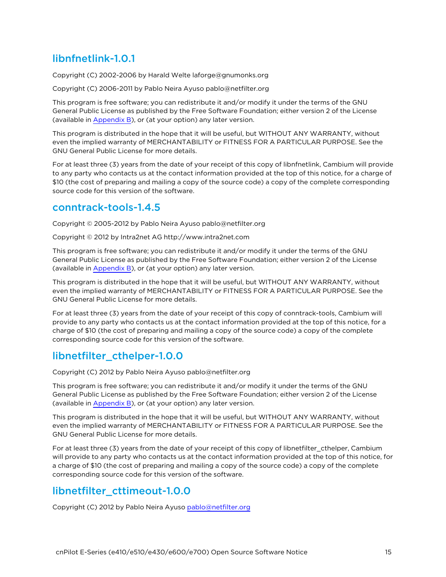# <span id="page-14-0"></span>libnfnetlink-1.0.1

Copyright (C) 2002-2006 by Harald Welte laforge@gnumonks.org

Copyright (C) 2006-2011 by Pablo Neira Ayuso pablo@netfilter.org

This program is free software; you can redistribute it and/or modify it under the terms of the GNU General Public License as published by the Free Software Foundation; either version 2 of the License (available in [Appendix](Appendix B Legal.htm) B), or (at your option) any later version.

This program is distributed in the hope that it will be useful, but WITHOUT ANY WARRANTY, without even the implied warranty of MERCHANTABILITY or FITNESS FOR A PARTICULAR PURPOSE. See the GNU General Public License for more details.

For at least three (3) years from the date of your receipt of this copy of libnfnetlink, Cambium will provide to any party who contacts us at the contact information provided at the top of this notice, for a charge of \$10 (the cost of preparing and mailing a copy of the source code) a copy of the complete corresponding source code for this version of the software.

## <span id="page-14-1"></span>conntrack-tools-1.4.5

Copyright © 2005-2012 by Pablo Neira Ayuso pablo@netfilter.org

Copyright © 2012 by Intra2net AG http://www.intra2net.com

This program is free software; you can redistribute it and/or modify it under the terms of the GNU General Public License as published by the Free Software Foundation; either version 2 of the License (available in [Appendix](Appendix B Legal.htm) B), or (at your option) any later version.

This program is distributed in the hope that it will be useful, but WITHOUT ANY WARRANTY, without even the implied warranty of MERCHANTABILITY or FITNESS FOR A PARTICULAR PURPOSE. See the GNU General Public License for more details.

For at least three (3) years from the date of your receipt of this copy of conntrack-tools, Cambium will provide to any party who contacts us at the contact information provided at the top of this notice, for a charge of \$10 (the cost of preparing and mailing a copy of the source code) a copy of the complete corresponding source code for this version of the software.

## <span id="page-14-2"></span>libnetfilter\_cthelper-1.0.0

Copyright (C) 2012 by Pablo Neira Ayuso pablo@netfilter.org

This program is free software; you can redistribute it and/or modify it under the terms of the GNU General Public License as published by the Free Software Foundation; either version 2 of the License (available in [Appendix](Appendix B Legal.htm) B), or (at your option) any later version.

This program is distributed in the hope that it will be useful, but WITHOUT ANY WARRANTY, without even the implied warranty of MERCHANTABILITY or FITNESS FOR A PARTICULAR PURPOSE. See the GNU General Public License for more details.

For at least three (3) years from the date of your receipt of this copy of libnetfilter\_cthelper, Cambium will provide to any party who contacts us at the contact information provided at the top of this notice, for a charge of \$10 (the cost of preparing and mailing a copy of the source code) a copy of the complete corresponding source code for this version of the software.

## <span id="page-14-3"></span>libnetfilter\_cttimeout-1.0.0

Copyright (C) 2012 by Pablo Neira Ayuso [pablo@netfilter.org](mailto:pablo@netfilter.org)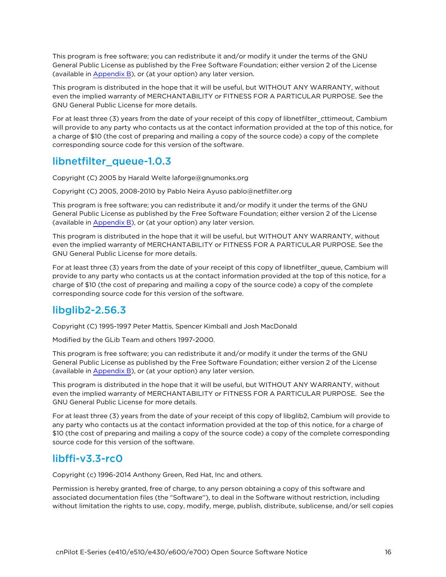This program is free software; you can redistribute it and/or modify it under the terms of the GNU General Public License as published by the Free Software Foundation; either version 2 of the License (available in [Appendix](Appendix B Legal.htm) B), or (at your option) any later version.

This program is distributed in the hope that it will be useful, but WITHOUT ANY WARRANTY, without even the implied warranty of MERCHANTABILITY or FITNESS FOR A PARTICULAR PURPOSE. See the GNU General Public License for more details.

For at least three (3) years from the date of your receipt of this copy of libnetfilter\_cttimeout, Cambium will provide to any party who contacts us at the contact information provided at the top of this notice, for a charge of \$10 (the cost of preparing and mailing a copy of the source code) a copy of the complete corresponding source code for this version of the software.

## <span id="page-15-0"></span>libnetfilter queue-1.0.3

Copyright (C) 2005 by Harald Welte laforge@gnumonks.org

Copyright (C) 2005, 2008-2010 by Pablo Neira Ayuso pablo@netfilter.org

This program is free software; you can redistribute it and/or modify it under the terms of the GNU General Public License as published by the Free Software Foundation; either version 2 of the License (available in [Appendix](Appendix B Legal.htm) B), or (at your option) any later version.

This program is distributed in the hope that it will be useful, but WITHOUT ANY WARRANTY, without even the implied warranty of MERCHANTABILITY or FITNESS FOR A PARTICULAR PURPOSE. See the GNU General Public License for more details.

For at least three (3) years from the date of your receipt of this copy of libnetfilter\_queue, Cambium will provide to any party who contacts us at the contact information provided at the top of this notice, for a charge of \$10 (the cost of preparing and mailing a copy of the source code) a copy of the complete corresponding source code for this version of the software.

## <span id="page-15-1"></span>libglib2-2.56.3

Copyright (C) 1995-1997 Peter Mattis, Spencer Kimball and Josh MacDonald

Modified by the GLib Team and others 1997-2000.

This program is free software; you can redistribute it and/or modify it under the terms of the GNU General Public License as published by the Free Software Foundation; either version 2 of the License (available in [Appendix](Appendix B Legal.htm) B), or (at your option) any later version.

This program is distributed in the hope that it will be useful, but WITHOUT ANY WARRANTY, without even the implied warranty of MERCHANTABILITY or FITNESS FOR A PARTICULAR PURPOSE. See the GNU General Public License for more details.

For at least three (3) years from the date of your receipt of this copy of libglib2, Cambium will provide to any party who contacts us at the contact information provided at the top of this notice, for a charge of \$10 (the cost of preparing and mailing a copy of the source code) a copy of the complete corresponding source code for this version of the software.

## <span id="page-15-2"></span>libffi-v3.3-rc0

Copyright (c) 1996-2014 Anthony Green, Red Hat, Inc and others.

Permission is hereby granted, free of charge, to any person obtaining a copy of this software and associated documentation files (the "Software''), to deal in the Software without restriction, including without limitation the rights to use, copy, modify, merge, publish, distribute, sublicense, and/or sell copies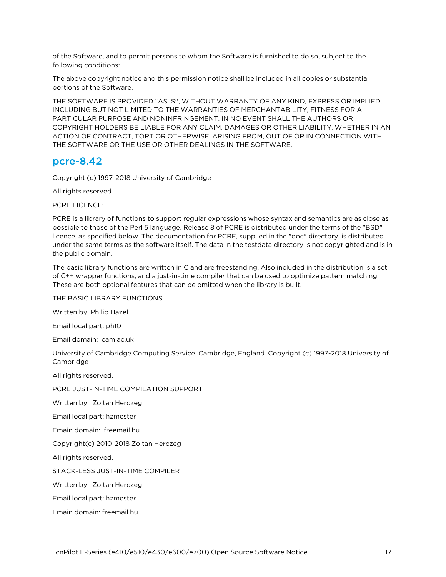of the Software, and to permit persons to whom the Software is furnished to do so, subject to the following conditions:

The above copyright notice and this permission notice shall be included in all copies or substantial portions of the Software.

THE SOFTWARE IS PROVIDED "AS IS'', WITHOUT WARRANTY OF ANY KIND, EXPRESS OR IMPLIED, INCLUDING BUT NOT LIMITED TO THE WARRANTIES OF MERCHANTABILITY, FITNESS FOR A PARTICULAR PURPOSE AND NONINFRINGEMENT. IN NO EVENT SHALL THE AUTHORS OR COPYRIGHT HOLDERS BE LIABLE FOR ANY CLAIM, DAMAGES OR OTHER LIABILITY, WHETHER IN AN ACTION OF CONTRACT, TORT OR OTHERWISE, ARISING FROM, OUT OF OR IN CONNECTION WITH THE SOFTWARE OR THE USE OR OTHER DEALINGS IN THE SOFTWARE.

#### <span id="page-16-0"></span>pcre-8.42

Copyright (c) 1997-2018 University of Cambridge

All rights reserved.

PCRE LICENCE:

PCRE is a library of functions to support regular expressions whose syntax and semantics are as close as possible to those of the Perl 5 language. Release 8 of PCRE is distributed under the terms of the "BSD" licence, as specified below. The documentation for PCRE, supplied in the "doc" directory, is distributed under the same terms as the software itself. The data in the testdata directory is not copyrighted and is in the public domain.

The basic library functions are written in C and are freestanding. Also included in the distribution is a set of C++ wrapper functions, and a just-in-time compiler that can be used to optimize pattern matching. These are both optional features that can be omitted when the library is built.

THE BASIC LIBRARY FUNCTIONS

Written by: Philip Hazel

Email local part: ph10

Email domain: cam.ac.uk

University of Cambridge Computing Service, Cambridge, England. Copyright (c) 1997-2018 University of Cambridge

All rights reserved.

PCRE JUST-IN-TIME COMPILATION SUPPORT

Written by: Zoltan Herczeg

Email local part: hzmester

Emain domain: freemail.hu

Copyright(c) 2010-2018 Zoltan Herczeg

All rights reserved.

STACK-LESS JUST-IN-TIME COMPILER

Written by: Zoltan Herczeg

Email local part: hzmester

Emain domain: freemail.hu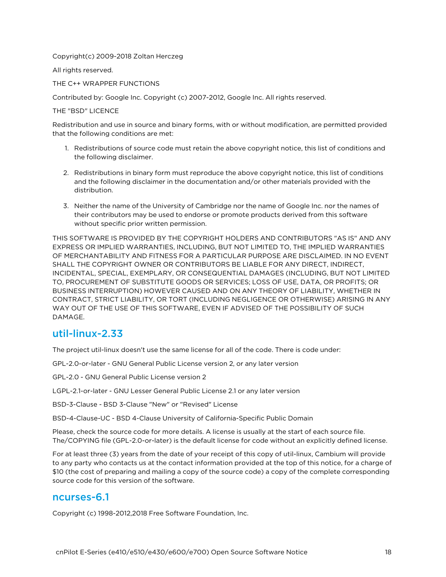#### Copyright(c) 2009-2018 Zoltan Herczeg

All rights reserved.

THE C++ WRAPPER FUNCTIONS

Contributed by: Google Inc. Copyright (c) 2007-2012, Google Inc. All rights reserved.

THE "BSD" LICENCE

Redistribution and use in source and binary forms, with or without modification, are permitted provided that the following conditions are met:

- 1. Redistributions of source code must retain the above copyright notice, this list of conditions and the following disclaimer.
- 2. Redistributions in binary form must reproduce the above copyright notice, this list of conditions and the following disclaimer in the documentation and/or other materials provided with the distribution.
- 3. Neither the name of the University of Cambridge nor the name of Google Inc. nor the names of their contributors may be used to endorse or promote products derived from this software without specific prior written permission.

THIS SOFTWARE IS PROVIDED BY THE COPYRIGHT HOLDERS AND CONTRIBUTORS "AS IS" AND ANY EXPRESS OR IMPLIED WARRANTIES, INCLUDING, BUT NOT LIMITED TO, THE IMPLIED WARRANTIES OF MERCHANTABILITY AND FITNESS FOR A PARTICULAR PURPOSE ARE DISCLAIMED. IN NO EVENT SHALL THE COPYRIGHT OWNER OR CONTRIBUTORS BE LIABLE FOR ANY DIRECT, INDIRECT, INCIDENTAL, SPECIAL, EXEMPLARY, OR CONSEQUENTIAL DAMAGES (INCLUDING, BUT NOT LIMITED TO, PROCUREMENT OF SUBSTITUTE GOODS OR SERVICES; LOSS OF USE, DATA, OR PROFITS; OR BUSINESS INTERRUPTION) HOWEVER CAUSED AND ON ANY THEORY OF LIABILITY, WHETHER IN CONTRACT, STRICT LIABILITY, OR TORT (INCLUDING NEGLIGENCE OR OTHERWISE) ARISING IN ANY WAY OUT OF THE USE OF THIS SOFTWARE, EVEN IF ADVISED OF THE POSSIBILITY OF SUCH DAMAGE.

#### <span id="page-17-0"></span>util-linux-2.33

The project util-linux doesn't use the same license for all of the code. There is code under:

GPL-2.0-or-later - GNU General Public License version 2, or any later version

GPL-2.0 - GNU General Public License version 2

LGPL-2.1-or-later - GNU Lesser General Public License 2.1 or any later version

BSD-3-Clause - BSD 3-Clause "New" or "Revised" License

BSD-4-Clause-UC - BSD 4-Clause University of California-Specific Public Domain

Please, check the source code for more details. A license is usually at the start of each source file. The/COPYING file (GPL-2.0-or-later) is the default license for code without an explicitly defined license.

For at least three (3) years from the date of your receipt of this copy of util-linux, Cambium will provide to any party who contacts us at the contact information provided at the top of this notice, for a charge of \$10 (the cost of preparing and mailing a copy of the source code) a copy of the complete corresponding source code for this version of the software.

#### <span id="page-17-1"></span>ncurses-6.1

Copyright (c) 1998-2012,2018 Free Software Foundation, Inc.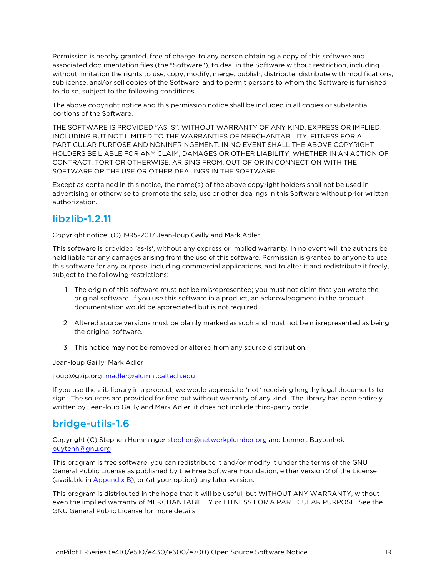Permission is hereby granted, free of charge, to any person obtaining a copy of this software and associated documentation files (the "Software"), to deal in the Software without restriction, including without limitation the rights to use, copy, modify, merge, publish, distribute, distribute with modifications, sublicense, and/or sell copies of the Software, and to permit persons to whom the Software is furnished to do so, subject to the following conditions:

The above copyright notice and this permission notice shall be included in all copies or substantial portions of the Software.

THE SOFTWARE IS PROVIDED "AS IS", WITHOUT WARRANTY OF ANY KIND, EXPRESS OR IMPLIED, INCLUDING BUT NOT LIMITED TO THE WARRANTIES OF MERCHANTABILITY, FITNESS FOR A PARTICULAR PURPOSE AND NONINFRINGEMENT. IN NO EVENT SHALL THE ABOVE COPYRIGHT HOLDERS BE LIABLE FOR ANY CLAIM, DAMAGES OR OTHER LIABILITY, WHETHER IN AN ACTION OF CONTRACT, TORT OR OTHERWISE, ARISING FROM, OUT OF OR IN CONNECTION WITH THE SOFTWARE OR THE USE OR OTHER DEALINGS IN THE SOFTWARE.

Except as contained in this notice, the name(s) of the above copyright holders shall not be used in advertising or otherwise to promote the sale, use or other dealings in this Software without prior written authorization.

## <span id="page-18-0"></span>libzlib-1.2.11

Copyright notice: (C) 1995-2017 Jean-loup Gailly and Mark Adler

This software is provided 'as-is', without any express or implied warranty. In no event will the authors be held liable for any damages arising from the use of this software. Permission is granted to anyone to use this software for any purpose, including commercial applications, and to alter it and redistribute it freely, subject to the following restrictions:

- 1. The origin of this software must not be misrepresented; you must not claim that you wrote the original software. If you use this software in a product, an acknowledgment in the product documentation would be appreciated but is not required.
- 2. Altered source versions must be plainly marked as such and must not be misrepresented as being the original software.
- 3. This notice may not be removed or altered from any source distribution.

Jean-loup Gailly Mark Adler

jloup@gzip.org [madler@alumni.caltech.edu](mailto:madler@alumni.caltech.edu)

If you use the zlib library in a product, we would appreciate \*not\* receiving lengthy legal documents to sign. The sources are provided for free but without warranty of any kind. The library has been entirely written by Jean-loup Gailly and Mark Adler; it does not include third-party code.

# <span id="page-18-1"></span>bridge-utils-1.6

Copyright (C) Stephen Hemminger [stephen@networkplumber.org](mailto:stephen@networkplumber.org) and Lennert Buytenhek [buytenh@gnu.org](mailto:buytenh@gnu.org)

This program is free software; you can redistribute it and/or modify it under the terms of the GNU General Public License as published by the Free Software Foundation; either version 2 of the License (available in [Appendix](Appendix B Legal.htm) B), or (at your option) any later version.

This program is distributed in the hope that it will be useful, but WITHOUT ANY WARRANTY, without even the implied warranty of MERCHANTABILITY or FITNESS FOR A PARTICULAR PURPOSE. See the GNU General Public License for more details.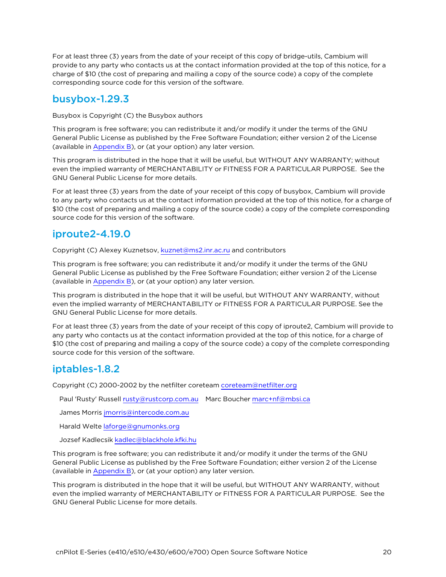For at least three (3) years from the date of your receipt of this copy of bridge-utils, Cambium will provide to any party who contacts us at the contact information provided at the top of this notice, for a charge of \$10 (the cost of preparing and mailing a copy of the source code) a copy of the complete corresponding source code for this version of the software.

## <span id="page-19-0"></span>busybox-1.29.3

Busybox is Copyright (C) the Busybox authors

This program is free software; you can redistribute it and/or modify it under the terms of the GNU General Public License as published by the Free Software Foundation; either version 2 of the License (available in [Appendix](Appendix B Legal.htm) B), or (at your option) any later version.

This program is distributed in the hope that it will be useful, but WITHOUT ANY WARRANTY; without even the implied warranty of MERCHANTABILITY or FITNESS FOR A PARTICULAR PURPOSE. See the GNU General Public License for more details.

For at least three (3) years from the date of your receipt of this copy of busybox, Cambium will provide to any party who contacts us at the contact information provided at the top of this notice, for a charge of \$10 (the cost of preparing and mailing a copy of the source code) a copy of the complete corresponding source code for this version of the software.

## <span id="page-19-1"></span>iproute2-4.19.0

Copyright (C) Alexey Kuznetsov, [kuznet@ms2.inr.ac.ru](mailto:kuznet@ms2.inr.ac.ru) and contributors

This program is free software; you can redistribute it and/or modify it under the terms of the GNU General Public License as published by the Free Software Foundation; either version 2 of the License (available in [Appendix](Appendix B Legal.htm) B), or (at your option) any later version.

This program is distributed in the hope that it will be useful, but WITHOUT ANY WARRANTY, without even the implied warranty of MERCHANTABILITY or FITNESS FOR A PARTICULAR PURPOSE. See the GNU General Public License for more details.

For at least three (3) years from the date of your receipt of this copy of iproute2, Cambium will provide to any party who contacts us at the contact information provided at the top of this notice, for a charge of \$10 (the cost of preparing and mailing a copy of the source code) a copy of the complete corresponding source code for this version of the software.

## <span id="page-19-2"></span>iptables-1.8.2

Copyright (C) 2000-2002 by the netfilter coreteam [coreteam@netfilter.org](mailto:coreteam@netfilter.org)

Paul 'Rusty' Russell [rusty@rustcorp.com.au](mailto:rusty@rustcorp.com.au)  Marc Boucher [marc+nf@mbsi.ca](mailto:marc+nf@mbsi.ca)

James Morris [jmorris@intercode.com.au](mailto:jmorris@intercode.com.au)

Harald Welte [laforge@gnumonks.org](mailto:laforge@gnumonks.org)

Jozsef Kadlecsik [kadlec@blackhole.kfki.hu](mailto:kadlec@blackhole.kfki.hu)

This program is free software; you can redistribute it and/or modify it under the terms of the GNU General Public License as published by the Free Software Foundation; either version 2 of the License (available in [Appendix](Appendix B Legal.htm) B), or (at your option) any later version.

This program is distributed in the hope that it will be useful, but WITHOUT ANY WARRANTY, without even the implied warranty of MERCHANTABILITY or FITNESS FOR A PARTICULAR PURPOSE. See the GNU General Public License for more details.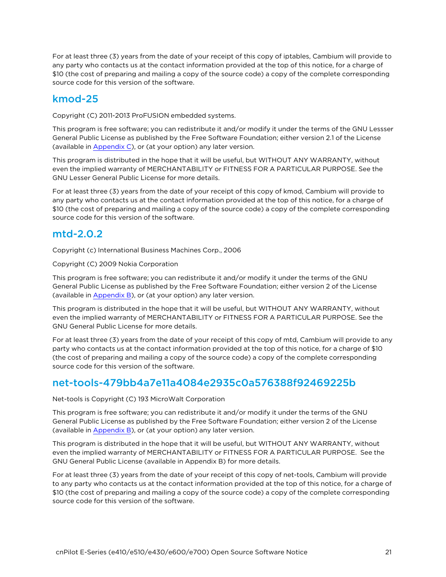For at least three (3) years from the date of your receipt of this copy of iptables, Cambium will provide to any party who contacts us at the contact information provided at the top of this notice, for a charge of \$10 (the cost of preparing and mailing a copy of the source code) a copy of the complete corresponding source code for this version of the software.

# <span id="page-20-0"></span>kmod-25

Copyright (C) 2011-2013 ProFUSION embedded systems.

This program is free software; you can redistribute it and/or modify it under the terms of the GNU Lessser General Public License as published by the Free Software Foundation; either version 2.1 of the License (available in [Appendix](Appendix C GNU Lesser General.htm) C), or (at your option) any later version.

This program is distributed in the hope that it will be useful, but WITHOUT ANY WARRANTY, without even the implied warranty of MERCHANTABILITY or FITNESS FOR A PARTICULAR PURPOSE. See the GNU Lesser General Public License for more details.

For at least three (3) years from the date of your receipt of this copy of kmod, Cambium will provide to any party who contacts us at the contact information provided at the top of this notice, for a charge of \$10 (the cost of preparing and mailing a copy of the source code) a copy of the complete corresponding source code for this version of the software.

#### <span id="page-20-1"></span>mtd-2.0.2

Copyright (c) International Business Machines Corp., 2006

Copyright (C) 2009 Nokia Corporation

This program is free software; you can redistribute it and/or modify it under the terms of the GNU General Public License as published by the Free Software Foundation; either version 2 of the License (available in [Appendix](Appendix B Legal.htm) B), or (at your option) any later version.

This program is distributed in the hope that it will be useful, but WITHOUT ANY WARRANTY, without even the implied warranty of MERCHANTABILITY or FITNESS FOR A PARTICULAR PURPOSE. See the GNU General Public License for more details.

For at least three (3) years from the date of your receipt of this copy of mtd, Cambium will provide to any party who contacts us at the contact information provided at the top of this notice, for a charge of \$10 (the cost of preparing and mailing a copy of the source code) a copy of the complete corresponding source code for this version of the software.

#### <span id="page-20-2"></span>net-tools-479bb4a7e11a4084e2935c0a576388f92469225b

Net-tools is Copyright (C) 193 MicroWalt Corporation

This program is free software; you can redistribute it and/or modify it under the terms of the GNU General Public License as published by the Free Software Foundation; either version 2 of the License (available in [Appendix](Appendix B Legal.htm) B), or (at your option) any later version.

This program is distributed in the hope that it will be useful, but WITHOUT ANY WARRANTY, without even the implied warranty of MERCHANTABILITY or FITNESS FOR A PARTICULAR PURPOSE. See the GNU General Public License (available in Appendix B) for more details.

For at least three (3) years from the date of your receipt of this copy of net-tools, Cambium will provide to any party who contacts us at the contact information provided at the top of this notice, for a charge of \$10 (the cost of preparing and mailing a copy of the source code) a copy of the complete corresponding source code for this version of the software.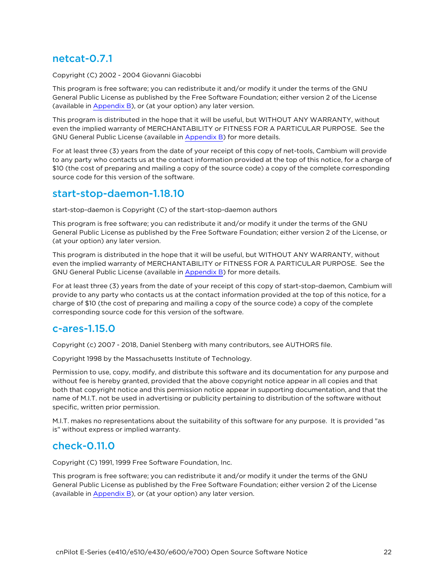## <span id="page-21-0"></span>netcat-0.7.1

Copyright (C) 2002 - 2004 Giovanni Giacobbi

This program is free software; you can redistribute it and/or modify it under the terms of the GNU General Public License as published by the Free Software Foundation; either version 2 of the License (available in [Appendix](Appendix B Legal.htm) B), or (at your option) any later version.

This program is distributed in the hope that it will be useful, but WITHOUT ANY WARRANTY, without even the implied warranty of MERCHANTABILITY or FITNESS FOR A PARTICULAR PURPOSE. See the GNU General Public License (available in [Appendix](Appendix B Legal.htm) B) for more details.

For at least three (3) years from the date of your receipt of this copy of net-tools, Cambium will provide to any party who contacts us at the contact information provided at the top of this notice, for a charge of \$10 (the cost of preparing and mailing a copy of the source code) a copy of the complete corresponding source code for this version of the software.

#### <span id="page-21-1"></span>start-stop-daemon-1.18.10

start-stop-daemon is Copyright (C) of the start-stop-daemon authors

This program is free software; you can redistribute it and/or modify it under the terms of the GNU General Public License as published by the Free Software Foundation; either version 2 of the License, or (at your option) any later version.

This program is distributed in the hope that it will be useful, but WITHOUT ANY WARRANTY, without even the implied warranty of MERCHANTABILITY or FITNESS FOR A PARTICULAR PURPOSE. See the GNU General Public License (available in [Appendix](Appendix B Legal.htm) B) for more details.

For at least three (3) years from the date of your receipt of this copy of start-stop-daemon, Cambium will provide to any party who contacts us at the contact information provided at the top of this notice, for a charge of \$10 (the cost of preparing and mailing a copy of the source code) a copy of the complete corresponding source code for this version of the software.

#### <span id="page-21-2"></span>c-ares-1.15.0

Copyright (c) 2007 - 2018, Daniel Stenberg with many contributors, see AUTHORS file.

Copyright 1998 by the Massachusetts Institute of Technology.

Permission to use, copy, modify, and distribute this software and its documentation for any purpose and without fee is hereby granted, provided that the above copyright notice appear in all copies and that both that copyright notice and this permission notice appear in supporting documentation, and that the name of M.I.T. not be used in advertising or publicity pertaining to distribution of the software without specific, written prior permission.

<span id="page-21-3"></span>M.I.T. makes no representations about the suitability of this software for any purpose. It is provided "as is" without express or implied warranty.

#### check-0.11.0

Copyright (C) 1991, 1999 Free Software Foundation, Inc.

This program is free software; you can redistribute it and/or modify it under the terms of the GNU General Public License as published by the Free Software Foundation; either version 2 of the License (available in [Appendix](Appendix B Legal.htm) B), or (at your option) any later version.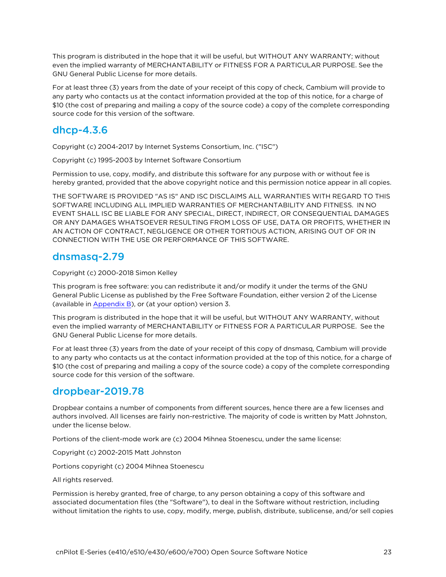This program is distributed in the hope that it will be useful, but WITHOUT ANY WARRANTY; without even the implied warranty of MERCHANTABILITY or FITNESS FOR A PARTICULAR PURPOSE. See the GNU General Public License for more details.

For at least three (3) years from the date of your receipt of this copy of check, Cambium will provide to any party who contacts us at the contact information provided at the top of this notice, for a charge of \$10 (the cost of preparing and mailing a copy of the source code) a copy of the complete corresponding source code for this version of the software.

## <span id="page-22-0"></span>dhcp-4.3.6

Copyright (c) 2004-2017 by Internet Systems Consortium, Inc. ("ISC")

Copyright (c) 1995-2003 by Internet Software Consortium

Permission to use, copy, modify, and distribute this software for any purpose with or without fee is hereby granted, provided that the above copyright notice and this permission notice appear in all copies.

THE SOFTWARE IS PROVIDED "AS IS" AND ISC DISCLAIMS ALL WARRANTIES WITH REGARD TO THIS SOFTWARE INCLUDING ALL IMPLIED WARRANTIES OF MERCHANTABILITY AND FITNESS. IN NO EVENT SHALL ISC BE LIABLE FOR ANY SPECIAL, DIRECT, INDIRECT, OR CONSEQUENTIAL DAMAGES OR ANY DAMAGES WHATSOEVER RESULTING FROM LOSS OF USE, DATA OR PROFITS, WHETHER IN AN ACTION OF CONTRACT, NEGLIGENCE OR OTHER TORTIOUS ACTION, ARISING OUT OF OR IN CONNECTION WITH THE USE OR PERFORMANCE OF THIS SOFTWARE.

#### <span id="page-22-1"></span>dnsmasq-2.79

Copyright (c) 2000-2018 Simon Kelley

This program is free software: you can redistribute it and/or modify it under the terms of the GNU General Public License as published by the Free Software Foundation, either version 2 of the License (available in [Appendix](Appendix B Legal.htm) B), or (at your option) version 3.

This program is distributed in the hope that it will be useful, but WITHOUT ANY WARRANTY, without even the implied warranty of MERCHANTABILITY or FITNESS FOR A PARTICULAR PURPOSE. See the GNU General Public License for more details.

For at least three (3) years from the date of your receipt of this copy of dnsmasq, Cambium will provide to any party who contacts us at the contact information provided at the top of this notice, for a charge of \$10 (the cost of preparing and mailing a copy of the source code) a copy of the complete corresponding source code for this version of the software.

#### <span id="page-22-2"></span>dropbear-2019.78

Dropbear contains a number of components from different sources, hence there are a few licenses and authors involved. All licenses are fairly non-restrictive. The majority of code is written by Matt Johnston, under the license below.

Portions of the client-mode work are (c) 2004 Mihnea Stoenescu, under the same license:

Copyright (c) 2002-2015 Matt Johnston

Portions copyright (c) 2004 Mihnea Stoenescu

#### All rights reserved.

Permission is hereby granted, free of charge, to any person obtaining a copy of this software and associated documentation files (the "Software"), to deal in the Software without restriction, including without limitation the rights to use, copy, modify, merge, publish, distribute, sublicense, and/or sell copies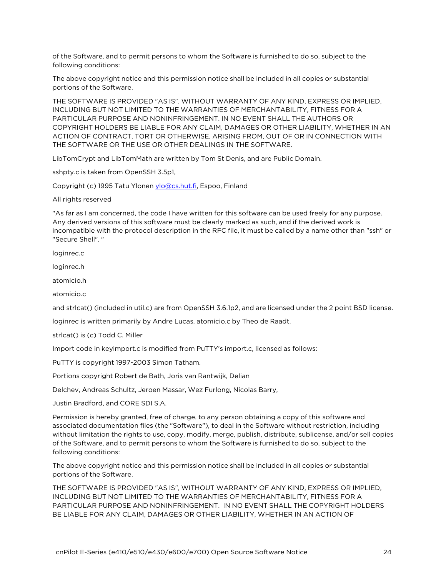of the Software, and to permit persons to whom the Software is furnished to do so, subject to the following conditions:

The above copyright notice and this permission notice shall be included in all copies or substantial portions of the Software.

THE SOFTWARE IS PROVIDED "AS IS", WITHOUT WARRANTY OF ANY KIND, EXPRESS OR IMPLIED, INCLUDING BUT NOT LIMITED TO THE WARRANTIES OF MERCHANTABILITY, FITNESS FOR A PARTICULAR PURPOSE AND NONINFRINGEMENT. IN NO EVENT SHALL THE AUTHORS OR COPYRIGHT HOLDERS BE LIABLE FOR ANY CLAIM, DAMAGES OR OTHER LIABILITY, WHETHER IN AN ACTION OF CONTRACT, TORT OR OTHERWISE, ARISING FROM, OUT OF OR IN CONNECTION WITH THE SOFTWARE OR THE USE OR OTHER DEALINGS IN THE SOFTWARE.

LibTomCrypt and LibTomMath are written by Tom St Denis, and are Public Domain.

sshpty.c is taken from OpenSSH 3.5p1,

Copyright (c) 1995 Tatu Ylonen [ylo@cs.hut.fi](mailto:ylo@cs.hut.fi), Espoo, Finland

All rights reserved

"As far as I am concerned, the code I have written for this software can be used freely for any purpose. Any derived versions of this software must be clearly marked as such, and if the derived work is incompatible with the protocol description in the RFC file, it must be called by a name other than "ssh" or "Secure Shell". "

loginrec.c

loginrec.h

atomicio.h

atomicio.c

and strlcat() (included in util.c) are from OpenSSH 3.6.1p2, and are licensed under the 2 point BSD license.

loginrec is written primarily by Andre Lucas, atomicio.c by Theo de Raadt.

strlcat() is (c) Todd C. Miller

Import code in keyimport.c is modified from PuTTY's import.c, licensed as follows:

PuTTY is copyright 1997-2003 Simon Tatham.

Portions copyright Robert de Bath, Joris van Rantwijk, Delian

Delchev, Andreas Schultz, Jeroen Massar, Wez Furlong, Nicolas Barry,

Justin Bradford, and CORE SDI S.A.

Permission is hereby granted, free of charge, to any person obtaining a copy of this software and associated documentation files (the "Software"), to deal in the Software without restriction, including without limitation the rights to use, copy, modify, merge, publish, distribute, sublicense, and/or sell copies of the Software, and to permit persons to whom the Software is furnished to do so, subject to the following conditions:

The above copyright notice and this permission notice shall be included in all copies or substantial portions of the Software.

THE SOFTWARE IS PROVIDED "AS IS", WITHOUT WARRANTY OF ANY KIND, EXPRESS OR IMPLIED, INCLUDING BUT NOT LIMITED TO THE WARRANTIES OF MERCHANTABILITY, FITNESS FOR A PARTICULAR PURPOSE AND NONINFRINGEMENT. IN NO EVENT SHALL THE COPYRIGHT HOLDERS BE LIABLE FOR ANY CLAIM, DAMAGES OR OTHER LIABILITY, WHETHER IN AN ACTION OF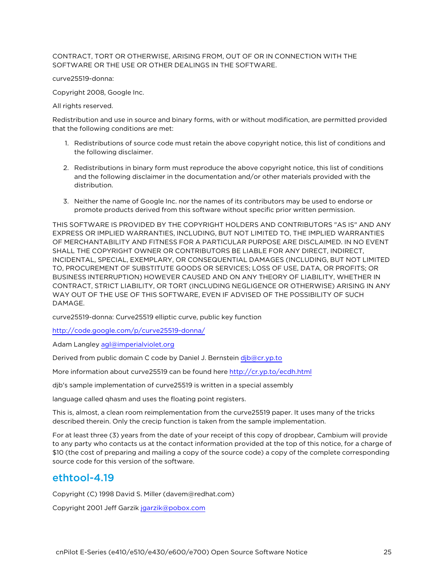CONTRACT, TORT OR OTHERWISE, ARISING FROM, OUT OF OR IN CONNECTION WITH THE SOFTWARE OR THE USE OR OTHER DEALINGS IN THE SOFTWARE.

curve25519-donna:

Copyright 2008, Google Inc.

All rights reserved.

Redistribution and use in source and binary forms, with or without modification, are permitted provided that the following conditions are met:

- 1. Redistributions of source code must retain the above copyright notice, this list of conditions and the following disclaimer.
- 2. Redistributions in binary form must reproduce the above copyright notice, this list of conditions and the following disclaimer in the documentation and/or other materials provided with the distribution.
- 3. Neither the name of Google Inc. nor the names of its contributors may be used to endorse or promote products derived from this software without specific prior written permission.

THIS SOFTWARE IS PROVIDED BY THE COPYRIGHT HOLDERS AND CONTRIBUTORS "AS IS" AND ANY EXPRESS OR IMPLIED WARRANTIES, INCLUDING, BUT NOT LIMITED TO, THE IMPLIED WARRANTIES OF MERCHANTABILITY AND FITNESS FOR A PARTICULAR PURPOSE ARE DISCLAIMED. IN NO EVENT SHALL THE COPYRIGHT OWNER OR CONTRIBUTORS BE LIABLE FOR ANY DIRECT, INDIRECT, INCIDENTAL, SPECIAL, EXEMPLARY, OR CONSEQUENTIAL DAMAGES (INCLUDING, BUT NOT LIMITED TO, PROCUREMENT OF SUBSTITUTE GOODS OR SERVICES; LOSS OF USE, DATA, OR PROFITS; OR BUSINESS INTERRUPTION) HOWEVER CAUSED AND ON ANY THEORY OF LIABILITY, WHETHER IN CONTRACT, STRICT LIABILITY, OR TORT (INCLUDING NEGLIGENCE OR OTHERWISE) ARISING IN ANY WAY OUT OF THE USE OF THIS SOFTWARE, EVEN IF ADVISED OF THE POSSIBILITY OF SUCH DAMAGE.

curve25519-donna: Curve25519 elliptic curve, public key function

<http://code.google.com/p/curve25519-donna/>

Adam Langley [agl@imperialviolet.org](mailto:agl@imperialviolet.org)

Derived from public domain C code by Daniel J. Bernstein [djb@cr.yp.to](mailto:djb@cr.yp.to)

More information about curve25519 can be found here <http://cr.yp.to/ecdh.html>

djb's sample implementation of curve25519 is written in a special assembly

language called qhasm and uses the floating point registers.

This is, almost, a clean room reimplementation from the curve25519 paper. It uses many of the tricks described therein. Only the crecip function is taken from the sample implementation.

For at least three (3) years from the date of your receipt of this copy of dropbear, Cambium will provide to any party who contacts us at the contact information provided at the top of this notice, for a charge of \$10 (the cost of preparing and mailing a copy of the source code) a copy of the complete corresponding source code for this version of the software.

#### <span id="page-24-0"></span>ethtool-4.19

Copyright (C) 1998 David S. Miller (davem@redhat.com)

Copyright 2001 Jeff Garzik [jgarzik@pobox.com](mailto:jgarzik@pobox.com)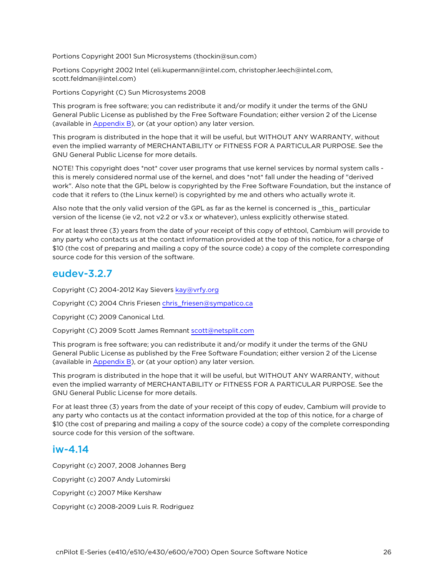Portions Copyright 2001 Sun Microsystems (thockin@sun.com)

Portions Copyright 2002 Intel (eli.kupermann@intel.com, christopher.leech@intel.com, scott.feldman@intel.com)

Portions Copyright (C) Sun Microsystems 2008

This program is free software; you can redistribute it and/or modify it under the terms of the GNU General Public License as published by the Free Software Foundation; either version 2 of the License (available in [Appendix](Appendix B Legal.htm) B), or (at your option) any later version.

This program is distributed in the hope that it will be useful, but WITHOUT ANY WARRANTY, without even the implied warranty of MERCHANTABILITY or FITNESS FOR A PARTICULAR PURPOSE. See the GNU General Public License for more details.

NOTE! This copyright does \*not\* cover user programs that use kernel services by normal system calls this is merely considered normal use of the kernel, and does \*not\* fall under the heading of "derived work". Also note that the GPL below is copyrighted by the Free Software Foundation, but the instance of code that it refers to (the Linux kernel) is copyrighted by me and others who actually wrote it.

Also note that the only valid version of the GPL as far as the kernel is concerned is \_this\_ particular version of the license (ie v2, not v2.2 or v3.x or whatever), unless explicitly otherwise stated.

For at least three (3) years from the date of your receipt of this copy of ethtool, Cambium will provide to any party who contacts us at the contact information provided at the top of this notice, for a charge of \$10 (the cost of preparing and mailing a copy of the source code) a copy of the complete corresponding source code for this version of the software.

#### <span id="page-25-0"></span>eudev-3.2.7

Copyright (C) 2004-2012 Kay Sievers [kay@vrfy.org](mailto:kay@vrfy.org)

Copyright (C) 2004 Chris Friesen [chris\\_friesen@sympatico.ca](mailto:chris_friesen@sympatico.ca)

Copyright (C) 2009 Canonical Ltd.

Copyright (C) 2009 Scott James Remnant [scott@netsplit.com](mailto:scott@netsplit.com)

This program is free software; you can redistribute it and/or modify it under the terms of the GNU General Public License as published by the Free Software Foundation; either version 2 of the License (available in [Appendix](Appendix B Legal.htm) B), or (at your option) any later version.

This program is distributed in the hope that it will be useful, but WITHOUT ANY WARRANTY, without even the implied warranty of MERCHANTABILITY or FITNESS FOR A PARTICULAR PURPOSE. See the GNU General Public License for more details.

For at least three (3) years from the date of your receipt of this copy of eudev, Cambium will provide to any party who contacts us at the contact information provided at the top of this notice, for a charge of \$10 (the cost of preparing and mailing a copy of the source code) a copy of the complete corresponding source code for this version of the software.

#### <span id="page-25-1"></span>iw-4.14

Copyright (c) 2007, 2008 Johannes Berg Copyright (c) 2007 Andy Lutomirski Copyright (c) 2007 Mike Kershaw Copyright (c) 2008-2009 Luis R. Rodriguez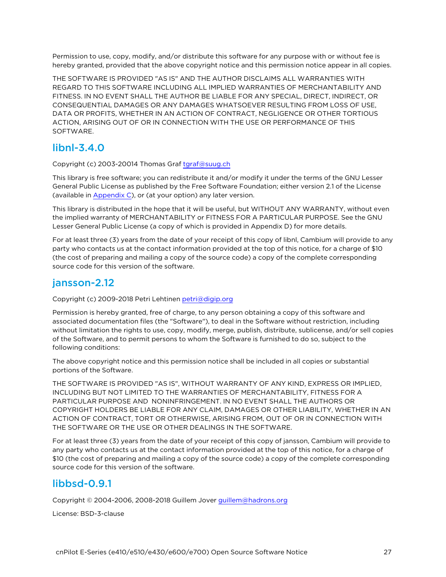Permission to use, copy, modify, and/or distribute this software for any purpose with or without fee is hereby granted, provided that the above copyright notice and this permission notice appear in all copies.

THE SOFTWARE IS PROVIDED "AS IS" AND THE AUTHOR DISCLAIMS ALL WARRANTIES WITH REGARD TO THIS SOFTWARE INCLUDING ALL IMPLIED WARRANTIES OF MERCHANTABILITY AND FITNESS. IN NO EVENT SHALL THE AUTHOR BE LIABLE FOR ANY SPECIAL, DIRECT, INDIRECT, OR CONSEQUENTIAL DAMAGES OR ANY DAMAGES WHATSOEVER RESULTING FROM LOSS OF USE, DATA OR PROFITS, WHETHER IN AN ACTION OF CONTRACT, NEGLIGENCE OR OTHER TORTIOUS ACTION, ARISING OUT OF OR IN CONNECTION WITH THE USE OR PERFORMANCE OF THIS SOFTWARE.

## <span id="page-26-0"></span>libnl-3.4.0

Copyright (c) 2003-20014 Thomas Graf [tgraf@suug.ch](mailto:tgraf@suug.ch)

This library is free software; you can redistribute it and/or modify it under the terms of the GNU Lesser General Public License as published by the Free Software Foundation; either version 2.1 of the License (available in [Appendix](Appendix C GNU Lesser General.htm) C), or (at your option) any later version.

This library is distributed in the hope that it will be useful, but WITHOUT ANY WARRANTY, without even the implied warranty of MERCHANTABILITY or FITNESS FOR A PARTICULAR PURPOSE. See the GNU Lesser General Public License (a copy of which is provided in Appendix D) for more details.

For at least three (3) years from the date of your receipt of this copy of libnl, Cambium will provide to any party who contacts us at the contact information provided at the top of this notice, for a charge of \$10 (the cost of preparing and mailing a copy of the source code) a copy of the complete corresponding source code for this version of the software.

#### <span id="page-26-1"></span>jansson-2.12

Copyright (c) 2009-2018 Petri Lehtinen [petri@digip.org](mailto:petri@digip.org)

Permission is hereby granted, free of charge, to any person obtaining a copy of this software and associated documentation files (the "Software"), to deal in the Software without restriction, including without limitation the rights to use, copy, modify, merge, publish, distribute, sublicense, and/or sell copies of the Software, and to permit persons to whom the Software is furnished to do so, subject to the following conditions:

The above copyright notice and this permission notice shall be included in all copies or substantial portions of the Software.

THE SOFTWARE IS PROVIDED "AS IS", WITHOUT WARRANTY OF ANY KIND, EXPRESS OR IMPLIED, INCLUDING BUT NOT LIMITED TO THE WARRANTIES OF MERCHANTABILITY, FITNESS FOR A PARTICULAR PURPOSE AND NONINFRINGEMENT. IN NO EVENT SHALL THE AUTHORS OR COPYRIGHT HOLDERS BE LIABLE FOR ANY CLAIM, DAMAGES OR OTHER LIABILITY, WHETHER IN AN ACTION OF CONTRACT, TORT OR OTHERWISE, ARISING FROM, OUT OF OR IN CONNECTION WITH THE SOFTWARE OR THE USE OR OTHER DEALINGS IN THE SOFTWARE.

For at least three (3) years from the date of your receipt of this copy of jansson, Cambium will provide to any party who contacts us at the contact information provided at the top of this notice, for a charge of \$10 (the cost of preparing and mailing a copy of the source code) a copy of the complete corresponding source code for this version of the software.

## <span id="page-26-2"></span>libbsd-0.9.1

Copyright © 2004-2006, 2008-2018 Guillem Jover [guillem@hadrons.org](mailto:guillem@hadrons.org)

License: BSD-3-clause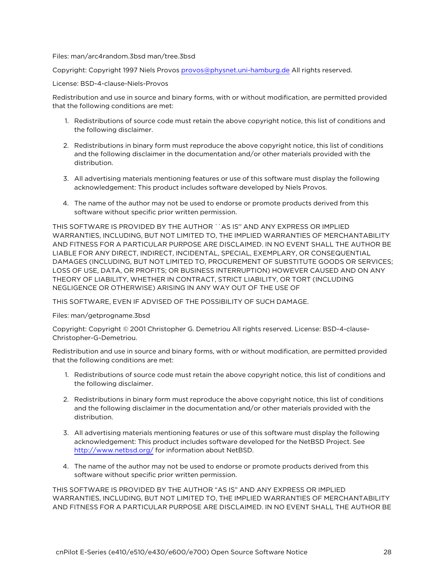#### Files: man/arc4random.3bsd man/tree.3bsd

Copyright: Copyright 1997 Niels Provos [provos@physnet.uni-hamburg.de](mailto:provos@physnet.uni-hamburg.de) All rights reserved.

License: BSD-4-clause-Niels-Provos

Redistribution and use in source and binary forms, with or without modification, are permitted provided that the following conditions are met:

- 1. Redistributions of source code must retain the above copyright notice, this list of conditions and the following disclaimer.
- 2. Redistributions in binary form must reproduce the above copyright notice, this list of conditions and the following disclaimer in the documentation and/or other materials provided with the distribution.
- 3. All advertising materials mentioning features or use of this software must display the following acknowledgement: This product includes software developed by Niels Provos.
- 4. The name of the author may not be used to endorse or promote products derived from this software without specific prior written permission.

THIS SOFTWARE IS PROVIDED BY THE AUTHOR ``AS IS'' AND ANY EXPRESS OR IMPLIED WARRANTIES, INCLUDING, BUT NOT LIMITED TO, THE IMPLIED WARRANTIES OF MERCHANTABILITY AND FITNESS FOR A PARTICULAR PURPOSE ARE DISCLAIMED. IN NO EVENT SHALL THE AUTHOR BE LIABLE FOR ANY DIRECT, INDIRECT, INCIDENTAL, SPECIAL, EXEMPLARY, OR CONSEQUENTIAL DAMAGES (INCLUDING, BUT NOT LIMITED TO, PROCUREMENT OF SUBSTITUTE GOODS OR SERVICES; LOSS OF USE, DATA, OR PROFITS; OR BUSINESS INTERRUPTION) HOWEVER CAUSED AND ON ANY THEORY OF LIABILITY, WHETHER IN CONTRACT, STRICT LIABILITY, OR TORT (INCLUDING NEGLIGENCE OR OTHERWISE) ARISING IN ANY WAY OUT OF THE USE OF

THIS SOFTWARE, EVEN IF ADVISED OF THE POSSIBILITY OF SUCH DAMAGE.

Files: man/getprogname.3bsd

Copyright: Copyright © 2001 Christopher G. Demetriou All rights reserved. License: BSD-4-clause-Christopher-G-Demetriou.

Redistribution and use in source and binary forms, with or without modification, are permitted provided that the following conditions are met:

- 1. Redistributions of source code must retain the above copyright notice, this list of conditions and the following disclaimer.
- 2. Redistributions in binary form must reproduce the above copyright notice, this list of conditions and the following disclaimer in the documentation and/or other materials provided with the distribution.
- 3. All advertising materials mentioning features or use of this software must display the following acknowledgement: This product includes software developed for the NetBSD Project. See <http://www.netbsd.org/> for information about NetBSD.
- 4. The name of the author may not be used to endorse or promote products derived from this software without specific prior written permission.

THIS SOFTWARE IS PROVIDED BY THE AUTHOR "AS IS" AND ANY EXPRESS OR IMPLIED WARRANTIES, INCLUDING, BUT NOT LIMITED TO, THE IMPLIED WARRANTIES OF MERCHANTABILITY AND FITNESS FOR A PARTICULAR PURPOSE ARE DISCLAIMED. IN NO EVENT SHALL THE AUTHOR BE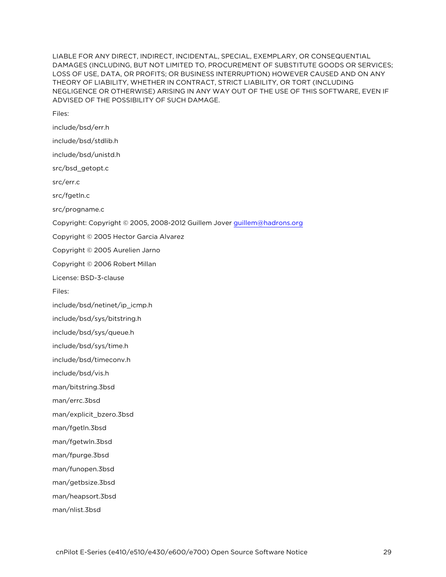LIABLE FOR ANY DIRECT, INDIRECT, INCIDENTAL, SPECIAL, EXEMPLARY, OR CONSEQUENTIAL DAMAGES (INCLUDING, BUT NOT LIMITED TO, PROCUREMENT OF SUBSTITUTE GOODS OR SERVICES; LOSS OF USE, DATA, OR PROFITS; OR BUSINESS INTERRUPTION) HOWEVER CAUSED AND ON ANY THEORY OF LIABILITY, WHETHER IN CONTRACT, STRICT LIABILITY, OR TORT (INCLUDING NEGLIGENCE OR OTHERWISE) ARISING IN ANY WAY OUT OF THE USE OF THIS SOFTWARE, EVEN IF ADVISED OF THE POSSIBILITY OF SUCH DAMAGE.

Files:

include/bsd/err.h include/bsd/stdlib.h include/bsd/unistd.h src/bsd\_getopt.c src/err.c src/fgetln.c src/progname.c Copyright: Copyright © 2005, 2008-2012 Guillem Jover [guillem@hadrons.org](mailto:guillem@hadrons.org) Copyright © 2005 Hector Garcia Alvarez Copyright © 2005 Aurelien Jarno Copyright © 2006 Robert Millan License: BSD-3-clause Files: include/bsd/netinet/ip\_icmp.h include/bsd/sys/bitstring.h include/bsd/sys/queue.h include/bsd/sys/time.h include/bsd/timeconv.h include/bsd/vis.h man/bitstring.3bsd man/errc.3bsd man/explicit\_bzero.3bsd man/fgetln.3bsd man/fgetwln.3bsd man/fpurge.3bsd man/funopen.3bsd man/getbsize.3bsd man/heapsort.3bsd

man/nlist.3bsd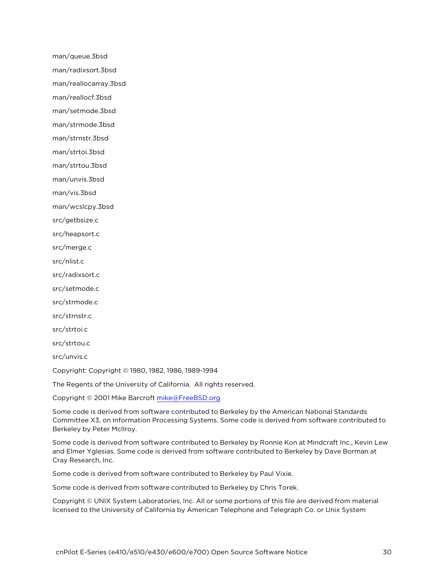man/queue.3bsd man/radixsort.3bsd man/reallocarray.3bsd man/reallocf.3bsd man/setmode.3bsd man/strmode.3bsd man/strnstr.3bsd man/strtoi.3bsd man/strtou.3bsd man/unvis.3bsd man/vis.3bsd man/wcslcpy.3bsd src/getbsize.c src/heapsort.c src/merge.c src/nlist.c src/radixsort.c src/setmode.c src/strmode.c src/strnstr.c src/strtoi.c src/strtou.c src/unvis.c Copyright: Copyright © 1980, 1982, 1986, 1989-1994

The Regents of the University of California. All rights reserved.

Copyright © 2001 Mike Barcroft [mike@FreeBSD.org](mailto:mike@FreeBSD.org)

Some code is derived from software contributed to Berkeley by the American National Standards Committee X3, on Information Processing Systems. Some code is derived from software contributed to Berkeley by Peter McIlroy.

Some code is derived from software contributed to Berkeley by Ronnie Kon at Mindcraft Inc., Kevin Lew and Elmer Yglesias. Some code is derived from software contributed to Berkeley by Dave Borman at Cray Research, Inc.

Some code is derived from software contributed to Berkeley by Paul Vixie.

Some code is derived from software contributed to Berkeley by Chris Torek.

Copyright © UNIX System Laboratories, Inc. All or some portions of this file are derived from material licensed to the University of California by American Telephone and Telegraph Co. or Unix System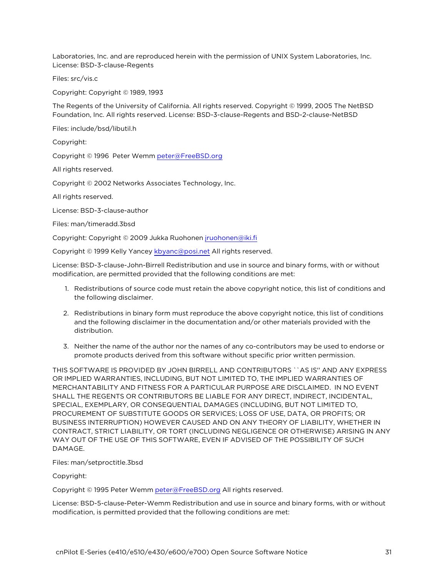Laboratories, Inc. and are reproduced herein with the permission of UNIX System Laboratories, Inc. License: BSD-3-clause-Regents

Files: src/vis.c

Copyright: Copyright © 1989, 1993

The Regents of the University of California. All rights reserved. Copyright © 1999, 2005 The NetBSD Foundation, Inc. All rights reserved. License: BSD-3-clause-Regents and BSD-2-clause-NetBSD

Files: include/bsd/libutil.h

Copyright:

Copyright © 1996 Peter Wemm [peter@FreeBSD.org](mailto:peter@FreeBSD.org)

All rights reserved.

Copyright © 2002 Networks Associates Technology, Inc.

All rights reserved.

License: BSD-3-clause-author

Files: man/timeradd.3bsd

Copyright: Copyright © 2009 Jukka Ruohonen [jruohonen@iki.fi](mailto:jruohonen@iki.fi)

Copyright © 1999 Kelly Yancey [kbyanc@posi.net](mailto:kbyanc@posi.net) All rights reserved.

License: BSD-3-clause-John-Birrell Redistribution and use in source and binary forms, with or without modification, are permitted provided that the following conditions are met:

- 1. Redistributions of source code must retain the above copyright notice, this list of conditions and the following disclaimer.
- 2. Redistributions in binary form must reproduce the above copyright notice, this list of conditions and the following disclaimer in the documentation and/or other materials provided with the distribution.
- 3. Neither the name of the author nor the names of any co-contributors may be used to endorse or promote products derived from this software without specific prior written permission.

THIS SOFTWARE IS PROVIDED BY JOHN BIRRELL AND CONTRIBUTORS ``AS IS'' AND ANY EXPRESS OR IMPLIED WARRANTIES, INCLUDING, BUT NOT LIMITED TO, THE IMPLIED WARRANTIES OF MERCHANTABILITY AND FITNESS FOR A PARTICULAR PURPOSE ARE DISCLAIMED. IN NO EVENT SHALL THE REGENTS OR CONTRIBUTORS BE LIABLE FOR ANY DIRECT, INDIRECT, INCIDENTAL, SPECIAL, EXEMPLARY, OR CONSEQUENTIAL DAMAGES (INCLUDING, BUT NOT LIMITED TO, PROCUREMENT OF SUBSTITUTE GOODS OR SERVICES; LOSS OF USE, DATA, OR PROFITS; OR BUSINESS INTERRUPTION) HOWEVER CAUSED AND ON ANY THEORY OF LIABILITY, WHETHER IN CONTRACT, STRICT LIABILITY, OR TORT (INCLUDING NEGLIGENCE OR OTHERWISE) ARISING IN ANY WAY OUT OF THE USE OF THIS SOFTWARE, EVEN IF ADVISED OF THE POSSIBILITY OF SUCH DAMAGE.

Files: man/setproctitle.3bsd

Copyright:

Copyright © 1995 Peter Wemm [peter@FreeBSD.org](mailto:peter@FreeBSD.org) All rights reserved.

License: BSD-5-clause-Peter-Wemm Redistribution and use in source and binary forms, with or without modification, is permitted provided that the following conditions are met: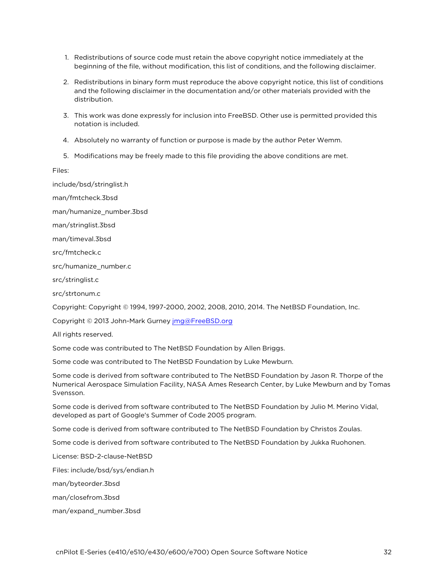- 1. Redistributions of source code must retain the above copyright notice immediately at the beginning of the file, without modification, this list of conditions, and the following disclaimer.
- 2. Redistributions in binary form must reproduce the above copyright notice, this list of conditions and the following disclaimer in the documentation and/or other materials provided with the distribution.
- 3. This work was done expressly for inclusion into FreeBSD. Other use is permitted provided this notation is included.
- 4. Absolutely no warranty of function or purpose is made by the author Peter Wemm.
- 5. Modifications may be freely made to this file providing the above conditions are met.

Files:

include/bsd/stringlist.h

man/fmtcheck.3bsd

man/humanize\_number.3bsd

man/stringlist.3bsd

man/timeval.3bsd

src/fmtcheck.c

src/humanize\_number.c

src/stringlist.c

src/strtonum.c

Copyright: Copyright © 1994, 1997-2000, 2002, 2008, 2010, 2014. The NetBSD Foundation, Inc.

Copyright © 2013 John-Mark Gurney [jmg@FreeBSD.org](mailto:jmg@FreeBSD.org)

All rights reserved.

Some code was contributed to The NetBSD Foundation by Allen Briggs.

Some code was contributed to The NetBSD Foundation by Luke Mewburn.

Some code is derived from software contributed to The NetBSD Foundation by Jason R. Thorpe of the Numerical Aerospace Simulation Facility, NASA Ames Research Center, by Luke Mewburn and by Tomas Svensson.

Some code is derived from software contributed to The NetBSD Foundation by Julio M. Merino Vidal, developed as part of Google's Summer of Code 2005 program.

Some code is derived from software contributed to The NetBSD Foundation by Christos Zoulas.

Some code is derived from software contributed to The NetBSD Foundation by Jukka Ruohonen.

License: BSD-2-clause-NetBSD

Files: include/bsd/sys/endian.h

man/byteorder.3bsd

man/closefrom.3bsd

man/expand\_number.3bsd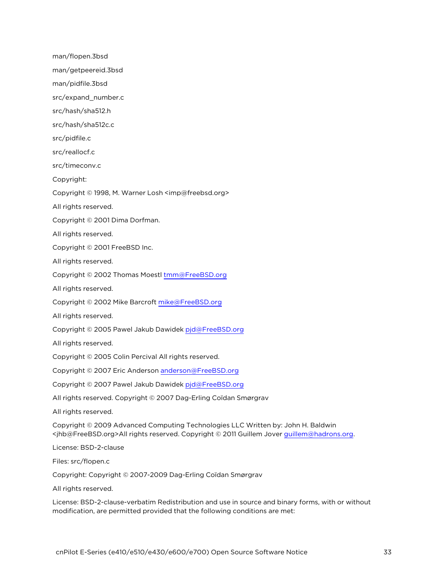man/flopen.3bsd man/getpeereid.3bsd man/pidfile.3bsd src/expand\_number.c src/hash/sha512.h src/hash/sha512c.c src/pidfile.c src/reallocf.c src/timeconv.c Copyright: Copyright © 1998, M. Warner Losh <imp@freebsd.org> All rights reserved. Copyright © 2001 Dima Dorfman. All rights reserved. Copyright © 2001 FreeBSD Inc. All rights reserved. Copyright © 2002 Thomas Moestl [tmm@FreeBSD.org](mailto:tmm@FreeBSD.org) All rights reserved. Copyright © 2002 Mike Barcroft [mike@FreeBSD.org](mailto:mike@FreeBSD.org) All rights reserved. Copyright © 2005 Pawel Jakub Dawidek [pjd@FreeBSD.org](mailto:pjd@FreeBSD.org) All rights reserved. Copyright © 2005 Colin Percival All rights reserved. Copyright © 2007 Eric Anderson [anderson@FreeBSD.org](mailto:anderson@FreeBSD.org) Copyright © 2007 Pawel Jakub Dawidek [pjd@FreeBSD.org](mailto:pjd@FreeBSD.org) All rights reserved. Copyright © 2007 Dag-Erling Coïdan Smørgrav All rights reserved. Copyright © 2009 Advanced Computing Technologies LLC Written by: John H. Baldwin <jhb@FreeBSD.org>All rights reserved. Copyright © 2011 Guillem Jover [guillem@hadrons.org](mailto:guillem@hadrons.org). License: BSD-2-clause Files: src/flopen.c Copyright: Copyright © 2007-2009 Dag-Erling Coïdan Smørgrav All rights reserved.

License: BSD-2-clause-verbatim Redistribution and use in source and binary forms, with or without modification, are permitted provided that the following conditions are met: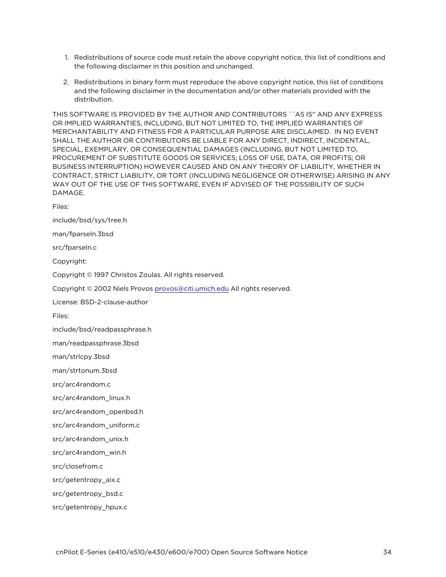- 1. Redistributions of source code must retain the above copyright notice, this list of conditions and the following disclaimer in this position and unchanged.
- 2. Redistributions in binary form must reproduce the above copyright notice, this list of conditions and the following disclaimer in the documentation and/or other materials provided with the distribution.

THIS SOFTWARE IS PROVIDED BY THE AUTHOR AND CONTRIBUTORS ``AS IS'' AND ANY EXPRESS OR IMPLIED WARRANTIES, INCLUDING, BUT NOT LIMITED TO, THE IMPLIED WARRANTIES OF MERCHANTABILITY AND FITNESS FOR A PARTICULAR PURPOSE ARE DISCLAIMED. IN NO EVENT SHALL THE AUTHOR OR CONTRIBUTORS BE LIABLE FOR ANY DIRECT, INDIRECT, INCIDENTAL, SPECIAL, EXEMPLARY, OR CONSEQUENTIAL DAMAGES (INCLUDING, BUT NOT LIMITED TO, PROCUREMENT OF SUBSTITUTE GOODS OR SERVICES; LOSS OF USE, DATA, OR PROFITS; OR BUSINESS INTERRUPTION) HOWEVER CAUSED AND ON ANY THEORY OF LIABILITY, WHETHER IN CONTRACT, STRICT LIABILITY, OR TORT (INCLUDING NEGLIGENCE OR OTHERWISE) ARISING IN ANY WAY OUT OF THE USE OF THIS SOFTWARE, EVEN IF ADVISED OF THE POSSIBILITY OF SUCH DAMAGE.

Files:

include/bsd/sys/tree.h

man/fparseln.3bsd

src/fparseln.c

Copyright:

Copyright © 1997 Christos Zoulas. All rights reserved.

Copyright © 2002 Niels Provos [provos@citi.umich.edu](mailto:provos@citi.umich.edu) All rights reserved.

License: BSD-2-clause-author

Files:

include/bsd/readpassphrase.h

man/readpassphrase.3bsd

man/strlcpy.3bsd

man/strtonum.3bsd

src/arc4random.c

src/arc4random\_linux.h

src/arc4random\_openbsd.h

src/arc4random\_uniform.c

src/arc4random\_unix.h

src/arc4random\_win.h

src/closefrom.c

src/getentropy\_aix.c

src/getentropy\_bsd.c

src/getentropy\_hpux.c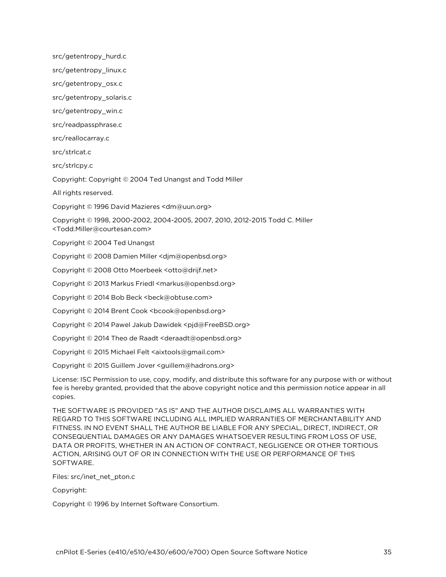src/getentropy\_hurd.c

src/getentropy\_linux.c

src/getentropy\_osx.c

src/getentropy\_solaris.c

src/getentropy\_win.c

src/readpassphrase.c

src/reallocarray.c

src/strlcat.c

src/strlcpy.c

Copyright: Copyright © 2004 Ted Unangst and Todd Miller

All rights reserved.

Copyright © 1996 David Mazieres <dm@uun.org>

Copyright © 1998, 2000-2002, 2004-2005, 2007, 2010, 2012-2015 Todd C. Miller <Todd.Miller@courtesan.com>

Copyright © 2004 Ted Unangst

Copyright © 2008 Damien Miller <djm@openbsd.org>

Copyright © 2008 Otto Moerbeek <otto@drijf.net>

Copyright © 2013 Markus Friedl <markus@openbsd.org>

Copyright © 2014 Bob Beck <beck@obtuse.com>

Copyright © 2014 Brent Cook <bcook@openbsd.org>

Copyright © 2014 Pawel Jakub Dawidek <pjd@FreeBSD.org>

Copyright © 2014 Theo de Raadt <deraadt@openbsd.org>

Copyright © 2015 Michael Felt <aixtools@gmail.com>

Copyright © 2015 Guillem Jover <guillem@hadrons.org>

License: ISC Permission to use, copy, modify, and distribute this software for any purpose with or without fee is hereby granted, provided that the above copyright notice and this permission notice appear in all copies.

THE SOFTWARE IS PROVIDED "AS IS" AND THE AUTHOR DISCLAIMS ALL WARRANTIES WITH REGARD TO THIS SOFTWARE INCLUDING ALL IMPLIED WARRANTIES OF MERCHANTABILITY AND FITNESS. IN NO EVENT SHALL THE AUTHOR BE LIABLE FOR ANY SPECIAL, DIRECT, INDIRECT, OR CONSEQUENTIAL DAMAGES OR ANY DAMAGES WHATSOEVER RESULTING FROM LOSS OF USE, DATA OR PROFITS, WHETHER IN AN ACTION OF CONTRACT, NEGLIGENCE OR OTHER TORTIOUS ACTION, ARISING OUT OF OR IN CONNECTION WITH THE USE OR PERFORMANCE OF THIS SOFTWARE.

Files: src/inet\_net\_pton.c

Copyright:

Copyright © 1996 by Internet Software Consortium.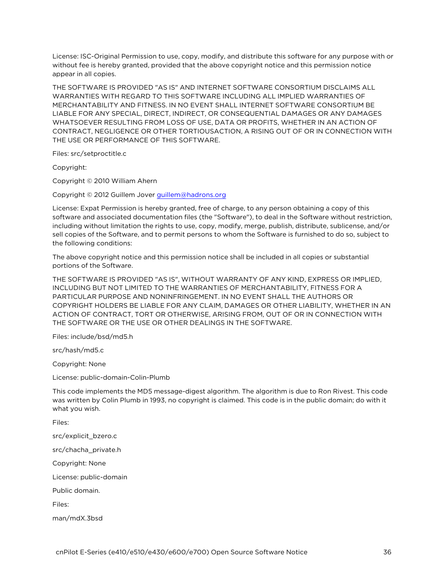License: ISC-Original Permission to use, copy, modify, and distribute this software for any purpose with or without fee is hereby granted, provided that the above copyright notice and this permission notice appear in all copies.

THE SOFTWARE IS PROVIDED "AS IS" AND INTERNET SOFTWARE CONSORTIUM DISCLAIMS ALL WARRANTIES WITH REGARD TO THIS SOFTWARE INCLUDING ALL IMPLIED WARRANTIES OF MERCHANTABILITY AND FITNESS. IN NO EVENT SHALL INTERNET SOFTWARE CONSORTIUM BE LIABLE FOR ANY SPECIAL, DIRECT, INDIRECT, OR CONSEQUENTIAL DAMAGES OR ANY DAMAGES WHATSOEVER RESULTING FROM LOSS OF USE, DATA OR PROFITS, WHETHER IN AN ACTION OF CONTRACT, NEGLIGENCE OR OTHER TORTIOUSACTION, A RISING OUT OF OR IN CONNECTION WITH THE USE OR PERFORMANCE OF THIS SOFTWARE.

Files: src/setproctitle.c

Copyright:

Copyright © 2010 William Ahern

Copyright © 2012 Guillem Jover [guillem@hadrons.org](mailto:guillem@hadrons.org)

License: Expat Permission is hereby granted, free of charge, to any person obtaining a copy of this software and associated documentation files (the "Software"), to deal in the Software without restriction, including without limitation the rights to use, copy, modify, merge, publish, distribute, sublicense, and/or sell copies of the Software, and to permit persons to whom the Software is furnished to do so, subject to the following conditions:

The above copyright notice and this permission notice shall be included in all copies or substantial portions of the Software.

THE SOFTWARE IS PROVIDED "AS IS", WITHOUT WARRANTY OF ANY KIND, EXPRESS OR IMPLIED, INCLUDING BUT NOT LIMITED TO THE WARRANTIES OF MERCHANTABILITY, FITNESS FOR A PARTICULAR PURPOSE AND NONINFRINGEMENT. IN NO EVENT SHALL THE AUTHORS OR COPYRIGHT HOLDERS BE LIABLE FOR ANY CLAIM, DAMAGES OR OTHER LIABILITY, WHETHER IN AN ACTION OF CONTRACT, TORT OR OTHERWISE, ARISING FROM, OUT OF OR IN CONNECTION WITH THE SOFTWARE OR THE USE OR OTHER DEALINGS IN THE SOFTWARE.

Files: include/bsd/md5.h

src/hash/md5.c

Copyright: None

License: public-domain-Colin-Plumb

This code implements the MD5 message-digest algorithm. The algorithm is due to Ron Rivest. This code was written by Colin Plumb in 1993, no copyright is claimed. This code is in the public domain; do with it what you wish.

Files:

src/explicit\_bzero.c src/chacha\_private.h Copyright: None License: public-domain Public domain. Files: man/mdX.3bsd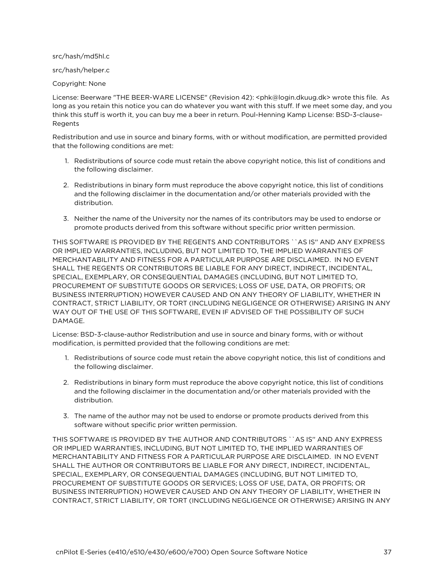src/hash/md5hl.c

src/hash/helper.c

Copyright: None

License: Beerware "THE BEER-WARE LICENSE" (Revision 42): <phk@login.dkuug.dk> wrote this file. As long as you retain this notice you can do whatever you want with this stuff. If we meet some day, and you think this stuff is worth it, you can buy me a beer in return. Poul-Henning Kamp License: BSD-3-clause-Regents

Redistribution and use in source and binary forms, with or without modification, are permitted provided that the following conditions are met:

- 1. Redistributions of source code must retain the above copyright notice, this list of conditions and the following disclaimer.
- 2. Redistributions in binary form must reproduce the above copyright notice, this list of conditions and the following disclaimer in the documentation and/or other materials provided with the distribution.
- 3. Neither the name of the University nor the names of its contributors may be used to endorse or promote products derived from this software without specific prior written permission.

THIS SOFTWARE IS PROVIDED BY THE REGENTS AND CONTRIBUTORS ``AS IS'' AND ANY EXPRESS OR IMPLIED WARRANTIES, INCLUDING, BUT NOT LIMITED TO, THE IMPLIED WARRANTIES OF MERCHANTABILITY AND FITNESS FOR A PARTICULAR PURPOSE ARE DISCLAIMED. IN NO EVENT SHALL THE REGENTS OR CONTRIBUTORS BE LIABLE FOR ANY DIRECT, INDIRECT, INCIDENTAL, SPECIAL, EXEMPLARY, OR CONSEQUENTIAL DAMAGES (INCLUDING, BUT NOT LIMITED TO, PROCUREMENT OF SUBSTITUTE GOODS OR SERVICES; LOSS OF USE, DATA, OR PROFITS; OR BUSINESS INTERRUPTION) HOWEVER CAUSED AND ON ANY THEORY OF LIABILITY, WHETHER IN CONTRACT, STRICT LIABILITY, OR TORT (INCLUDING NEGLIGENCE OR OTHERWISE) ARISING IN ANY WAY OUT OF THE USE OF THIS SOFTWARE, EVEN IF ADVISED OF THE POSSIBILITY OF SUCH DAMAGE.

License: BSD-3-clause-author Redistribution and use in source and binary forms, with or without modification, is permitted provided that the following conditions are met:

- 1. Redistributions of source code must retain the above copyright notice, this list of conditions and the following disclaimer.
- 2. Redistributions in binary form must reproduce the above copyright notice, this list of conditions and the following disclaimer in the documentation and/or other materials provided with the distribution.
- 3. The name of the author may not be used to endorse or promote products derived from this software without specific prior written permission.

THIS SOFTWARE IS PROVIDED BY THE AUTHOR AND CONTRIBUTORS ``AS IS'' AND ANY EXPRESS OR IMPLIED WARRANTIES, INCLUDING, BUT NOT LIMITED TO, THE IMPLIED WARRANTIES OF MERCHANTABILITY AND FITNESS FOR A PARTICULAR PURPOSE ARE DISCLAIMED. IN NO EVENT SHALL THE AUTHOR OR CONTRIBUTORS BE LIABLE FOR ANY DIRECT, INDIRECT, INCIDENTAL, SPECIAL, EXEMPLARY, OR CONSEQUENTIAL DAMAGES (INCLUDING, BUT NOT LIMITED TO, PROCUREMENT OF SUBSTITUTE GOODS OR SERVICES; LOSS OF USE, DATA, OR PROFITS; OR BUSINESS INTERRUPTION) HOWEVER CAUSED AND ON ANY THEORY OF LIABILITY, WHETHER IN CONTRACT, STRICT LIABILITY, OR TORT (INCLUDING NEGLIGENCE OR OTHERWISE) ARISING IN ANY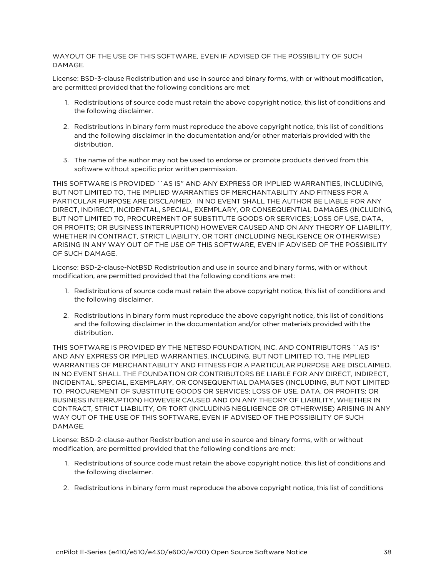WAYOUT OF THE USE OF THIS SOFTWARE, EVEN IF ADVISED OF THE POSSIBILITY OF SUCH DAMAGE.

License: BSD-3-clause Redistribution and use in source and binary forms, with or without modification, are permitted provided that the following conditions are met:

- 1. Redistributions of source code must retain the above copyright notice, this list of conditions and the following disclaimer.
- 2. Redistributions in binary form must reproduce the above copyright notice, this list of conditions and the following disclaimer in the documentation and/or other materials provided with the distribution.
- 3. The name of the author may not be used to endorse or promote products derived from this software without specific prior written permission.

THIS SOFTWARE IS PROVIDED ``AS IS'' AND ANY EXPRESS OR IMPLIED WARRANTIES, INCLUDING, BUT NOT LIMITED TO, THE IMPLIED WARRANTIES OF MERCHANTABILITY AND FITNESS FOR A PARTICULAR PURPOSE ARE DISCLAIMED. IN NO EVENT SHALL THE AUTHOR BE LIABLE FOR ANY DIRECT, INDIRECT, INCIDENTAL, SPECIAL, EXEMPLARY, OR CONSEQUENTIAL DAMAGES (INCLUDING, BUT NOT LIMITED TO, PROCUREMENT OF SUBSTITUTE GOODS OR SERVICES; LOSS OF USE, DATA, OR PROFITS; OR BUSINESS INTERRUPTION) HOWEVER CAUSED AND ON ANY THEORY OF LIABILITY, WHETHER IN CONTRACT, STRICT LIABILITY, OR TORT (INCLUDING NEGLIGENCE OR OTHERWISE) ARISING IN ANY WAY OUT OF THE USE OF THIS SOFTWARE, EVEN IF ADVISED OF THE POSSIBILITY OF SUCH DAMAGE.

License: BSD-2-clause-NetBSD Redistribution and use in source and binary forms, with or without modification, are permitted provided that the following conditions are met:

- 1. Redistributions of source code must retain the above copyright notice, this list of conditions and the following disclaimer.
- 2. Redistributions in binary form must reproduce the above copyright notice, this list of conditions and the following disclaimer in the documentation and/or other materials provided with the distribution.

THIS SOFTWARE IS PROVIDED BY THE NETBSD FOUNDATION, INC. AND CONTRIBUTORS ``AS IS'' AND ANY EXPRESS OR IMPLIED WARRANTIES, INCLUDING, BUT NOT LIMITED TO, THE IMPLIED WARRANTIES OF MERCHANTABILITY AND FITNESS FOR A PARTICULAR PURPOSE ARE DISCLAIMED. IN NO EVENT SHALL THE FOUNDATION OR CONTRIBUTORS BE LIABLE FOR ANY DIRECT, INDIRECT, INCIDENTAL, SPECIAL, EXEMPLARY, OR CONSEQUENTIAL DAMAGES (INCLUDING, BUT NOT LIMITED TO, PROCUREMENT OF SUBSTITUTE GOODS OR SERVICES; LOSS OF USE, DATA, OR PROFITS; OR BUSINESS INTERRUPTION) HOWEVER CAUSED AND ON ANY THEORY OF LIABILITY, WHETHER IN CONTRACT, STRICT LIABILITY, OR TORT (INCLUDING NEGLIGENCE OR OTHERWISE) ARISING IN ANY WAY OUT OF THE USE OF THIS SOFTWARE, EVEN IF ADVISED OF THE POSSIBILITY OF SUCH DAMAGE.

License: BSD-2-clause-author Redistribution and use in source and binary forms, with or without modification, are permitted provided that the following conditions are met:

- 1. Redistributions of source code must retain the above copyright notice, this list of conditions and the following disclaimer.
- 2. Redistributions in binary form must reproduce the above copyright notice, this list of conditions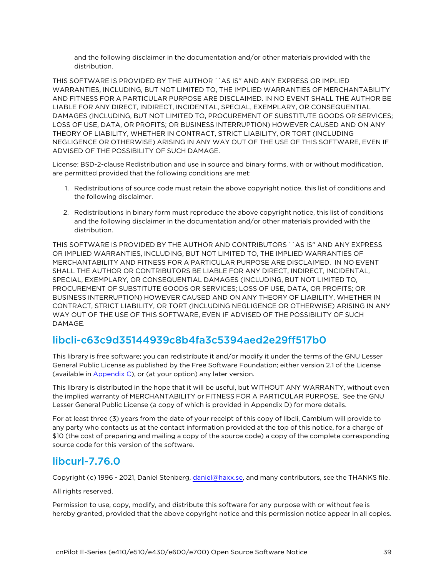and the following disclaimer in the documentation and/or other materials provided with the distribution.

THIS SOFTWARE IS PROVIDED BY THE AUTHOR ``AS IS'' AND ANY EXPRESS OR IMPLIED WARRANTIES, INCLUDING, BUT NOT LIMITED TO, THE IMPLIED WARRANTIES OF MERCHANTABILITY AND FITNESS FOR A PARTICULAR PURPOSE ARE DISCLAIMED. IN NO EVENT SHALL THE AUTHOR BE LIABLE FOR ANY DIRECT, INDIRECT, INCIDENTAL, SPECIAL, EXEMPLARY, OR CONSEQUENTIAL DAMAGES (INCLUDING, BUT NOT LIMITED TO, PROCUREMENT OF SUBSTITUTE GOODS OR SERVICES; LOSS OF USE, DATA, OR PROFITS; OR BUSINESS INTERRUPTION) HOWEVER CAUSED AND ON ANY THEORY OF LIABILITY, WHETHER IN CONTRACT, STRICT LIABILITY, OR TORT (INCLUDING NEGLIGENCE OR OTHERWISE) ARISING IN ANY WAY OUT OF THE USE OF THIS SOFTWARE, EVEN IF ADVISED OF THE POSSIBILITY OF SUCH DAMAGE.

License: BSD-2-clause Redistribution and use in source and binary forms, with or without modification, are permitted provided that the following conditions are met:

- 1. Redistributions of source code must retain the above copyright notice, this list of conditions and the following disclaimer.
- 2. Redistributions in binary form must reproduce the above copyright notice, this list of conditions and the following disclaimer in the documentation and/or other materials provided with the distribution.

THIS SOFTWARE IS PROVIDED BY THE AUTHOR AND CONTRIBUTORS ``AS IS'' AND ANY EXPRESS OR IMPLIED WARRANTIES, INCLUDING, BUT NOT LIMITED TO, THE IMPLIED WARRANTIES OF MERCHANTABILITY AND FITNESS FOR A PARTICULAR PURPOSE ARE DISCLAIMED. IN NO EVENT SHALL THE AUTHOR OR CONTRIBUTORS BE LIABLE FOR ANY DIRECT, INDIRECT, INCIDENTAL, SPECIAL, EXEMPLARY, OR CONSEQUENTIAL DAMAGES (INCLUDING, BUT NOT LIMITED TO, PROCUREMENT OF SUBSTITUTE GOODS OR SERVICES; LOSS OF USE, DATA, OR PROFITS; OR BUSINESS INTERRUPTION) HOWEVER CAUSED AND ON ANY THEORY OF LIABILITY, WHETHER IN CONTRACT, STRICT LIABILITY, OR TORT (INCLUDING NEGLIGENCE OR OTHERWISE) ARISING IN ANY WAY OUT OF THE USE OF THIS SOFTWARE, EVEN IF ADVISED OF THE POSSIBILITY OF SUCH DAMAGE.

# libcli-c63c9d35144939c8b4fa3c5394aed2e29ff517b0

This library is free software; you can redistribute it and/or modify it under the terms of the GNU Lesser General Public License as published by the Free Software Foundation; either version 2.1 of the License (available in [Appendix](Appendix C GNU Lesser General.htm) C), or (at your option) any later version.

This library is distributed in the hope that it will be useful, but WITHOUT ANY WARRANTY, without even the implied warranty of MERCHANTABILITY or FITNESS FOR A PARTICULAR PURPOSE. See the GNU Lesser General Public License (a copy of which is provided in Appendix D) for more details.

For at least three (3) years from the date of your receipt of this copy of libcli, Cambium will provide to any party who contacts us at the contact information provided at the top of this notice, for a charge of \$10 (the cost of preparing and mailing a copy of the source code) a copy of the complete corresponding source code for this version of the software.

### libcurl-7.76.0

Copyright (c) 1996 - 2021, Daniel Stenberg, [daniel@haxx.se](mailto:daniel@haxx.se), and many contributors, see the THANKS file.

#### All rights reserved.

Permission to use, copy, modify, and distribute this software for any purpose with or without fee is hereby granted, provided that the above copyright notice and this permission notice appear in all copies.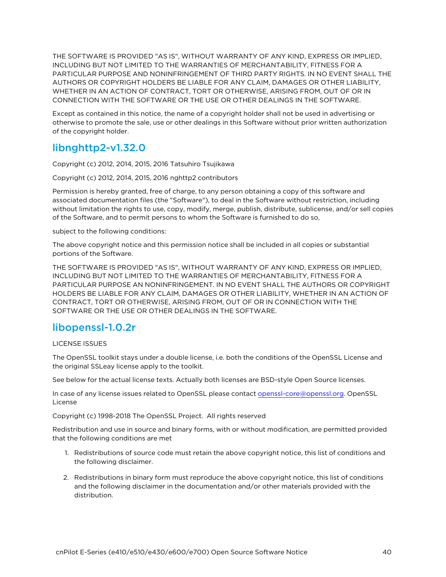THE SOFTWARE IS PROVIDED "AS IS", WITHOUT WARRANTY OF ANY KIND, EXPRESS OR IMPLIED, INCLUDING BUT NOT LIMITED TO THE WARRANTIES OF MERCHANTABILITY, FITNESS FOR A PARTICULAR PURPOSE AND NONINFRINGEMENT OF THIRD PARTY RIGHTS. IN NO EVENT SHALL THE AUTHORS OR COPYRIGHT HOLDERS BE LIABLE FOR ANY CLAIM, DAMAGES OR OTHER LIABILITY, WHETHER IN AN ACTION OF CONTRACT, TORT OR OTHERWISE, ARISING FROM, OUT OF OR IN CONNECTION WITH THE SOFTWARE OR THE USE OR OTHER DEALINGS IN THE SOFTWARE.

Except as contained in this notice, the name of a copyright holder shall not be used in advertising or otherwise to promote the sale, use or other dealings in this Software without prior written authorization of the copyright holder.

# libnghttp2-v1.32.0

Copyright (c) 2012, 2014, 2015, 2016 Tatsuhiro Tsujikawa

Copyright (c) 2012, 2014, 2015, 2016 nghttp2 contributors

Permission is hereby granted, free of charge, to any person obtaining a copy of this software and associated documentation files (the "Software"), to deal in the Software without restriction, including without limitation the rights to use, copy, modify, merge, publish, distribute, sublicense, and/or sell copies of the Software, and to permit persons to whom the Software is furnished to do so,

subject to the following conditions:

The above copyright notice and this permission notice shall be included in all copies or substantial portions of the Software.

THE SOFTWARE IS PROVIDED "AS IS", WITHOUT WARRANTY OF ANY KIND, EXPRESS OR IMPLIED, INCLUDING BUT NOT LIMITED TO THE WARRANTIES OF MERCHANTABILITY, FITNESS FOR A PARTICULAR PURPOSE AN NONINFRINGEMENT. IN NO EVENT SHALL THE AUTHORS OR COPYRIGHT HOLDERS BE LIABLE FOR ANY CLAIM, DAMAGES OR OTHER LIABILITY, WHETHER IN AN ACTION OF CONTRACT, TORT OR OTHERWISE, ARISING FROM, OUT OF OR IN CONNECTION WITH THE SOFTWARE OR THE USE OR OTHER DEALINGS IN THE SOFTWARE.

# libopenssl-1.0.2r

#### LICENSE ISSUES

The OpenSSL toolkit stays under a double license, i.e. both the conditions of the OpenSSL License and the original SSLeay license apply to the toolkit.

See below for the actual license texts. Actually both licenses are BSD-style Open Source licenses.

In case of any license issues related to OpenSSL please contact [openssl-core@openssl.org](mailto:openssl-core@openssl.org). OpenSSL License

Copyright (c) 1998-2018 The OpenSSL Project. All rights reserved

Redistribution and use in source and binary forms, with or without modification, are permitted provided that the following conditions are met

- 1. Redistributions of source code must retain the above copyright notice, this list of conditions and the following disclaimer.
- 2. Redistributions in binary form must reproduce the above copyright notice, this list of conditions and the following disclaimer in the documentation and/or other materials provided with the distribution.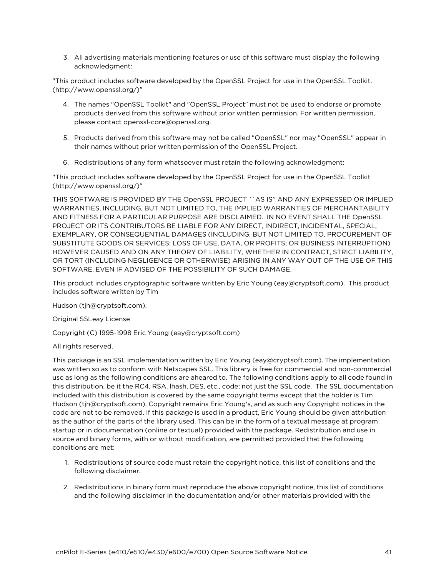3. All advertising materials mentioning features or use of this software must display the following acknowledgment:

"This product includes software developed by the OpenSSL Project for use in the OpenSSL Toolkit. (http://www.openssl.org/)"

- 4. The names "OpenSSL Toolkit" and "OpenSSL Project" must not be used to endorse or promote products derived from this software without prior written permission. For written permission, please contact openssl-core@openssl.org.
- 5. Products derived from this software may not be called "OpenSSL" nor may "OpenSSL" appear in their names without prior written permission of the OpenSSL Project.
- 6. Redistributions of any form whatsoever must retain the following acknowledgment:

"This product includes software developed by the OpenSSL Project for use in the OpenSSL Toolkit (http://www.openssl.org/)"

THIS SOFTWARE IS PROVIDED BY THE OpenSSL PROJECT ``AS IS'' AND ANY EXPRESSED OR IMPLIED WARRANTIES, INCLUDING, BUT NOT LIMITED TO, THE IMPLIED WARRANTIES OF MERCHANTABILITY AND FITNESS FOR A PARTICULAR PURPOSE ARE DISCLAIMED. IN NO EVENT SHALL THE OpenSSL PROJECT OR ITS CONTRIBUTORS BE LIABLE FOR ANY DIRECT, INDIRECT, INCIDENTAL, SPECIAL, EXEMPLARY, OR CONSEQUENTIAL DAMAGES (INCLUDING, BUT NOT LIMITED TO, PROCUREMENT OF SUBSTITUTE GOODS OR SERVICES; LOSS OF USE, DATA, OR PROFITS; OR BUSINESS INTERRUPTION) HOWEVER CAUSED AND ON ANY THEORY OF LIABILITY, WHETHER IN CONTRACT, STRICT LIABILITY, OR TORT (INCLUDING NEGLIGENCE OR OTHERWISE) ARISING IN ANY WAY OUT OF THE USE OF THIS SOFTWARE, EVEN IF ADVISED OF THE POSSIBILITY OF SUCH DAMAGE.

This product includes cryptographic software written by Eric Young (eay@cryptsoft.com). This product includes software written by Tim

Hudson (tjh@cryptsoft.com).

Original SSLeay License

Copyright (C) 1995-1998 Eric Young (eay@cryptsoft.com)

All rights reserved.

This package is an SSL implementation written by Eric Young (eay@cryptsoft.com). The implementation was written so as to conform with Netscapes SSL. This library is free for commercial and non-commercial use as long as the following conditions are aheared to. The following conditions apply to all code found in this distribution, be it the RC4, RSA, lhash, DES, etc., code; not just the SSL code. The SSL documentation included with this distribution is covered by the same copyright terms except that the holder is Tim Hudson (tjh@cryptsoft.com). Copyright remains Eric Young's, and as such any Copyright notices in the code are not to be removed. If this package is used in a product, Eric Young should be given attribution as the author of the parts of the library used. This can be in the form of a textual message at program startup or in documentation (online or textual) provided with the package. Redistribution and use in source and binary forms, with or without modification, are permitted provided that the following conditions are met:

- 1. Redistributions of source code must retain the copyright notice, this list of conditions and the following disclaimer.
- 2. Redistributions in binary form must reproduce the above copyright notice, this list of conditions and the following disclaimer in the documentation and/or other materials provided with the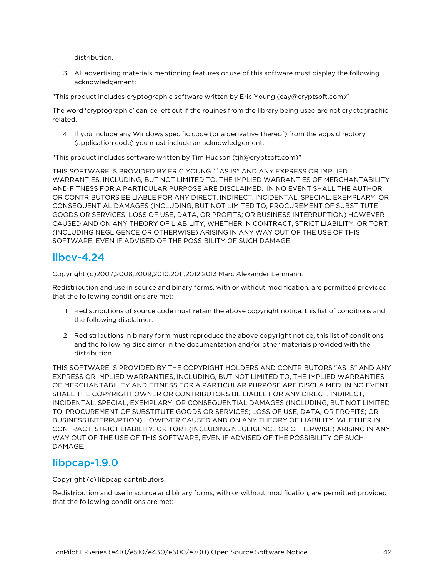distribution.

3. All advertising materials mentioning features or use of this software must display the following acknowledgement:

"This product includes cryptographic software written by Eric Young (eay@cryptsoft.com)"

The word 'cryptographic' can be left out if the rouines from the library being used are not cryptographic related.

4. If you include any Windows specific code (or a derivative thereof) from the apps directory (application code) you must include an acknowledgement:

"This product includes software written by Tim Hudson (tjh@cryptsoft.com)"

THIS SOFTWARE IS PROVIDED BY ERIC YOUNG ``AS IS'' AND ANY EXPRESS OR IMPLIED WARRANTIES, INCLUDING, BUT NOT LIMITED TO, THE IMPLIED WARRANTIES OF MERCHANTABILITY AND FITNESS FOR A PARTICULAR PURPOSE ARE DISCLAIMED. IN NO EVENT SHALL THE AUTHOR OR CONTRIBUTORS BE LIABLE FOR ANY DIRECT, INDIRECT, INCIDENTAL, SPECIAL, EXEMPLARY, OR CONSEQUENTIAL DAMAGES (INCLUDING, BUT NOT LIMITED TO, PROCUREMENT OF SUBSTITUTE GOODS OR SERVICES; LOSS OF USE, DATA, OR PROFITS; OR BUSINESS INTERRUPTION) HOWEVER CAUSED AND ON ANY THEORY OF LIABILITY, WHETHER IN CONTRACT, STRICT LIABILITY, OR TORT (INCLUDING NEGLIGENCE OR OTHERWISE) ARISING IN ANY WAY OUT OF THE USE OF THIS SOFTWARE, EVEN IF ADVISED OF THE POSSIBILITY OF SUCH DAMAGE.

#### libev-4.24

Copyright (c)2007,2008,2009,2010,2011,2012,2013 Marc Alexander Lehmann.

Redistribution and use in source and binary forms, with or without modification, are permitted provided that the following conditions are met:

- 1. Redistributions of source code must retain the above copyright notice, this list of conditions and the following disclaimer.
- 2. Redistributions in binary form must reproduce the above copyright notice, this list of conditions and the following disclaimer in the documentation and/or other materials provided with the distribution.

THIS SOFTWARE IS PROVIDED BY THE COPYRIGHT HOLDERS AND CONTRIBUTORS "AS IS" AND ANY EXPRESS OR IMPLIED WARRANTIES, INCLUDING, BUT NOT LIMITED TO, THE IMPLIED WARRANTIES OF MERCHANTABILITY AND FITNESS FOR A PARTICULAR PURPOSE ARE DISCLAIMED. IN NO EVENT SHALL THE COPYRIGHT OWNER OR CONTRIBUTORS BE LIABLE FOR ANY DIRECT, INDIRECT, INCIDENTAL, SPECIAL, EXEMPLARY, OR CONSEQUENTIAL DAMAGES (INCLUDING, BUT NOT LIMITED TO, PROCUREMENT OF SUBSTITUTE GOODS OR SERVICES; LOSS OF USE, DATA, OR PROFITS; OR BUSINESS INTERRUPTION) HOWEVER CAUSED AND ON ANY THEORY OF LIABILITY, WHETHER IN CONTRACT, STRICT LIABILITY, OR TORT (INCLUDING NEGLIGENCE OR OTHERWISE) ARISING IN ANY WAY OUT OF THE USE OF THIS SOFTWARE, EVEN IF ADVISED OF THE POSSIBILITY OF SUCH DAMAGE.

### libpcap-1.9.0

Copyright (c) libpcap contributors

Redistribution and use in source and binary forms, with or without modification, are permitted provided that the following conditions are met: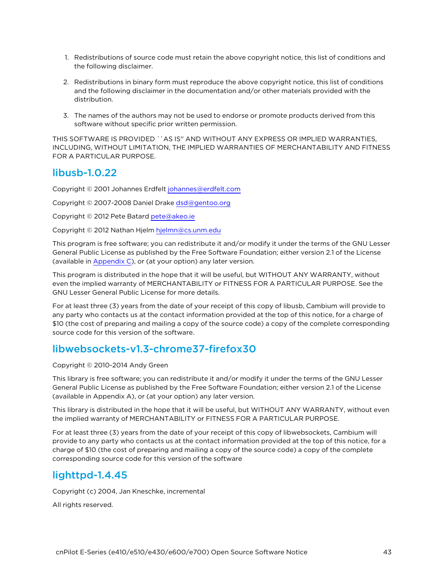- 1. Redistributions of source code must retain the above copyright notice, this list of conditions and the following disclaimer.
- 2. Redistributions in binary form must reproduce the above copyright notice, this list of conditions and the following disclaimer in the documentation and/or other materials provided with the distribution.
- 3. The names of the authors may not be used to endorse or promote products derived from this software without specific prior written permission.

THIS SOFTWARE IS PROVIDED ``AS IS'' AND WITHOUT ANY EXPRESS OR IMPLIED WARRANTIES, INCLUDING, WITHOUT LIMITATION, THE IMPLIED WARRANTIES OF MERCHANTABILITY AND FITNESS FOR A PARTICULAR PURPOSE.

### libusb-1.0.22

Copyright © 2001 Johannes Erdfelt [johannes@erdfelt.com](mailto:johannes@erdfelt.com)

Copyright © 2007-2008 Daniel Drake [dsd@gentoo.org](mailto:dsd@gentoo.org)

Copyright © 2012 Pete Batard [pete@akeo.ie](mailto:pete@akeo.ie)

Copyright © 2012 Nathan Hjelm [hjelmn@cs.unm.edu](mailto:hjelmn@cs.unm.edu)

This program is free software; you can redistribute it and/or modify it under the terms of the GNU Lesser General Public License as published by the Free Software Foundation; either version 2.1 of the License (available in [Appendix](Appendix C GNU Lesser General.htm) C), or (at your option) any later version.

This program is distributed in the hope that it will be useful, but WITHOUT ANY WARRANTY, without even the implied warranty of MERCHANTABILITY or FITNESS FOR A PARTICULAR PURPOSE. See the GNU Lesser General Public License for more details.

For at least three (3) years from the date of your receipt of this copy of libusb, Cambium will provide to any party who contacts us at the contact information provided at the top of this notice, for a charge of \$10 (the cost of preparing and mailing a copy of the source code) a copy of the complete corresponding source code for this version of the software.

### libwebsockets-v1.3-chrome37-firefox30

Copyright © 2010-2014 Andy Green

This library is free software; you can redistribute it and/or modify it under the terms of the GNU Lesser General Public License as published by the Free Software Foundation; either version 2.1 of the License (available in Appendix A), or (at your option) any later version.

This library is distributed in the hope that it will be useful, but WITHOUT ANY WARRANTY, without even the implied warranty of MERCHANTABILITY or FITNESS FOR A PARTICULAR PURPOSE.

For at least three (3) years from the date of your receipt of this copy of libwebsockets, Cambium will provide to any party who contacts us at the contact information provided at the top of this notice, for a charge of \$10 (the cost of preparing and mailing a copy of the source code) a copy of the complete corresponding source code for this version of the software

# lighttpd-1.4.45

Copyright (c) 2004, Jan Kneschke, incremental

All rights reserved.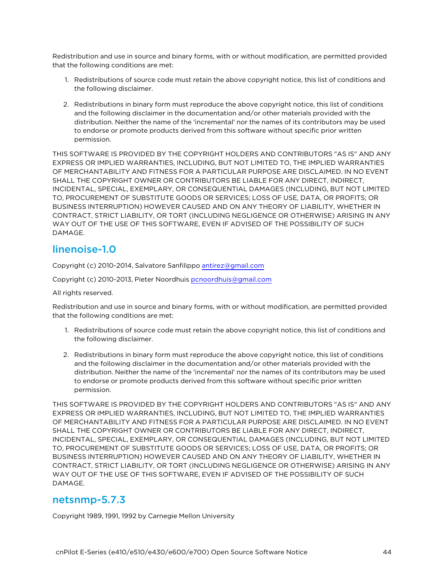Redistribution and use in source and binary forms, with or without modification, are permitted provided that the following conditions are met:

- 1. Redistributions of source code must retain the above copyright notice, this list of conditions and the following disclaimer.
- 2. Redistributions in binary form must reproduce the above copyright notice, this list of conditions and the following disclaimer in the documentation and/or other materials provided with the distribution. Neither the name of the 'incremental' nor the names of its contributors may be used to endorse or promote products derived from this software without specific prior written permission.

THIS SOFTWARE IS PROVIDED BY THE COPYRIGHT HOLDERS AND CONTRIBUTORS "AS IS" AND ANY EXPRESS OR IMPLIED WARRANTIES, INCLUDING, BUT NOT LIMITED TO, THE IMPLIED WARRANTIES OF MERCHANTABILITY AND FITNESS FOR A PARTICULAR PURPOSE ARE DISCLAIMED. IN NO EVENT SHALL THE COPYRIGHT OWNER OR CONTRIBUTORS BE LIABLE FOR ANY DIRECT, INDIRECT, INCIDENTAL, SPECIAL, EXEMPLARY, OR CONSEQUENTIAL DAMAGES (INCLUDING, BUT NOT LIMITED TO, PROCUREMENT OF SUBSTITUTE GOODS OR SERVICES; LOSS OF USE, DATA, OR PROFITS; OR BUSINESS INTERRUPTION) HOWEVER CAUSED AND ON ANY THEORY OF LIABILITY, WHETHER IN CONTRACT, STRICT LIABILITY, OR TORT (INCLUDING NEGLIGENCE OR OTHERWISE) ARISING IN ANY WAY OUT OF THE USE OF THIS SOFTWARE, EVEN IF ADVISED OF THE POSSIBILITY OF SUCH DAMAGE.

## linenoise-1.0

Copyright (c) 2010-2014, Salvatore Sanfilippo [antirez@gmail.com](mailto:antirez@gmail.com)

Copyright (c) 2010-2013, Pieter Noordhuis [pcnoordhuis@gmail.com](mailto:pcnoordhuis@gmail.com)

All rights reserved.

Redistribution and use in source and binary forms, with or without modification, are permitted provided that the following conditions are met:

- 1. Redistributions of source code must retain the above copyright notice, this list of conditions and the following disclaimer.
- 2. Redistributions in binary form must reproduce the above copyright notice, this list of conditions and the following disclaimer in the documentation and/or other materials provided with the distribution. Neither the name of the 'incremental' nor the names of its contributors may be used to endorse or promote products derived from this software without specific prior written permission.

THIS SOFTWARE IS PROVIDED BY THE COPYRIGHT HOLDERS AND CONTRIBUTORS "AS IS" AND ANY EXPRESS OR IMPLIED WARRANTIES, INCLUDING, BUT NOT LIMITED TO, THE IMPLIED WARRANTIES OF MERCHANTABILITY AND FITNESS FOR A PARTICULAR PURPOSE ARE DISCLAIMED. IN NO EVENT SHALL THE COPYRIGHT OWNER OR CONTRIBUTORS BE LIABLE FOR ANY DIRECT, INDIRECT, INCIDENTAL, SPECIAL, EXEMPLARY, OR CONSEQUENTIAL DAMAGES (INCLUDING, BUT NOT LIMITED TO, PROCUREMENT OF SUBSTITUTE GOODS OR SERVICES; LOSS OF USE, DATA, OR PROFITS; OR BUSINESS INTERRUPTION) HOWEVER CAUSED AND ON ANY THEORY OF LIABILITY, WHETHER IN CONTRACT, STRICT LIABILITY, OR TORT (INCLUDING NEGLIGENCE OR OTHERWISE) ARISING IN ANY WAY OUT OF THE USE OF THIS SOFTWARE, EVEN IF ADVISED OF THE POSSIBILITY OF SUCH DAMAGE.

#### netsnmp-5.7.3

Copyright 1989, 1991, 1992 by Carnegie Mellon University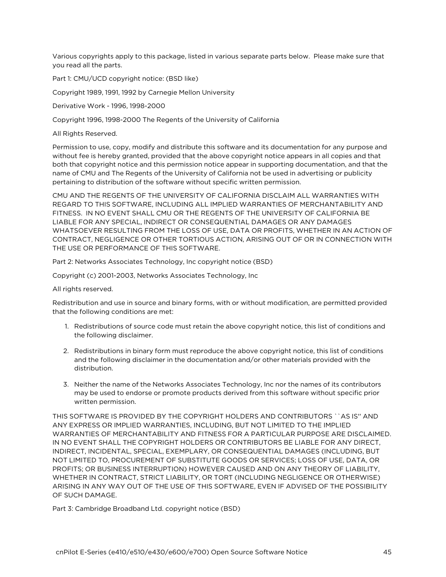Various copyrights apply to this package, listed in various separate parts below. Please make sure that you read all the parts.

Part 1: CMU/UCD copyright notice: (BSD like)

Copyright 1989, 1991, 1992 by Carnegie Mellon University

Derivative Work - 1996, 1998-2000

Copyright 1996, 1998-2000 The Regents of the University of California

All Rights Reserved.

Permission to use, copy, modify and distribute this software and its documentation for any purpose and without fee is hereby granted, provided that the above copyright notice appears in all copies and that both that copyright notice and this permission notice appear in supporting documentation, and that the name of CMU and The Regents of the University of California not be used in advertising or publicity pertaining to distribution of the software without specific written permission.

CMU AND THE REGENTS OF THE UNIVERSITY OF CALIFORNIA DISCLAIM ALL WARRANTIES WITH REGARD TO THIS SOFTWARE, INCLUDING ALL IMPLIED WARRANTIES OF MERCHANTABILITY AND FITNESS. IN NO EVENT SHALL CMU OR THE REGENTS OF THE UNIVERSITY OF CALIFORNIA BE LIABLE FOR ANY SPECIAL, INDIRECT OR CONSEQUENTIAL DAMAGES OR ANY DAMAGES WHATSOEVER RESULTING FROM THE LOSS OF USE, DATA OR PROFITS, WHETHER IN AN ACTION OF CONTRACT, NEGLIGENCE OR OTHER TORTIOUS ACTION, ARISING OUT OF OR IN CONNECTION WITH THE USE OR PERFORMANCE OF THIS SOFTWARE.

Part 2: Networks Associates Technology, Inc copyright notice (BSD)

Copyright (c) 2001-2003, Networks Associates Technology, Inc

All rights reserved.

Redistribution and use in source and binary forms, with or without modification, are permitted provided that the following conditions are met:

- 1. Redistributions of source code must retain the above copyright notice, this list of conditions and the following disclaimer.
- 2. Redistributions in binary form must reproduce the above copyright notice, this list of conditions and the following disclaimer in the documentation and/or other materials provided with the distribution.
- 3. Neither the name of the Networks Associates Technology, Inc nor the names of its contributors may be used to endorse or promote products derived from this software without specific prior written permission.

THIS SOFTWARE IS PROVIDED BY THE COPYRIGHT HOLDERS AND CONTRIBUTORS ``AS IS'' AND ANY EXPRESS OR IMPLIED WARRANTIES, INCLUDING, BUT NOT LIMITED TO THE IMPLIED WARRANTIES OF MERCHANTABILITY AND FITNESS FOR A PARTICULAR PURPOSE ARE DISCLAIMED. IN NO EVENT SHALL THE COPYRIGHT HOLDERS OR CONTRIBUTORS BE LIABLE FOR ANY DIRECT, INDIRECT, INCIDENTAL, SPECIAL, EXEMPLARY, OR CONSEQUENTIAL DAMAGES (INCLUDING, BUT NOT LIMITED TO, PROCUREMENT OF SUBSTITUTE GOODS OR SERVICES; LOSS OF USE, DATA, OR PROFITS; OR BUSINESS INTERRUPTION) HOWEVER CAUSED AND ON ANY THEORY OF LIABILITY, WHETHER IN CONTRACT, STRICT LIABILITY, OR TORT (INCLUDING NEGLIGENCE OR OTHERWISE) ARISING IN ANY WAY OUT OF THE USE OF THIS SOFTWARE, EVEN IF ADVISED OF THE POSSIBILITY OF SUCH DAMAGE.

Part 3: Cambridge Broadband Ltd. copyright notice (BSD)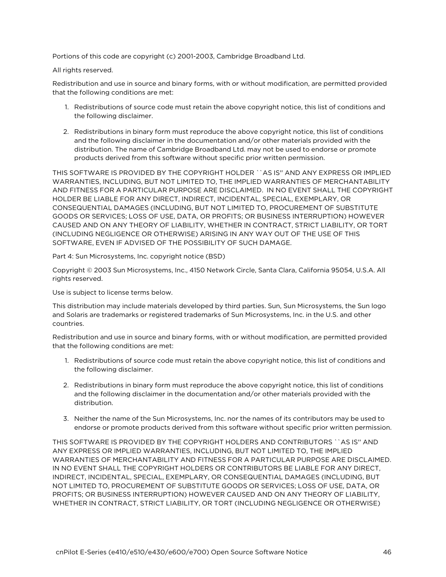Portions of this code are copyright (c) 2001-2003, Cambridge Broadband Ltd.

#### All rights reserved.

Redistribution and use in source and binary forms, with or without modification, are permitted provided that the following conditions are met:

- 1. Redistributions of source code must retain the above copyright notice, this list of conditions and the following disclaimer.
- 2. Redistributions in binary form must reproduce the above copyright notice, this list of conditions and the following disclaimer in the documentation and/or other materials provided with the distribution. The name of Cambridge Broadband Ltd. may not be used to endorse or promote products derived from this software without specific prior written permission.

THIS SOFTWARE IS PROVIDED BY THE COPYRIGHT HOLDER ``AS IS'' AND ANY EXPRESS OR IMPLIED WARRANTIES, INCLUDING, BUT NOT LIMITED TO, THE IMPLIED WARRANTIES OF MERCHANTABILITY AND FITNESS FOR A PARTICULAR PURPOSE ARE DISCLAIMED. IN NO EVENT SHALL THE COPYRIGHT HOLDER BE LIABLE FOR ANY DIRECT, INDIRECT, INCIDENTAL, SPECIAL, EXEMPLARY, OR CONSEQUENTIAL DAMAGES (INCLUDING, BUT NOT LIMITED TO, PROCUREMENT OF SUBSTITUTE GOODS OR SERVICES; LOSS OF USE, DATA, OR PROFITS; OR BUSINESS INTERRUPTION) HOWEVER CAUSED AND ON ANY THEORY OF LIABILITY, WHETHER IN CONTRACT, STRICT LIABILITY, OR TORT (INCLUDING NEGLIGENCE OR OTHERWISE) ARISING IN ANY WAY OUT OF THE USE OF THIS SOFTWARE, EVEN IF ADVISED OF THE POSSIBILITY OF SUCH DAMAGE.

Part 4: Sun Microsystems, Inc. copyright notice (BSD)

Copyright © 2003 Sun Microsystems, Inc., 4150 Network Circle, Santa Clara, California 95054, U.S.A. All rights reserved.

Use is subject to license terms below.

This distribution may include materials developed by third parties. Sun, Sun Microsystems, the Sun logo and Solaris are trademarks or registered trademarks of Sun Microsystems, Inc. in the U.S. and other countries.

Redistribution and use in source and binary forms, with or without modification, are permitted provided that the following conditions are met:

- 1. Redistributions of source code must retain the above copyright notice, this list of conditions and the following disclaimer.
- 2. Redistributions in binary form must reproduce the above copyright notice, this list of conditions and the following disclaimer in the documentation and/or other materials provided with the distribution.
- 3. Neither the name of the Sun Microsystems, Inc. nor the names of its contributors may be used to endorse or promote products derived from this software without specific prior written permission.

THIS SOFTWARE IS PROVIDED BY THE COPYRIGHT HOLDERS AND CONTRIBUTORS ``AS IS'' AND ANY EXPRESS OR IMPLIED WARRANTIES, INCLUDING, BUT NOT LIMITED TO, THE IMPLIED WARRANTIES OF MERCHANTABILITY AND FITNESS FOR A PARTICULAR PURPOSE ARE DISCLAIMED. IN NO EVENT SHALL THE COPYRIGHT HOLDERS OR CONTRIBUTORS BE LIABLE FOR ANY DIRECT, INDIRECT, INCIDENTAL, SPECIAL, EXEMPLARY, OR CONSEQUENTIAL DAMAGES (INCLUDING, BUT NOT LIMITED TO, PROCUREMENT OF SUBSTITUTE GOODS OR SERVICES; LOSS OF USE, DATA, OR PROFITS; OR BUSINESS INTERRUPTION) HOWEVER CAUSED AND ON ANY THEORY OF LIABILITY, WHETHER IN CONTRACT, STRICT LIABILITY, OR TORT (INCLUDING NEGLIGENCE OR OTHERWISE)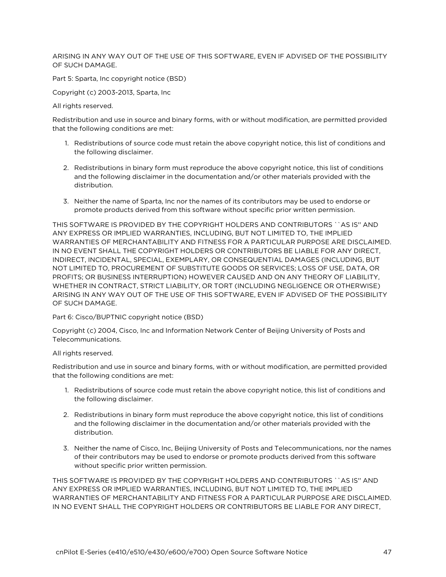ARISING IN ANY WAY OUT OF THE USE OF THIS SOFTWARE, EVEN IF ADVISED OF THE POSSIBILITY OF SUCH DAMAGE.

Part 5: Sparta, Inc copyright notice (BSD)

Copyright (c) 2003-2013, Sparta, Inc

All rights reserved.

Redistribution and use in source and binary forms, with or without modification, are permitted provided that the following conditions are met:

- 1. Redistributions of source code must retain the above copyright notice, this list of conditions and the following disclaimer.
- 2. Redistributions in binary form must reproduce the above copyright notice, this list of conditions and the following disclaimer in the documentation and/or other materials provided with the distribution.
- 3. Neither the name of Sparta, Inc nor the names of its contributors may be used to endorse or promote products derived from this software without specific prior written permission.

THIS SOFTWARE IS PROVIDED BY THE COPYRIGHT HOLDERS AND CONTRIBUTORS ``AS IS" AND ANY EXPRESS OR IMPLIED WARRANTIES, INCLUDING, BUT NOT LIMITED TO, THE IMPLIED WARRANTIES OF MERCHANTABILITY AND FITNESS FOR A PARTICULAR PURPOSE ARE DISCLAIMED. IN NO EVENT SHALL THE COPYRIGHT HOLDERS OR CONTRIBUTORS BE LIABLE FOR ANY DIRECT, INDIRECT, INCIDENTAL, SPECIAL, EXEMPLARY, OR CONSEQUENTIAL DAMAGES (INCLUDING, BUT NOT LIMITED TO, PROCUREMENT OF SUBSTITUTE GOODS OR SERVICES; LOSS OF USE, DATA, OR PROFITS; OR BUSINESS INTERRUPTION) HOWEVER CAUSED AND ON ANY THEORY OF LIABILITY, WHETHER IN CONTRACT, STRICT LIABILITY, OR TORT (INCLUDING NEGLIGENCE OR OTHERWISE) ARISING IN ANY WAY OUT OF THE USE OF THIS SOFTWARE, EVEN IF ADVISED OF THE POSSIBILITY OF SUCH DAMAGE.

Part 6: Cisco/BUPTNIC copyright notice (BSD)

Copyright (c) 2004, Cisco, Inc and Information Network Center of Beijing University of Posts and Telecommunications.

All rights reserved.

Redistribution and use in source and binary forms, with or without modification, are permitted provided that the following conditions are met:

- 1. Redistributions of source code must retain the above copyright notice, this list of conditions and the following disclaimer.
- 2. Redistributions in binary form must reproduce the above copyright notice, this list of conditions and the following disclaimer in the documentation and/or other materials provided with the distribution.
- 3. Neither the name of Cisco, Inc, Beijing University of Posts and Telecommunications, nor the names of their contributors may be used to endorse or promote products derived from this software without specific prior written permission.

THIS SOFTWARE IS PROVIDED BY THE COPYRIGHT HOLDERS AND CONTRIBUTORS ``AS IS'' AND ANY EXPRESS OR IMPLIED WARRANTIES, INCLUDING, BUT NOT LIMITED TO, THE IMPLIED WARRANTIES OF MERCHANTABILITY AND FITNESS FOR A PARTICULAR PURPOSE ARE DISCLAIMED. IN NO EVENT SHALL THE COPYRIGHT HOLDERS OR CONTRIBUTORS BE LIABLE FOR ANY DIRECT,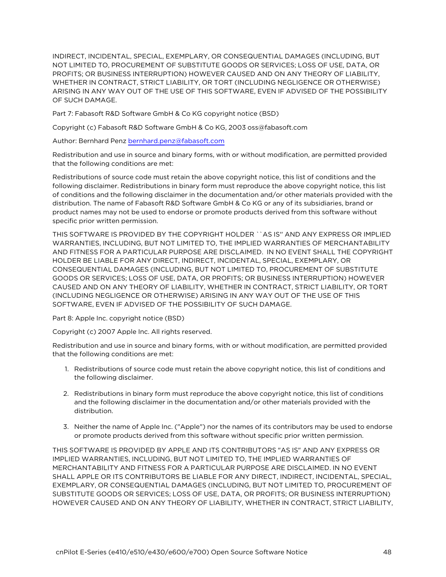INDIRECT, INCIDENTAL, SPECIAL, EXEMPLARY, OR CONSEQUENTIAL DAMAGES (INCLUDING, BUT NOT LIMITED TO, PROCUREMENT OF SUBSTITUTE GOODS OR SERVICES; LOSS OF USE, DATA, OR PROFITS; OR BUSINESS INTERRUPTION) HOWEVER CAUSED AND ON ANY THEORY OF LIABILITY, WHETHER IN CONTRACT, STRICT LIABILITY, OR TORT (INCLUDING NEGLIGENCE OR OTHERWISE) ARISING IN ANY WAY OUT OF THE USE OF THIS SOFTWARE, EVEN IF ADVISED OF THE POSSIBILITY OF SUCH DAMAGE.

Part 7: Fabasoft R&D Software GmbH & Co KG copyright notice (BSD)

Copyright (c) Fabasoft R&D Software GmbH & Co KG, 2003 oss@fabasoft.com

Author: Bernhard Penz [bernhard.penz@fabasoft.com](mailto:bernhard.penz@fabasoft.com)

Redistribution and use in source and binary forms, with or without modification, are permitted provided that the following conditions are met:

Redistributions of source code must retain the above copyright notice, this list of conditions and the following disclaimer. Redistributions in binary form must reproduce the above copyright notice, this list of conditions and the following disclaimer in the documentation and/or other materials provided with the distribution. The name of Fabasoft R&D Software GmbH & Co KG or any of its subsidiaries, brand or product names may not be used to endorse or promote products derived from this software without specific prior written permission.

THIS SOFTWARE IS PROVIDED BY THE COPYRIGHT HOLDER ``AS IS'' AND ANY EXPRESS OR IMPLIED WARRANTIES, INCLUDING, BUT NOT LIMITED TO, THE IMPLIED WARRANTIES OF MERCHANTABILITY AND FITNESS FOR A PARTICULAR PURPOSE ARE DISCLAIMED. IN NO EVENT SHALL THE COPYRIGHT HOLDER BE LIABLE FOR ANY DIRECT, INDIRECT, INCIDENTAL, SPECIAL, EXEMPLARY, OR CONSEQUENTIAL DAMAGES (INCLUDING, BUT NOT LIMITED TO, PROCUREMENT OF SUBSTITUTE GOODS OR SERVICES; LOSS OF USE, DATA, OR PROFITS; OR BUSINESS INTERRUPTION) HOWEVER CAUSED AND ON ANY THEORY OF LIABILITY, WHETHER IN CONTRACT, STRICT LIABILITY, OR TORT (INCLUDING NEGLIGENCE OR OTHERWISE) ARISING IN ANY WAY OUT OF THE USE OF THIS SOFTWARE, EVEN IF ADVISED OF THE POSSIBILITY OF SUCH DAMAGE.

Part 8: Apple Inc. copyright notice (BSD)

Copyright (c) 2007 Apple Inc. All rights reserved.

Redistribution and use in source and binary forms, with or without modification, are permitted provided that the following conditions are met:

- 1. Redistributions of source code must retain the above copyright notice, this list of conditions and the following disclaimer.
- 2. Redistributions in binary form must reproduce the above copyright notice, this list of conditions and the following disclaimer in the documentation and/or other materials provided with the distribution.
- 3. Neither the name of Apple Inc. ("Apple") nor the names of its contributors may be used to endorse or promote products derived from this software without specific prior written permission.

THIS SOFTWARE IS PROVIDED BY APPLE AND ITS CONTRIBUTORS "AS IS" AND ANY EXPRESS OR IMPLIED WARRANTIES, INCLUDING, BUT NOT LIMITED TO, THE IMPLIED WARRANTIES OF MERCHANTABILITY AND FITNESS FOR A PARTICULAR PURPOSE ARE DISCLAIMED. IN NO EVENT SHALL APPLE OR ITS CONTRIBUTORS BE LIABLE FOR ANY DIRECT, INDIRECT, INCIDENTAL, SPECIAL, EXEMPLARY, OR CONSEQUENTIAL DAMAGES (INCLUDING, BUT NOT LIMITED TO, PROCUREMENT OF SUBSTITUTE GOODS OR SERVICES; LOSS OF USE, DATA, OR PROFITS; OR BUSINESS INTERRUPTION) HOWEVER CAUSED AND ON ANY THEORY OF LIABILITY, WHETHER IN CONTRACT, STRICT LIABILITY,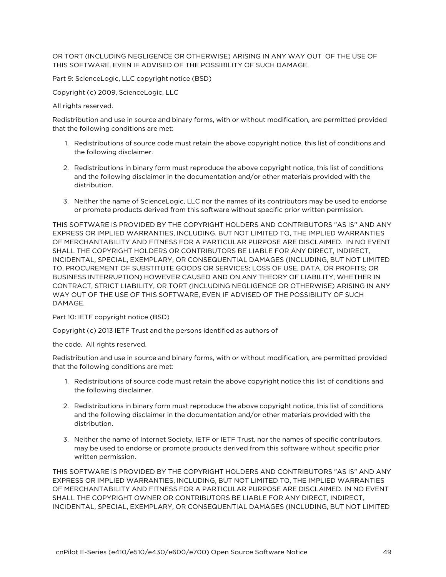OR TORT (INCLUDING NEGLIGENCE OR OTHERWISE) ARISING IN ANY WAY OUT OF THE USE OF THIS SOFTWARE, EVEN IF ADVISED OF THE POSSIBILITY OF SUCH DAMAGE.

Part 9: ScienceLogic, LLC copyright notice (BSD)

Copyright (c) 2009, ScienceLogic, LLC

All rights reserved.

Redistribution and use in source and binary forms, with or without modification, are permitted provided that the following conditions are met:

- 1. Redistributions of source code must retain the above copyright notice, this list of conditions and the following disclaimer.
- 2. Redistributions in binary form must reproduce the above copyright notice, this list of conditions and the following disclaimer in the documentation and/or other materials provided with the distribution.
- 3. Neither the name of ScienceLogic, LLC nor the names of its contributors may be used to endorse or promote products derived from this software without specific prior written permission.

THIS SOFTWARE IS PROVIDED BY THE COPYRIGHT HOLDERS AND CONTRIBUTORS "AS IS'' AND ANY EXPRESS OR IMPLIED WARRANTIES, INCLUDING, BUT NOT LIMITED TO, THE IMPLIED WARRANTIES OF MERCHANTABILITY AND FITNESS FOR A PARTICULAR PURPOSE ARE DISCLAIMED. IN NO EVENT SHALL THE COPYRIGHT HOLDERS OR CONTRIBUTORS BE LIABLE FOR ANY DIRECT, INDIRECT, INCIDENTAL, SPECIAL, EXEMPLARY, OR CONSEQUENTIAL DAMAGES (INCLUDING, BUT NOT LIMITED TO, PROCUREMENT OF SUBSTITUTE GOODS OR SERVICES; LOSS OF USE, DATA, OR PROFITS; OR BUSINESS INTERRUPTION) HOWEVER CAUSED AND ON ANY THEORY OF LIABILITY, WHETHER IN CONTRACT, STRICT LIABILITY, OR TORT (INCLUDING NEGLIGENCE OR OTHERWISE) ARISING IN ANY WAY OUT OF THE USE OF THIS SOFTWARE, EVEN IF ADVISED OF THE POSSIBILITY OF SUCH DAMAGE.

Part 10: IETF copyright notice (BSD)

Copyright (c) 2013 IETF Trust and the persons identified as authors of

the code. All rights reserved.

Redistribution and use in source and binary forms, with or without modification, are permitted provided that the following conditions are met:

- 1. Redistributions of source code must retain the above copyright notice this list of conditions and the following disclaimer.
- 2. Redistributions in binary form must reproduce the above copyright notice, this list of conditions and the following disclaimer in the documentation and/or other materials provided with the distribution.
- 3. Neither the name of Internet Society, IETF or IETF Trust, nor the names of specific contributors, may be used to endorse or promote products derived from this software without specific prior written permission.

THIS SOFTWARE IS PROVIDED BY THE COPYRIGHT HOLDERS AND CONTRIBUTORS "AS IS" AND ANY EXPRESS OR IMPLIED WARRANTIES, INCLUDING, BUT NOT LIMITED TO, THE IMPLIED WARRANTIES OF MERCHANTABILITY AND FITNESS FOR A PARTICULAR PURPOSE ARE DISCLAIMED. IN NO EVENT SHALL THE COPYRIGHT OWNER OR CONTRIBUTORS BE LIABLE FOR ANY DIRECT, INDIRECT, INCIDENTAL, SPECIAL, EXEMPLARY, OR CONSEQUENTIAL DAMAGES (INCLUDING, BUT NOT LIMITED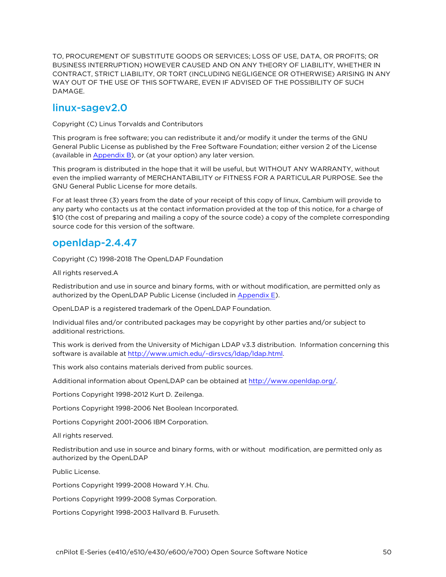TO, PROCUREMENT OF SUBSTITUTE GOODS OR SERVICES; LOSS OF USE, DATA, OR PROFITS; OR BUSINESS INTERRUPTION) HOWEVER CAUSED AND ON ANY THEORY OF LIABILITY, WHETHER IN CONTRACT, STRICT LIABILITY, OR TORT (INCLUDING NEGLIGENCE OR OTHERWISE) ARISING IN ANY WAY OUT OF THE USE OF THIS SOFTWARE, EVEN IF ADVISED OF THE POSSIBILITY OF SUCH DAMAGE.

#### linux-sagev2.0

Copyright (C) Linus Torvalds and Contributors

This program is free software; you can redistribute it and/or modify it under the terms of the GNU General Public License as published by the Free Software Foundation; either version 2 of the License (available in [Appendix](Appendix B Legal.htm) B), or (at your option) any later version.

This program is distributed in the hope that it will be useful, but WITHOUT ANY WARRANTY, without even the implied warranty of MERCHANTABILITY or FITNESS FOR A PARTICULAR PURPOSE. See the GNU General Public License for more details.

For at least three (3) years from the date of your receipt of this copy of linux, Cambium will provide to any party who contacts us at the contact information provided at the top of this notice, for a charge of \$10 (the cost of preparing and mailing a copy of the source code) a copy of the complete corresponding source code for this version of the software.

## openldap-2.4.47

Copyright (C) 1998-2018 The OpenLDAP Foundation

All rights reserved.A

Redistribution and use in source and binary forms, with or without modification, are permitted only as authorized by the OpenLDAP Public License (included in [Appendix](#page-92-0) E).

OpenLDAP is a registered trademark of the OpenLDAP Foundation.

Individual files and/or contributed packages may be copyright by other parties and/or subject to additional restrictions.

This work is derived from the University of Michigan LDAP v3.3 distribution. Information concerning this software is available at <http://www.umich.edu/~dirsvcs/ldap/ldap.html>.

This work also contains materials derived from public sources.

Additional information about OpenLDAP can be obtained at [http://www.openldap.org/.](http://www.openldap.org/)

Portions Copyright 1998-2012 Kurt D. Zeilenga.

Portions Copyright 1998-2006 Net Boolean Incorporated.

Portions Copyright 2001-2006 IBM Corporation.

All rights reserved.

Redistribution and use in source and binary forms, with or without modification, are permitted only as authorized by the OpenLDAP

Public License.

Portions Copyright 1999-2008 Howard Y.H. Chu.

Portions Copyright 1999-2008 Symas Corporation.

Portions Copyright 1998-2003 Hallvard B. Furuseth.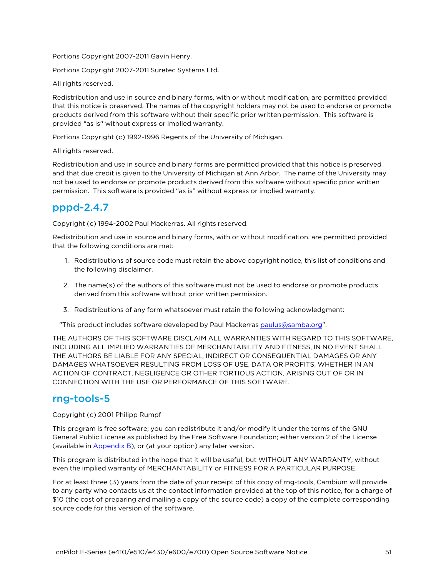Portions Copyright 2007-2011 Gavin Henry.

Portions Copyright 2007-2011 Suretec Systems Ltd.

All rights reserved.

Redistribution and use in source and binary forms, with or without modification, are permitted provided that this notice is preserved. The names of the copyright holders may not be used to endorse or promote products derived from this software without their specific prior written permission. This software is provided "as is'' without express or implied warranty.

Portions Copyright (c) 1992-1996 Regents of the University of Michigan.

All rights reserved.

Redistribution and use in source and binary forms are permitted provided that this notice is preserved and that due credit is given to the University of Michigan at Ann Arbor. The name of the University may not be used to endorse or promote products derived from this software without specific prior written permission. This software is provided "as is" without express or implied warranty.

# pppd-2.4.7

Copyright (c) 1994-2002 Paul Mackerras. All rights reserved.

Redistribution and use in source and binary forms, with or without modification, are permitted provided that the following conditions are met:

- 1. Redistributions of source code must retain the above copyright notice, this list of conditions and the following disclaimer.
- 2. The name(s) of the authors of this software must not be used to endorse or promote products derived from this software without prior written permission.
- 3. Redistributions of any form whatsoever must retain the following acknowledgment:

"This product includes software developed by Paul Mackerras [paulus@samba.org"](mailto:paulus@samba.org).

THE AUTHORS OF THIS SOFTWARE DISCLAIM ALL WARRANTIES WITH REGARD TO THIS SOFTWARE, INCLUDING ALL IMPLIED WARRANTIES OF MERCHANTABILITY AND FITNESS, IN NO EVENT SHALL THE AUTHORS BE LIABLE FOR ANY SPECIAL, INDIRECT OR CONSEQUENTIAL DAMAGES OR ANY DAMAGES WHATSOEVER RESULTING FROM LOSS OF USE, DATA OR PROFITS, WHETHER IN AN ACTION OF CONTRACT, NEGLIGENCE OR OTHER TORTIOUS ACTION, ARISING OUT OF OR IN CONNECTION WITH THE USE OR PERFORMANCE OF THIS SOFTWARE.

### rng-tools-5

Copyright (c) 2001 Philipp Rumpf

This program is free software; you can redistribute it and/or modify it under the terms of the GNU General Public License as published by the Free Software Foundation; either version 2 of the License (available in [Appendix](Appendix B Legal.htm) B), or (at your option) any later version.

This program is distributed in the hope that it will be useful, but WITHOUT ANY WARRANTY, without even the implied warranty of MERCHANTABILITY or FITNESS FOR A PARTICULAR PURPOSE.

For at least three (3) years from the date of your receipt of this copy of rng-tools, Cambium will provide to any party who contacts us at the contact information provided at the top of this notice, for a charge of \$10 (the cost of preparing and mailing a copy of the source code) a copy of the complete corresponding source code for this version of the software.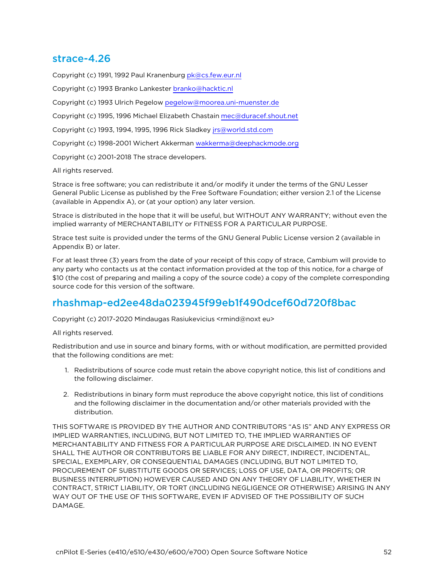#### strace-4.26

Copyright (c) 1991, 1992 Paul Kranenburg [pk@cs.few.eur.nl](mailto:pk@cs.few.eur.nl)

Copyright (c) 1993 Branko Lankester [branko@hacktic.nl](mailto:branko@hacktic.nl)

Copyright (c) 1993 Ulrich Pegelow [pegelow@moorea.uni-muenster.de](mailto:pegelow@moorea.uni-muenster.de)

Copyright (c) 1995, 1996 Michael Elizabeth Chastain [mec@duracef.shout.net](mailto:mec@duracef.shout.net)

Copyright (c) 1993, 1994, 1995, 1996 Rick Sladkey [jrs@world.std.com](mailto:jrs@world.std.com)

Copyright (c) 1998-2001 Wichert Akkerman [wakkerma@deephackmode.org](mailto:wakkerma@deephackmode.org)

Copyright (c) 2001-2018 The strace developers.

All rights reserved.

Strace is free software; you can redistribute it and/or modify it under the terms of the GNU Lesser General Public License as published by the Free Software Foundation; either version 2.1 of the License (available in Appendix A), or (at your option) any later version.

Strace is distributed in the hope that it will be useful, but WITHOUT ANY WARRANTY; without even the implied warranty of MERCHANTABILITY or FITNESS FOR A PARTICULAR PURPOSE.

Strace test suite is provided under the terms of the GNU General Public License version 2 (available in Appendix B) or later.

For at least three (3) years from the date of your receipt of this copy of strace, Cambium will provide to any party who contacts us at the contact information provided at the top of this notice, for a charge of \$10 (the cost of preparing and mailing a copy of the source code) a copy of the complete corresponding source code for this version of the software.

### rhashmap-ed2ee48da023945f99eb1f490dcef60d720f8bac

Copyright (c) 2017-2020 Mindaugas Rasiukevicius <rmind@noxt eu>

All rights reserved.

Redistribution and use in source and binary forms, with or without modification, are permitted provided that the following conditions are met:

- 1. Redistributions of source code must retain the above copyright notice, this list of conditions and the following disclaimer.
- 2. Redistributions in binary form must reproduce the above copyright notice, this list of conditions and the following disclaimer in the documentation and/or other materials provided with the distribution.

THIS SOFTWARE IS PROVIDED BY THE AUTHOR AND CONTRIBUTORS "AS IS" AND ANY EXPRESS OR IMPLIED WARRANTIES, INCLUDING, BUT NOT LIMITED TO, THE IMPLIED WARRANTIES OF MERCHANTABILITY AND FITNESS FOR A PARTICULAR PURPOSE ARE DISCLAIMED. IN NO EVENT SHALL THE AUTHOR OR CONTRIBUTORS BE LIABLE FOR ANY DIRECT, INDIRECT, INCIDENTAL, SPECIAL, EXEMPLARY, OR CONSEQUENTIAL DAMAGES (INCLUDING, BUT NOT LIMITED TO, PROCUREMENT OF SUBSTITUTE GOODS OR SERVICES; LOSS OF USE, DATA, OR PROFITS; OR BUSINESS INTERRUPTION) HOWEVER CAUSED AND ON ANY THEORY OF LIABILITY, WHETHER IN CONTRACT, STRICT LIABILITY, OR TORT (INCLUDING NEGLIGENCE OR OTHERWISE) ARISING IN ANY WAY OUT OF THE USE OF THIS SOFTWARE, EVEN IF ADVISED OF THE POSSIBILITY OF SUCH DAMAGE.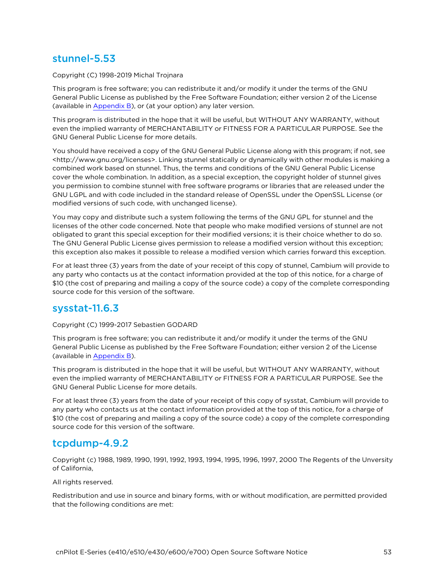### stunnel-5.53

Copyright (C) 1998-2019 Michal Trojnara

This program is free software; you can redistribute it and/or modify it under the terms of the GNU General Public License as published by the Free Software Foundation; either version 2 of the License (available in [Appendix](Appendix B Legal.htm) B), or (at your option) any later version.

This program is distributed in the hope that it will be useful, but WITHOUT ANY WARRANTY, without even the implied warranty of MERCHANTABILITY or FITNESS FOR A PARTICULAR PURPOSE. See the GNU General Public License for more details.

You should have received a copy of the GNU General Public License along with this program; if not, see <http://www.gnu.org/licenses>. Linking stunnel statically or dynamically with other modules is making a combined work based on stunnel. Thus, the terms and conditions of the GNU General Public License cover the whole combination. In addition, as a special exception, the copyright holder of stunnel gives you permission to combine stunnel with free software programs or libraries that are released under the GNU LGPL and with code included in the standard release of OpenSSL under the OpenSSL License (or modified versions of such code, with unchanged license).

You may copy and distribute such a system following the terms of the GNU GPL for stunnel and the licenses of the other code concerned. Note that people who make modified versions of stunnel are not obligated to grant this special exception for their modified versions; it is their choice whether to do so. The GNU General Public License gives permission to release a modified version without this exception; this exception also makes it possible to release a modified version which carries forward this exception.

For at least three (3) years from the date of your receipt of this copy of stunnel, Cambium will provide to any party who contacts us at the contact information provided at the top of this notice, for a charge of \$10 (the cost of preparing and mailing a copy of the source code) a copy of the complete corresponding source code for this version of the software.

### sysstat-11.6.3

#### Copyright (C) 1999-2017 Sebastien GODARD

This program is free software; you can redistribute it and/or modify it under the terms of the GNU General Public License as published by the Free Software Foundation; either version 2 of the License (available in [Appendix](Appendix B Legal.htm) B).

This program is distributed in the hope that it will be useful, but WITHOUT ANY WARRANTY, without even the implied warranty of MERCHANTABILITY or FITNESS FOR A PARTICULAR PURPOSE. See the GNU General Public License for more details.

For at least three (3) years from the date of your receipt of this copy of sysstat, Cambium will provide to any party who contacts us at the contact information provided at the top of this notice, for a charge of \$10 (the cost of preparing and mailing a copy of the source code) a copy of the complete corresponding source code for this version of the software.

#### tcpdump-4.9.2

Copyright (c) 1988, 1989, 1990, 1991, 1992, 1993, 1994, 1995, 1996, 1997, 2000 The Regents of the Unversity of California,

All rights reserved.

Redistribution and use in source and binary forms, with or without modification, are permitted provided that the following conditions are met: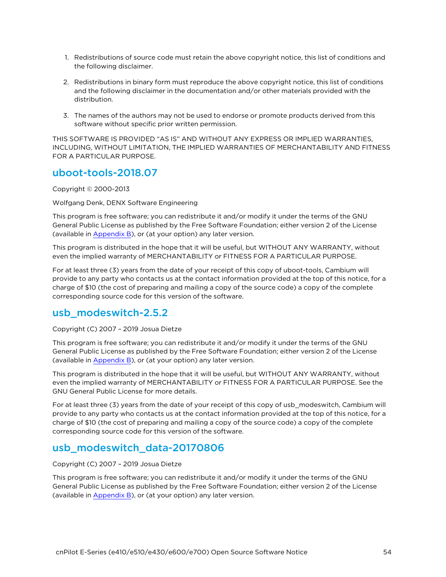- 1. Redistributions of source code must retain the above copyright notice, this list of conditions and the following disclaimer.
- 2. Redistributions in binary form must reproduce the above copyright notice, this list of conditions and the following disclaimer in the documentation and/or other materials provided with the distribution.
- 3. The names of the authors may not be used to endorse or promote products derived from this software without specific prior written permission.

THIS SOFTWARE IS PROVIDED "AS IS" AND WITHOUT ANY EXPRESS OR IMPLIED WARRANTIES, INCLUDING, WITHOUT LIMITATION, THE IMPLIED WARRANTIES OF MERCHANTABILITY AND FITNESS FOR A PARTICULAR PURPOSE.

#### uboot-tools-2018.07

Copyright © 2000-2013

Wolfgang Denk, DENX Software Engineering

This program is free software; you can redistribute it and/or modify it under the terms of the GNU General Public License as published by the Free Software Foundation; either version 2 of the License (available in [Appendix](Appendix B Legal.htm) B), or (at your option) any later version.

This program is distributed in the hope that it will be useful, but WITHOUT ANY WARRANTY, without even the implied warranty of MERCHANTABILITY or FITNESS FOR A PARTICULAR PURPOSE.

For at least three (3) years from the date of your receipt of this copy of uboot-tools, Cambium will provide to any party who contacts us at the contact information provided at the top of this notice, for a charge of \$10 (the cost of preparing and mailing a copy of the source code) a copy of the complete corresponding source code for this version of the software.

#### usb\_modeswitch-2.5.2

Copyright (C) 2007 – 2019 Josua Dietze

This program is free software; you can redistribute it and/or modify it under the terms of the GNU General Public License as published by the Free Software Foundation; either version 2 of the License (available in [Appendix](Appendix B Legal.htm) B), or (at your option) any later version.

This program is distributed in the hope that it will be useful, but WITHOUT ANY WARRANTY, without even the implied warranty of MERCHANTABILITY or FITNESS FOR A PARTICULAR PURPOSE. See the GNU General Public License for more details.

For at least three (3) years from the date of your receipt of this copy of usb\_modeswitch, Cambium will provide to any party who contacts us at the contact information provided at the top of this notice, for a charge of \$10 (the cost of preparing and mailing a copy of the source code) a copy of the complete corresponding source code for this version of the software.

# usb\_modeswitch\_data-20170806

Copyright (C) 2007 – 2019 Josua Dietze

This program is free software; you can redistribute it and/or modify it under the terms of the GNU General Public License as published by the Free Software Foundation; either version 2 of the License (available in [Appendix](Appendix B Legal.htm) B), or (at your option) any later version.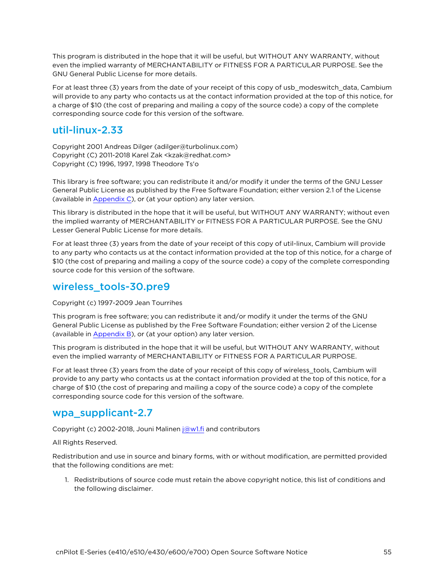This program is distributed in the hope that it will be useful, but WITHOUT ANY WARRANTY, without even the implied warranty of MERCHANTABILITY or FITNESS FOR A PARTICULAR PURPOSE. See the GNU General Public License for more details.

For at least three (3) years from the date of your receipt of this copy of usb\_modeswitch\_data, Cambium will provide to any party who contacts us at the contact information provided at the top of this notice, for a charge of \$10 (the cost of preparing and mailing a copy of the source code) a copy of the complete corresponding source code for this version of the software.

#### util-linux-2.33

Copyright 2001 Andreas Dilger (adilger@turbolinux.com) Copyright (C) 2011-2018 Karel Zak <kzak@redhat.com> Copyright (C) 1996, 1997, 1998 Theodore Ts'o

This library is free software; you can redistribute it and/or modify it under the terms of the GNU Lesser General Public License as published by the Free Software Foundation; either version 2.1 of the License (available in [Appendix](Appendix C GNU Lesser General.htm) C), or (at your option) any later version.

This library is distributed in the hope that it will be useful, but WITHOUT ANY WARRANTY; without even the implied warranty of MERCHANTABILITY or FITNESS FOR A PARTICULAR PURPOSE. See the GNU Lesser General Public License for more details.

For at least three (3) years from the date of your receipt of this copy of util-linux, Cambium will provide to any party who contacts us at the contact information provided at the top of this notice, for a charge of \$10 (the cost of preparing and mailing a copy of the source code) a copy of the complete corresponding source code for this version of the software.

# wireless tools-30.pre9

Copyright (c) 1997-2009 Jean Tourrihes

This program is free software; you can redistribute it and/or modify it under the terms of the GNU General Public License as published by the Free Software Foundation; either version 2 of the License (available in [Appendix](Appendix B Legal.htm) B), or (at your option) any later version.

This program is distributed in the hope that it will be useful, but WITHOUT ANY WARRANTY, without even the implied warranty of MERCHANTABILITY or FITNESS FOR A PARTICULAR PURPOSE.

For at least three (3) years from the date of your receipt of this copy of wireless\_tools, Cambium will provide to any party who contacts us at the contact information provided at the top of this notice, for a charge of \$10 (the cost of preparing and mailing a copy of the source code) a copy of the complete corresponding source code for this version of the software.

### wpa supplicant-2.7

Copyright (c) 2002-2018, Jouni Malinen [j@w1.fi](mailto:j@w1.fi) and contributors

#### All Rights Reserved.

Redistribution and use in source and binary forms, with or without modification, are permitted provided that the following conditions are met:

1. Redistributions of source code must retain the above copyright notice, this list of conditions and the following disclaimer.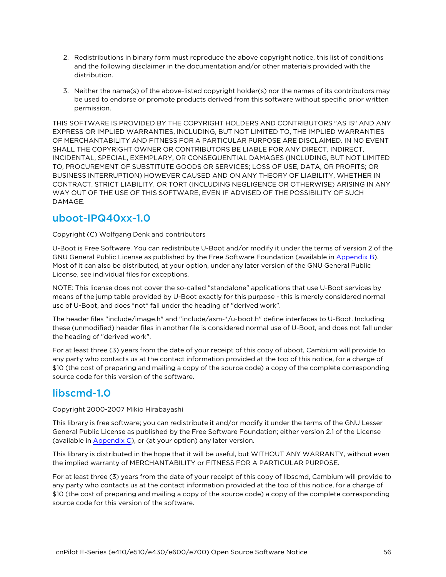- 2. Redistributions in binary form must reproduce the above copyright notice, this list of conditions and the following disclaimer in the documentation and/or other materials provided with the distribution.
- 3. Neither the name(s) of the above-listed copyright holder(s) nor the names of its contributors may be used to endorse or promote products derived from this software without specific prior written permission.

THIS SOFTWARE IS PROVIDED BY THE COPYRIGHT HOLDERS AND CONTRIBUTORS "AS IS" AND ANY EXPRESS OR IMPLIED WARRANTIES, INCLUDING, BUT NOT LIMITED TO, THE IMPLIED WARRANTIES OF MERCHANTABILITY AND FITNESS FOR A PARTICULAR PURPOSE ARE DISCLAIMED. IN NO EVENT SHALL THE COPYRIGHT OWNER OR CONTRIBUTORS BE LIABLE FOR ANY DIRECT, INDIRECT, INCIDENTAL, SPECIAL, EXEMPLARY, OR CONSEQUENTIAL DAMAGES (INCLUDING, BUT NOT LIMITED TO, PROCUREMENT OF SUBSTITUTE GOODS OR SERVICES; LOSS OF USE, DATA, OR PROFITS; OR BUSINESS INTERRUPTION) HOWEVER CAUSED AND ON ANY THEORY OF LIABILITY, WHETHER IN CONTRACT, STRICT LIABILITY, OR TORT (INCLUDING NEGLIGENCE OR OTHERWISE) ARISING IN ANY WAY OUT OF THE USE OF THIS SOFTWARE, EVEN IF ADVISED OF THE POSSIBILITY OF SUCH DAMAGE.

#### uboot-IPQ40xx-1.0

#### Copyright (C) Wolfgang Denk and contributors

U-Boot is Free Software. You can redistribute U-Boot and/or modify it under the terms of version 2 of the GNU General Public License as published by the Free Software Foundation (available in [Appendix](Appendix B Legal.htm) B). Most of it can also be distributed, at your option, under any later version of the GNU General Public License, see individual files for exceptions.

NOTE: This license does not cover the so-called "standalone" applications that use U-Boot services by means of the jump table provided by U-Boot exactly for this purpose - this is merely considered normal use of U-Boot, and does \*not\* fall under the heading of "derived work".

The header files "include/image.h" and "include/asm-\*/u-boot.h" define interfaces to U-Boot. Including these (unmodified) header files in another file is considered normal use of U-Boot, and does not fall under the heading of "derived work".

For at least three (3) years from the date of your receipt of this copy of uboot, Cambium will provide to any party who contacts us at the contact information provided at the top of this notice, for a charge of \$10 (the cost of preparing and mailing a copy of the source code) a copy of the complete corresponding source code for this version of the software.

# libscmd-1.0

Copyright 2000-2007 Mikio Hirabayashi

This library is free software; you can redistribute it and/or modify it under the terms of the GNU Lesser General Public License as published by the Free Software Foundation; either version 2.1 of the License (available in [Appendix](Appendix C GNU Lesser General.htm) C), or (at your option) any later version.

This library is distributed in the hope that it will be useful, but WITHOUT ANY WARRANTY, without even the implied warranty of MERCHANTABILITY or FITNESS FOR A PARTICULAR PURPOSE.

For at least three (3) years from the date of your receipt of this copy of libscmd, Cambium will provide to any party who contacts us at the contact information provided at the top of this notice, for a charge of \$10 (the cost of preparing and mailing a copy of the source code) a copy of the complete corresponding source code for this version of the software.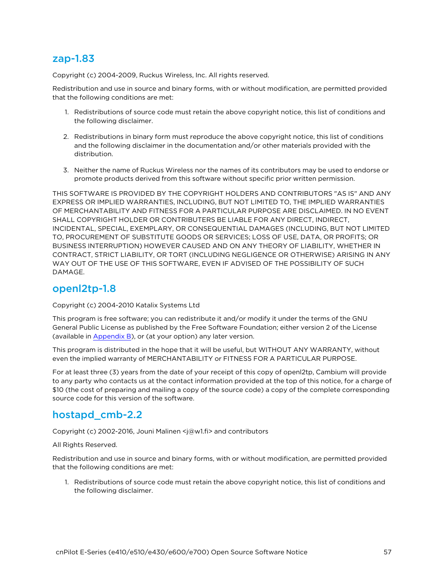#### zap-1.83

Copyright (c) 2004-2009, Ruckus Wireless, Inc. All rights reserved.

Redistribution and use in source and binary forms, with or without modification, are permitted provided that the following conditions are met:

- 1. Redistributions of source code must retain the above copyright notice, this list of conditions and the following disclaimer.
- 2. Redistributions in binary form must reproduce the above copyright notice, this list of conditions and the following disclaimer in the documentation and/or other materials provided with the distribution.
- 3. Neither the name of Ruckus Wireless nor the names of its contributors may be used to endorse or promote products derived from this software without specific prior written permission.

THIS SOFTWARE IS PROVIDED BY THE COPYRIGHT HOLDERS AND CONTRIBUTORS "AS IS" AND ANY EXPRESS OR IMPLIED WARRANTIES, INCLUDING, BUT NOT LIMITED TO, THE IMPLIED WARRANTIES OF MERCHANTABILITY AND FITNESS FOR A PARTICULAR PURPOSE ARE DISCLAIMED. IN NO EVENT SHALL COPYRIGHT HOLDER OR CONTRIBUTERS BE LIABLE FOR ANY DIRECT, INDIRECT, INCIDENTAL, SPECIAL, EXEMPLARY, OR CONSEQUENTIAL DAMAGES (INCLUDING, BUT NOT LIMITED TO, PROCUREMENT OF SUBSTITUTE GOODS OR SERVICES; LOSS OF USE, DATA, OR PROFITS; OR BUSINESS INTERRUPTION) HOWEVER CAUSED AND ON ANY THEORY OF LIABILITY, WHETHER IN CONTRACT, STRICT LIABILITY, OR TORT (INCLUDING NEGLIGENCE OR OTHERWISE) ARISING IN ANY WAY OUT OF THE USE OF THIS SOFTWARE, EVEN IF ADVISED OF THE POSSIBILITY OF SUCH DAMAGE.

#### openl2tp-1.8

Copyright (c) 2004-2010 Katalix Systems Ltd

This program is free software; you can redistribute it and/or modify it under the terms of the GNU General Public License as published by the Free Software Foundation; either version 2 of the License (available in [Appendix](Appendix B Legal.htm) B), or (at your option) any later version.

This program is distributed in the hope that it will be useful, but WITHOUT ANY WARRANTY, without even the implied warranty of MERCHANTABILITY or FITNESS FOR A PARTICULAR PURPOSE.

For at least three (3) years from the date of your receipt of this copy of openl2tp, Cambium will provide to any party who contacts us at the contact information provided at the top of this notice, for a charge of \$10 (the cost of preparing and mailing a copy of the source code) a copy of the complete corresponding source code for this version of the software.

### hostapd\_cmb-2.2

Copyright (c) 2002-2016, Jouni Malinen <j@w1.fi> and contributors

All Rights Reserved.

Redistribution and use in source and binary forms, with or without modification, are permitted provided that the following conditions are met:

1. Redistributions of source code must retain the above copyright notice, this list of conditions and the following disclaimer.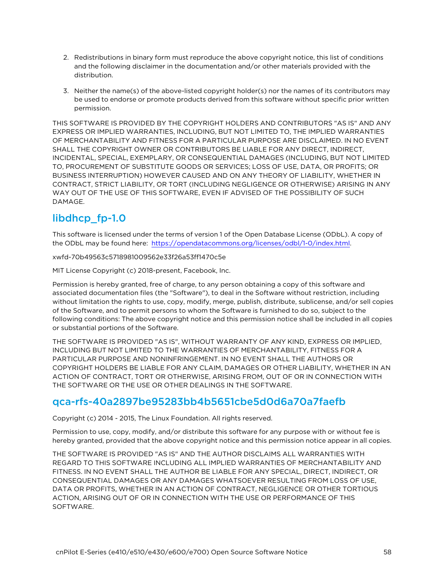- 2. Redistributions in binary form must reproduce the above copyright notice, this list of conditions and the following disclaimer in the documentation and/or other materials provided with the distribution.
- 3. Neither the name(s) of the above-listed copyright holder(s) nor the names of its contributors may be used to endorse or promote products derived from this software without specific prior written permission.

THIS SOFTWARE IS PROVIDED BY THE COPYRIGHT HOLDERS AND CONTRIBUTORS "AS IS" AND ANY EXPRESS OR IMPLIED WARRANTIES, INCLUDING, BUT NOT LIMITED TO, THE IMPLIED WARRANTIES OF MERCHANTABILITY AND FITNESS FOR A PARTICULAR PURPOSE ARE DISCLAIMED. IN NO EVENT SHALL THE COPYRIGHT OWNER OR CONTRIBUTORS BE LIABLE FOR ANY DIRECT, INDIRECT, INCIDENTAL, SPECIAL, EXEMPLARY, OR CONSEQUENTIAL DAMAGES (INCLUDING, BUT NOT LIMITED TO, PROCUREMENT OF SUBSTITUTE GOODS OR SERVICES; LOSS OF USE, DATA, OR PROFITS; OR BUSINESS INTERRUPTION) HOWEVER CAUSED AND ON ANY THEORY OF LIABILITY, WHETHER IN CONTRACT, STRICT LIABILITY, OR TORT (INCLUDING NEGLIGENCE OR OTHERWISE) ARISING IN ANY WAY OUT OF THE USE OF THIS SOFTWARE, EVEN IF ADVISED OF THE POSSIBILITY OF SUCH DAMAGE.

# libdhcp fp-1.0

This software is licensed under the terms of version 1 of the Open Database License (ODbL). A copy of the ODbL may be found here: <https://opendatacommons.org/licenses/odbl/1-0/index.html>.

xwfd-70b49563c5718981009562e33f26a53ff1470c5e

MIT License Copyright (c) 2018-present, Facebook, Inc.

Permission is hereby granted, free of charge, to any person obtaining a copy of this software and associated documentation files (the "Software"), to deal in the Software without restriction, including without limitation the rights to use, copy, modify, merge, publish, distribute, sublicense, and/or sell copies of the Software, and to permit persons to whom the Software is furnished to do so, subject to the following conditions: The above copyright notice and this permission notice shall be included in all copies or substantial portions of the Software.

THE SOFTWARE IS PROVIDED "AS IS", WITHOUT WARRANTY OF ANY KIND, EXPRESS OR IMPLIED, INCLUDING BUT NOT LIMITED TO THE WARRANTIES OF MERCHANTABILITY, FITNESS FOR A PARTICULAR PURPOSE AND NONINFRINGEMENT. IN NO EVENT SHALL THE AUTHORS OR COPYRIGHT HOLDERS BE LIABLE FOR ANY CLAIM, DAMAGES OR OTHER LIABILITY, WHETHER IN AN ACTION OF CONTRACT, TORT OR OTHERWISE, ARISING FROM, OUT OF OR IN CONNECTION WITH THE SOFTWARE OR THE USE OR OTHER DEALINGS IN THE SOFTWARE.

# qca-rfs-40a2897be95283bb4b5651cbe5d0d6a70a7faefb

Copyright (c) 2014 - 2015, The Linux Foundation. All rights reserved.

Permission to use, copy, modify, and/or distribute this software for any purpose with or without fee is hereby granted, provided that the above copyright notice and this permission notice appear in all copies.

THE SOFTWARE IS PROVIDED "AS IS" AND THE AUTHOR DISCLAIMS ALL WARRANTIES WITH REGARD TO THIS SOFTWARE INCLUDING ALL IMPLIED WARRANTIES OF MERCHANTABILITY AND FITNESS. IN NO EVENT SHALL THE AUTHOR BE LIABLE FOR ANY SPECIAL, DIRECT, INDIRECT, OR CONSEQUENTIAL DAMAGES OR ANY DAMAGES WHATSOEVER RESULTING FROM LOSS OF USE, DATA OR PROFITS, WHETHER IN AN ACTION OF CONTRACT, NEGLIGENCE OR OTHER TORTIOUS ACTION, ARISING OUT OF OR IN CONNECTION WITH THE USE OR PERFORMANCE OF THIS SOFTWARE.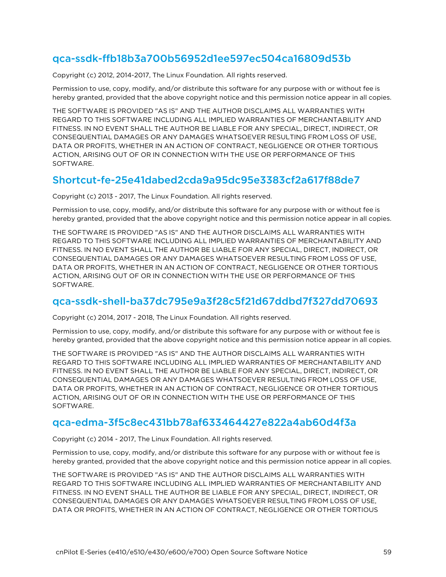# qca-ssdk-ffb18b3a700b56952d1ee597ec504ca16809d53b

Copyright (c) 2012, 2014-2017, The Linux Foundation. All rights reserved.

Permission to use, copy, modify, and/or distribute this software for any purpose with or without fee is hereby granted, provided that the above copyright notice and this permission notice appear in all copies.

THE SOFTWARE IS PROVIDED "AS IS" AND THE AUTHOR DISCLAIMS ALL WARRANTIES WITH REGARD TO THIS SOFTWARE INCLUDING ALL IMPLIED WARRANTIES OF MERCHANTABILITY AND FITNESS. IN NO EVENT SHALL THE AUTHOR BE LIABLE FOR ANY SPECIAL, DIRECT, INDIRECT, OR CONSEQUENTIAL DAMAGES OR ANY DAMAGES WHATSOEVER RESULTING FROM LOSS OF USE, DATA OR PROFITS, WHETHER IN AN ACTION OF CONTRACT, NEGLIGENCE OR OTHER TORTIOUS ACTION, ARISING OUT OF OR IN CONNECTION WITH THE USE OR PERFORMANCE OF THIS SOFTWARE.

### Shortcut-fe-25e41dabed2cda9a95dc95e3383cf2a617f88de7

Copyright (c) 2013 - 2017, The Linux Foundation. All rights reserved.

Permission to use, copy, modify, and/or distribute this software for any purpose with or without fee is hereby granted, provided that the above copyright notice and this permission notice appear in all copies.

THE SOFTWARE IS PROVIDED "AS IS" AND THE AUTHOR DISCLAIMS ALL WARRANTIES WITH REGARD TO THIS SOFTWARE INCLUDING ALL IMPLIED WARRANTIES OF MERCHANTABILITY AND FITNESS. IN NO EVENT SHALL THE AUTHOR BE LIABLE FOR ANY SPECIAL, DIRECT, INDIRECT, OR CONSEQUENTIAL DAMAGES OR ANY DAMAGES WHATSOEVER RESULTING FROM LOSS OF USE, DATA OR PROFITS, WHETHER IN AN ACTION OF CONTRACT, NEGLIGENCE OR OTHER TORTIOUS ACTION, ARISING OUT OF OR IN CONNECTION WITH THE USE OR PERFORMANCE OF THIS SOFTWARE.

### qca-ssdk-shell-ba37dc795e9a3f28c5f21d67ddbd7f327dd70693

Copyright (c) 2014, 2017 - 2018, The Linux Foundation. All rights reserved.

Permission to use, copy, modify, and/or distribute this software for any purpose with or without fee is hereby granted, provided that the above copyright notice and this permission notice appear in all copies.

THE SOFTWARE IS PROVIDED "AS IS" AND THE AUTHOR DISCLAIMS ALL WARRANTIES WITH REGARD TO THIS SOFTWARE INCLUDING ALL IMPLIED WARRANTIES OF MERCHANTABILITY AND FITNESS. IN NO EVENT SHALL THE AUTHOR BE LIABLE FOR ANY SPECIAL, DIRECT, INDIRECT, OR CONSEQUENTIAL DAMAGES OR ANY DAMAGES WHATSOEVER RESULTING FROM LOSS OF USE, DATA OR PROFITS, WHETHER IN AN ACTION OF CONTRACT, NEGLIGENCE OR OTHER TORTIOUS ACTION, ARISING OUT OF OR IN CONNECTION WITH THE USE OR PERFORMANCE OF THIS SOFTWARE.

### qca-edma-3f5c8ec431bb78af633464427e822a4ab60d4f3a

Copyright (c) 2014 - 2017, The Linux Foundation. All rights reserved.

Permission to use, copy, modify, and/or distribute this software for any purpose with or without fee is hereby granted, provided that the above copyright notice and this permission notice appear in all copies.

THE SOFTWARE IS PROVIDED "AS IS" AND THE AUTHOR DISCLAIMS ALL WARRANTIES WITH REGARD TO THIS SOFTWARE INCLUDING ALL IMPLIED WARRANTIES OF MERCHANTABILITY AND FITNESS. IN NO EVENT SHALL THE AUTHOR BE LIABLE FOR ANY SPECIAL, DIRECT, INDIRECT, OR CONSEQUENTIAL DAMAGES OR ANY DAMAGES WHATSOEVER RESULTING FROM LOSS OF USE, DATA OR PROFITS, WHETHER IN AN ACTION OF CONTRACT, NEGLIGENCE OR OTHER TORTIOUS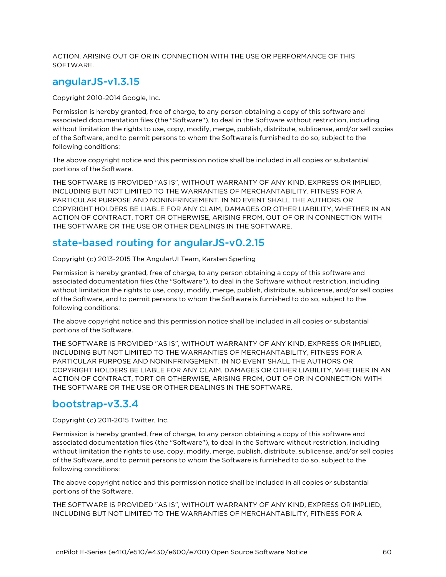ACTION, ARISING OUT OF OR IN CONNECTION WITH THE USE OR PERFORMANCE OF THIS SOFTWARE.

#### angularJS-v1.3.15

Copyright 2010-2014 Google, Inc.

Permission is hereby granted, free of charge, to any person obtaining a copy of this software and associated documentation files (the "Software"), to deal in the Software without restriction, including without limitation the rights to use, copy, modify, merge, publish, distribute, sublicense, and/or sell copies of the Software, and to permit persons to whom the Software is furnished to do so, subject to the following conditions:

The above copyright notice and this permission notice shall be included in all copies or substantial portions of the Software.

THE SOFTWARE IS PROVIDED "AS IS", WITHOUT WARRANTY OF ANY KIND, EXPRESS OR IMPLIED, INCLUDING BUT NOT LIMITED TO THE WARRANTIES OF MERCHANTABILITY, FITNESS FOR A PARTICULAR PURPOSE AND NONINFRINGEMENT. IN NO EVENT SHALL THE AUTHORS OR COPYRIGHT HOLDERS BE LIABLE FOR ANY CLAIM, DAMAGES OR OTHER LIABILITY, WHETHER IN AN ACTION OF CONTRACT, TORT OR OTHERWISE, ARISING FROM, OUT OF OR IN CONNECTION WITH THE SOFTWARE OR THE USE OR OTHER DEALINGS IN THE SOFTWARE.

### state-based routing for angularJS-v0.2.15

Copyright (c) 2013-2015 The AngularUI Team, Karsten Sperling

Permission is hereby granted, free of charge, to any person obtaining a copy of this software and associated documentation files (the "Software"), to deal in the Software without restriction, including without limitation the rights to use, copy, modify, merge, publish, distribute, sublicense, and/or sell copies of the Software, and to permit persons to whom the Software is furnished to do so, subject to the following conditions:

The above copyright notice and this permission notice shall be included in all copies or substantial portions of the Software.

THE SOFTWARE IS PROVIDED "AS IS", WITHOUT WARRANTY OF ANY KIND, EXPRESS OR IMPLIED, INCLUDING BUT NOT LIMITED TO THE WARRANTIES OF MERCHANTABILITY, FITNESS FOR A PARTICULAR PURPOSE AND NONINFRINGEMENT. IN NO EVENT SHALL THE AUTHORS OR COPYRIGHT HOLDERS BE LIABLE FOR ANY CLAIM, DAMAGES OR OTHER LIABILITY, WHETHER IN AN ACTION OF CONTRACT, TORT OR OTHERWISE, ARISING FROM, OUT OF OR IN CONNECTION WITH THE SOFTWARE OR THE USE OR OTHER DEALINGS IN THE SOFTWARE.

#### bootstrap-v3.3.4

Copyright (c) 2011-2015 Twitter, Inc.

Permission is hereby granted, free of charge, to any person obtaining a copy of this software and associated documentation files (the "Software"), to deal in the Software without restriction, including without limitation the rights to use, copy, modify, merge, publish, distribute, sublicense, and/or sell copies of the Software, and to permit persons to whom the Software is furnished to do so, subject to the following conditions:

The above copyright notice and this permission notice shall be included in all copies or substantial portions of the Software.

THE SOFTWARE IS PROVIDED "AS IS", WITHOUT WARRANTY OF ANY KIND, EXPRESS OR IMPLIED, INCLUDING BUT NOT LIMITED TO THE WARRANTIES OF MERCHANTABILITY, FITNESS FOR A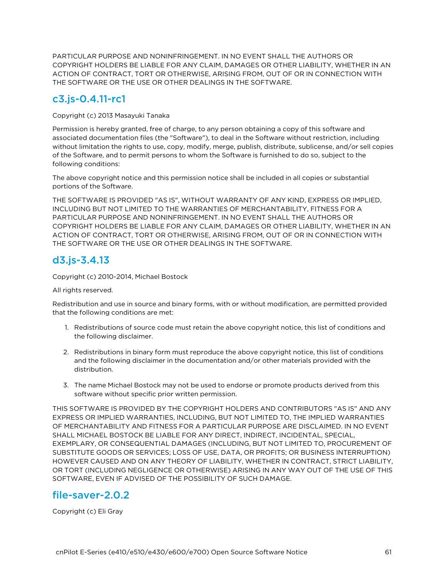PARTICULAR PURPOSE AND NONINFRINGEMENT. IN NO EVENT SHALL THE AUTHORS OR COPYRIGHT HOLDERS BE LIABLE FOR ANY CLAIM, DAMAGES OR OTHER LIABILITY, WHETHER IN AN ACTION OF CONTRACT, TORT OR OTHERWISE, ARISING FROM, OUT OF OR IN CONNECTION WITH THE SOFTWARE OR THE USE OR OTHER DEALINGS IN THE SOFTWARE.

# c3.js-0.4.11-rc1

Copyright (c) 2013 Masayuki Tanaka

Permission is hereby granted, free of charge, to any person obtaining a copy of this software and associated documentation files (the "Software"), to deal in the Software without restriction, including without limitation the rights to use, copy, modify, merge, publish, distribute, sublicense, and/or sell copies of the Software, and to permit persons to whom the Software is furnished to do so, subject to the following conditions:

The above copyright notice and this permission notice shall be included in all copies or substantial portions of the Software.

THE SOFTWARE IS PROVIDED "AS IS", WITHOUT WARRANTY OF ANY KIND, EXPRESS OR IMPLIED, INCLUDING BUT NOT LIMITED TO THE WARRANTIES OF MERCHANTABILITY, FITNESS FOR A PARTICULAR PURPOSE AND NONINFRINGEMENT. IN NO EVENT SHALL THE AUTHORS OR COPYRIGHT HOLDERS BE LIABLE FOR ANY CLAIM, DAMAGES OR OTHER LIABILITY, WHETHER IN AN ACTION OF CONTRACT, TORT OR OTHERWISE, ARISING FROM, OUT OF OR IN CONNECTION WITH THE SOFTWARE OR THE USE OR OTHER DEALINGS IN THE SOFTWARE.

# d3.js-3.4.13

Copyright (c) 2010-2014, Michael Bostock

All rights reserved.

Redistribution and use in source and binary forms, with or without modification, are permitted provided that the following conditions are met:

- 1. Redistributions of source code must retain the above copyright notice, this list of conditions and the following disclaimer.
- 2. Redistributions in binary form must reproduce the above copyright notice, this list of conditions and the following disclaimer in the documentation and/or other materials provided with the distribution.
- 3. The name Michael Bostock may not be used to endorse or promote products derived from this software without specific prior written permission.

THIS SOFTWARE IS PROVIDED BY THE COPYRIGHT HOLDERS AND CONTRIBUTORS "AS IS" AND ANY EXPRESS OR IMPLIED WARRANTIES, INCLUDING, BUT NOT LIMITED TO, THE IMPLIED WARRANTIES OF MERCHANTABILITY AND FITNESS FOR A PARTICULAR PURPOSE ARE DISCLAIMED. IN NO EVENT SHALL MICHAEL BOSTOCK BE LIABLE FOR ANY DIRECT, INDIRECT, INCIDENTAL, SPECIAL, EXEMPLARY, OR CONSEQUENTIAL DAMAGES (INCLUDING, BUT NOT LIMITED TO, PROCUREMENT OF SUBSTITUTE GOODS OR SERVICES; LOSS OF USE, DATA, OR PROFITS; OR BUSINESS INTERRUPTION) HOWEVER CAUSED AND ON ANY THEORY OF LIABILITY, WHETHER IN CONTRACT, STRICT LIABILITY, OR TORT (INCLUDING NEGLIGENCE OR OTHERWISE) ARISING IN ANY WAY OUT OF THE USE OF THIS SOFTWARE, EVEN IF ADVISED OF THE POSSIBILITY OF SUCH DAMAGE.

# file-saver-2.0.2

Copyright (c) Eli Gray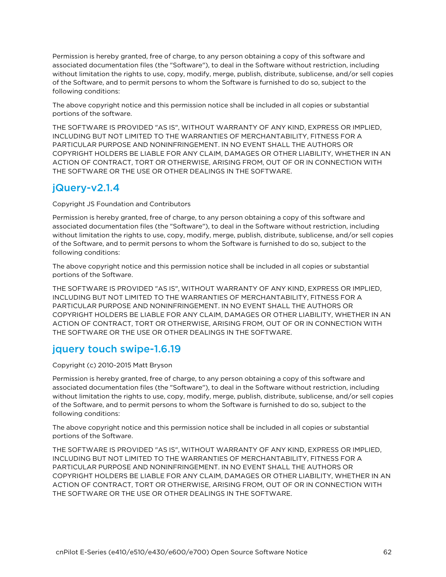Permission is hereby granted, free of charge, to any person obtaining a copy of this software and associated documentation files (the "Software"), to deal in the Software without restriction, including without limitation the rights to use, copy, modify, merge, publish, distribute, sublicense, and/or sell copies of the Software, and to permit persons to whom the Software is furnished to do so, subject to the following conditions:

The above copyright notice and this permission notice shall be included in all copies or substantial portions of the software.

THE SOFTWARE IS PROVIDED "AS IS", WITHOUT WARRANTY OF ANY KIND, EXPRESS OR IMPLIED, INCLUDING BUT NOT LIMITED TO THE WARRANTIES OF MERCHANTABILITY, FITNESS FOR A PARTICULAR PURPOSE AND NONINFRINGEMENT. IN NO EVENT SHALL THE AUTHORS OR COPYRIGHT HOLDERS BE LIABLE FOR ANY CLAIM, DAMAGES OR OTHER LIABILITY, WHETHER IN AN ACTION OF CONTRACT, TORT OR OTHERWISE, ARISING FROM, OUT OF OR IN CONNECTION WITH THE SOFTWARE OR THE USE OR OTHER DEALINGS IN THE SOFTWARE.

# jQuery-v2.1.4

Copyright JS Foundation and Contributors

Permission is hereby granted, free of charge, to any person obtaining a copy of this software and associated documentation files (the "Software"), to deal in the Software without restriction, including without limitation the rights to use, copy, modify, merge, publish, distribute, sublicense, and/or sell copies of the Software, and to permit persons to whom the Software is furnished to do so, subject to the following conditions:

The above copyright notice and this permission notice shall be included in all copies or substantial portions of the Software.

THE SOFTWARE IS PROVIDED "AS IS", WITHOUT WARRANTY OF ANY KIND, EXPRESS OR IMPLIED, INCLUDING BUT NOT LIMITED TO THE WARRANTIES OF MERCHANTABILITY, FITNESS FOR A PARTICULAR PURPOSE AND NONINFRINGEMENT. IN NO EVENT SHALL THE AUTHORS OR COPYRIGHT HOLDERS BE LIABLE FOR ANY CLAIM, DAMAGES OR OTHER LIABILITY, WHETHER IN AN ACTION OF CONTRACT, TORT OR OTHERWISE, ARISING FROM, OUT OF OR IN CONNECTION WITH THE SOFTWARE OR THE USE OR OTHER DEALINGS IN THE SOFTWARE.

# jquery touch swipe-1.6.19

Copyright (c) 2010-2015 Matt Bryson

Permission is hereby granted, free of charge, to any person obtaining a copy of this software and associated documentation files (the "Software"), to deal in the Software without restriction, including without limitation the rights to use, copy, modify, merge, publish, distribute, sublicense, and/or sell copies of the Software, and to permit persons to whom the Software is furnished to do so, subject to the following conditions:

The above copyright notice and this permission notice shall be included in all copies or substantial portions of the Software.

THE SOFTWARE IS PROVIDED "AS IS", WITHOUT WARRANTY OF ANY KIND, EXPRESS OR IMPLIED, INCLUDING BUT NOT LIMITED TO THE WARRANTIES OF MERCHANTABILITY, FITNESS FOR A PARTICULAR PURPOSE AND NONINFRINGEMENT. IN NO EVENT SHALL THE AUTHORS OR COPYRIGHT HOLDERS BE LIABLE FOR ANY CLAIM, DAMAGES OR OTHER LIABILITY, WHETHER IN AN ACTION OF CONTRACT, TORT OR OTHERWISE, ARISING FROM, OUT OF OR IN CONNECTION WITH THE SOFTWARE OR THE USE OR OTHER DEALINGS IN THE SOFTWARE.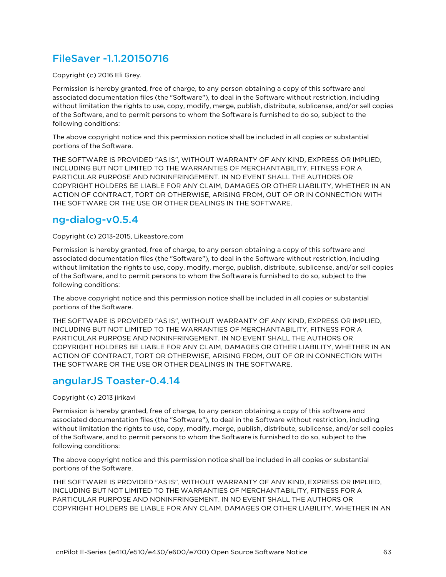# FileSaver -1.1.20150716

Copyright (c) 2016 Eli Grey.

Permission is hereby granted, free of charge, to any person obtaining a copy of this software and associated documentation files (the "Software"), to deal in the Software without restriction, including without limitation the rights to use, copy, modify, merge, publish, distribute, sublicense, and/or sell copies of the Software, and to permit persons to whom the Software is furnished to do so, subject to the following conditions:

The above copyright notice and this permission notice shall be included in all copies or substantial portions of the Software.

THE SOFTWARE IS PROVIDED "AS IS", WITHOUT WARRANTY OF ANY KIND, EXPRESS OR IMPLIED, INCLUDING BUT NOT LIMITED TO THE WARRANTIES OF MERCHANTABILITY, FITNESS FOR A PARTICULAR PURPOSE AND NONINFRINGEMENT. IN NO EVENT SHALL THE AUTHORS OR COPYRIGHT HOLDERS BE LIABLE FOR ANY CLAIM, DAMAGES OR OTHER LIABILITY, WHETHER IN AN ACTION OF CONTRACT, TORT OR OTHERWISE, ARISING FROM, OUT OF OR IN CONNECTION WITH THE SOFTWARE OR THE USE OR OTHER DEALINGS IN THE SOFTWARE.

#### ng-dialog-v0.5.4

Copyright (c) 2013-2015, Likeastore.com

Permission is hereby granted, free of charge, to any person obtaining a copy of this software and associated documentation files (the "Software"), to deal in the Software without restriction, including without limitation the rights to use, copy, modify, merge, publish, distribute, sublicense, and/or sell copies of the Software, and to permit persons to whom the Software is furnished to do so, subject to the following conditions:

The above copyright notice and this permission notice shall be included in all copies or substantial portions of the Software.

THE SOFTWARE IS PROVIDED "AS IS", WITHOUT WARRANTY OF ANY KIND, EXPRESS OR IMPLIED, INCLUDING BUT NOT LIMITED TO THE WARRANTIES OF MERCHANTABILITY, FITNESS FOR A PARTICULAR PURPOSE AND NONINFRINGEMENT. IN NO EVENT SHALL THE AUTHORS OR COPYRIGHT HOLDERS BE LIABLE FOR ANY CLAIM, DAMAGES OR OTHER LIABILITY, WHETHER IN AN ACTION OF CONTRACT, TORT OR OTHERWISE, ARISING FROM, OUT OF OR IN CONNECTION WITH THE SOFTWARE OR THE USE OR OTHER DEALINGS IN THE SOFTWARE.

# angularJS Toaster-0.4.14

Copyright (c) 2013 jirikavi

Permission is hereby granted, free of charge, to any person obtaining a copy of this software and associated documentation files (the "Software"), to deal in the Software without restriction, including without limitation the rights to use, copy, modify, merge, publish, distribute, sublicense, and/or sell copies of the Software, and to permit persons to whom the Software is furnished to do so, subject to the following conditions:

The above copyright notice and this permission notice shall be included in all copies or substantial portions of the Software.

THE SOFTWARE IS PROVIDED "AS IS", WITHOUT WARRANTY OF ANY KIND, EXPRESS OR IMPLIED, INCLUDING BUT NOT LIMITED TO THE WARRANTIES OF MERCHANTABILITY, FITNESS FOR A PARTICULAR PURPOSE AND NONINFRINGEMENT. IN NO EVENT SHALL THE AUTHORS OR COPYRIGHT HOLDERS BE LIABLE FOR ANY CLAIM, DAMAGES OR OTHER LIABILITY, WHETHER IN AN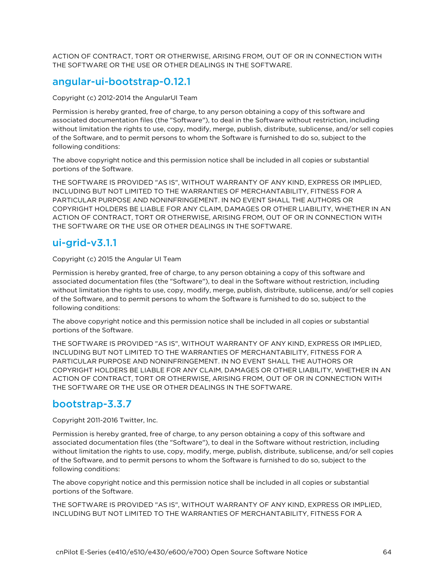ACTION OF CONTRACT, TORT OR OTHERWISE, ARISING FROM, OUT OF OR IN CONNECTION WITH THE SOFTWARE OR THE USE OR OTHER DEALINGS IN THE SOFTWARE.

## angular-ui-bootstrap-0.12.1

Copyright (c) 2012-2014 the AngularUI Team

Permission is hereby granted, free of charge, to any person obtaining a copy of this software and associated documentation files (the "Software"), to deal in the Software without restriction, including without limitation the rights to use, copy, modify, merge, publish, distribute, sublicense, and/or sell copies of the Software, and to permit persons to whom the Software is furnished to do so, subject to the following conditions:

The above copyright notice and this permission notice shall be included in all copies or substantial portions of the Software.

THE SOFTWARE IS PROVIDED "AS IS", WITHOUT WARRANTY OF ANY KIND, EXPRESS OR IMPLIED, INCLUDING BUT NOT LIMITED TO THE WARRANTIES OF MERCHANTABILITY, FITNESS FOR A PARTICULAR PURPOSE AND NONINFRINGEMENT. IN NO EVENT SHALL THE AUTHORS OR COPYRIGHT HOLDERS BE LIABLE FOR ANY CLAIM, DAMAGES OR OTHER LIABILITY, WHETHER IN AN ACTION OF CONTRACT, TORT OR OTHERWISE, ARISING FROM, OUT OF OR IN CONNECTION WITH THE SOFTWARE OR THE USE OR OTHER DEALINGS IN THE SOFTWARE.

# ui-grid-v3.1.1

Copyright (c) 2015 the Angular UI Team

Permission is hereby granted, free of charge, to any person obtaining a copy of this software and associated documentation files (the "Software"), to deal in the Software without restriction, including without limitation the rights to use, copy, modify, merge, publish, distribute, sublicense, and/or sell copies of the Software, and to permit persons to whom the Software is furnished to do so, subject to the following conditions:

The above copyright notice and this permission notice shall be included in all copies or substantial portions of the Software.

THE SOFTWARE IS PROVIDED "AS IS", WITHOUT WARRANTY OF ANY KIND, EXPRESS OR IMPLIED, INCLUDING BUT NOT LIMITED TO THE WARRANTIES OF MERCHANTABILITY, FITNESS FOR A PARTICULAR PURPOSE AND NONINFRINGEMENT. IN NO EVENT SHALL THE AUTHORS OR COPYRIGHT HOLDERS BE LIABLE FOR ANY CLAIM, DAMAGES OR OTHER LIABILITY, WHETHER IN AN ACTION OF CONTRACT, TORT OR OTHERWISE, ARISING FROM, OUT OF OR IN CONNECTION WITH THE SOFTWARE OR THE USE OR OTHER DEALINGS IN THE SOFTWARE.

### bootstrap-3.3.7

Copyright 2011-2016 Twitter, Inc.

Permission is hereby granted, free of charge, to any person obtaining a copy of this software and associated documentation files (the "Software"), to deal in the Software without restriction, including without limitation the rights to use, copy, modify, merge, publish, distribute, sublicense, and/or sell copies of the Software, and to permit persons to whom the Software is furnished to do so, subject to the following conditions:

The above copyright notice and this permission notice shall be included in all copies or substantial portions of the Software.

THE SOFTWARE IS PROVIDED "AS IS", WITHOUT WARRANTY OF ANY KIND, EXPRESS OR IMPLIED, INCLUDING BUT NOT LIMITED TO THE WARRANTIES OF MERCHANTABILITY, FITNESS FOR A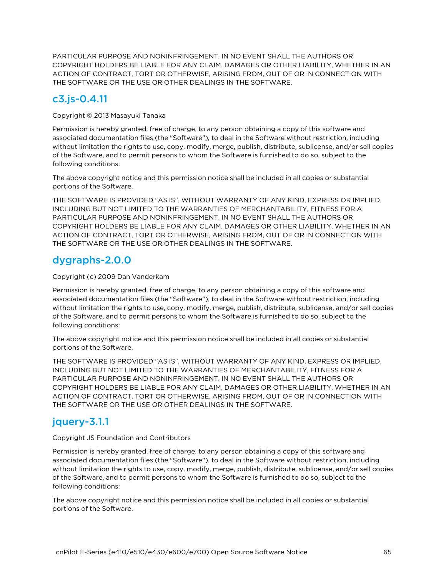PARTICULAR PURPOSE AND NONINFRINGEMENT. IN NO EVENT SHALL THE AUTHORS OR COPYRIGHT HOLDERS BE LIABLE FOR ANY CLAIM, DAMAGES OR OTHER LIABILITY, WHETHER IN AN ACTION OF CONTRACT, TORT OR OTHERWISE, ARISING FROM, OUT OF OR IN CONNECTION WITH THE SOFTWARE OR THE USE OR OTHER DEALINGS IN THE SOFTWARE.

# c3.js-0.4.11

Copyright © 2013 Masayuki Tanaka

Permission is hereby granted, free of charge, to any person obtaining a copy of this software and associated documentation files (the "Software"), to deal in the Software without restriction, including without limitation the rights to use, copy, modify, merge, publish, distribute, sublicense, and/or sell copies of the Software, and to permit persons to whom the Software is furnished to do so, subject to the following conditions:

The above copyright notice and this permission notice shall be included in all copies or substantial portions of the Software.

THE SOFTWARE IS PROVIDED "AS IS", WITHOUT WARRANTY OF ANY KIND, EXPRESS OR IMPLIED, INCLUDING BUT NOT LIMITED TO THE WARRANTIES OF MERCHANTABILITY, FITNESS FOR A PARTICULAR PURPOSE AND NONINFRINGEMENT. IN NO EVENT SHALL THE AUTHORS OR COPYRIGHT HOLDERS BE LIABLE FOR ANY CLAIM, DAMAGES OR OTHER LIABILITY, WHETHER IN AN ACTION OF CONTRACT, TORT OR OTHERWISE, ARISING FROM, OUT OF OR IN CONNECTION WITH THE SOFTWARE OR THE USE OR OTHER DEALINGS IN THE SOFTWARE.

# dygraphs-2.0.0

#### Copyright (c) 2009 Dan Vanderkam

Permission is hereby granted, free of charge, to any person obtaining a copy of this software and associated documentation files (the "Software"), to deal in the Software without restriction, including without limitation the rights to use, copy, modify, merge, publish, distribute, sublicense, and/or sell copies of the Software, and to permit persons to whom the Software is furnished to do so, subject to the following conditions:

The above copyright notice and this permission notice shall be included in all copies or substantial portions of the Software.

THE SOFTWARE IS PROVIDED "AS IS", WITHOUT WARRANTY OF ANY KIND, EXPRESS OR IMPLIED, INCLUDING BUT NOT LIMITED TO THE WARRANTIES OF MERCHANTABILITY, FITNESS FOR A PARTICULAR PURPOSE AND NONINFRINGEMENT. IN NO EVENT SHALL THE AUTHORS OR COPYRIGHT HOLDERS BE LIABLE FOR ANY CLAIM, DAMAGES OR OTHER LIABILITY, WHETHER IN AN ACTION OF CONTRACT, TORT OR OTHERWISE, ARISING FROM, OUT OF OR IN CONNECTION WITH THE SOFTWARE OR THE USE OR OTHER DEALINGS IN THE SOFTWARE.

# jquery-3.1.1

#### Copyright JS Foundation and Contributors

Permission is hereby granted, free of charge, to any person obtaining a copy of this software and associated documentation files (the "Software"), to deal in the Software without restriction, including without limitation the rights to use, copy, modify, merge, publish, distribute, sublicense, and/or sell copies of the Software, and to permit persons to whom the Software is furnished to do so, subject to the following conditions:

The above copyright notice and this permission notice shall be included in all copies or substantial portions of the Software.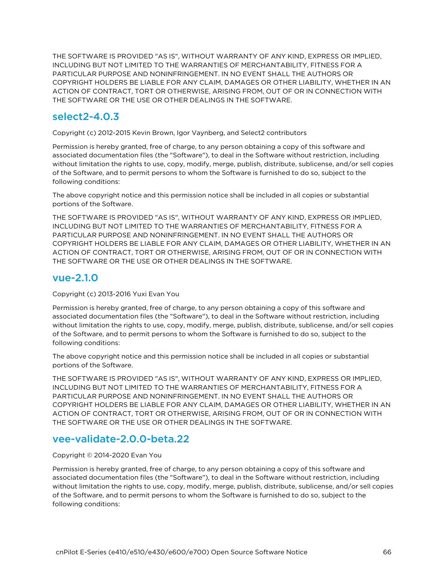THE SOFTWARE IS PROVIDED "AS IS", WITHOUT WARRANTY OF ANY KIND, EXPRESS OR IMPLIED, INCLUDING BUT NOT LIMITED TO THE WARRANTIES OF MERCHANTABILITY, FITNESS FOR A PARTICULAR PURPOSE AND NONINFRINGEMENT. IN NO EVENT SHALL THE AUTHORS OR COPYRIGHT HOLDERS BE LIABLE FOR ANY CLAIM, DAMAGES OR OTHER LIABILITY, WHETHER IN AN ACTION OF CONTRACT, TORT OR OTHERWISE, ARISING FROM, OUT OF OR IN CONNECTION WITH THE SOFTWARE OR THE USE OR OTHER DEALINGS IN THE SOFTWARE.

### select2-4.0.3

Copyright (c) 2012-2015 Kevin Brown, Igor Vaynberg, and Select2 contributors

Permission is hereby granted, free of charge, to any person obtaining a copy of this software and associated documentation files (the "Software"), to deal in the Software without restriction, including without limitation the rights to use, copy, modify, merge, publish, distribute, sublicense, and/or sell copies of the Software, and to permit persons to whom the Software is furnished to do so, subject to the following conditions:

The above copyright notice and this permission notice shall be included in all copies or substantial portions of the Software.

THE SOFTWARE IS PROVIDED "AS IS", WITHOUT WARRANTY OF ANY KIND, EXPRESS OR IMPLIED, INCLUDING BUT NOT LIMITED TO THE WARRANTIES OF MERCHANTABILITY, FITNESS FOR A PARTICULAR PURPOSE AND NONINFRINGEMENT. IN NO EVENT SHALL THE AUTHORS OR COPYRIGHT HOLDERS BE LIABLE FOR ANY CLAIM, DAMAGES OR OTHER LIABILITY, WHETHER IN AN ACTION OF CONTRACT, TORT OR OTHERWISE, ARISING FROM, OUT OF OR IN CONNECTION WITH THE SOFTWARE OR THE USE OR OTHER DEALINGS IN THE SOFTWARE.

# vue-2.1.0

Copyright (c) 2013-2016 Yuxi Evan You

Permission is hereby granted, free of charge, to any person obtaining a copy of this software and associated documentation files (the "Software"), to deal in the Software without restriction, including without limitation the rights to use, copy, modify, merge, publish, distribute, sublicense, and/or sell copies of the Software, and to permit persons to whom the Software is furnished to do so, subject to the following conditions:

The above copyright notice and this permission notice shall be included in all copies or substantial portions of the Software.

THE SOFTWARE IS PROVIDED "AS IS", WITHOUT WARRANTY OF ANY KIND, EXPRESS OR IMPLIED, INCLUDING BUT NOT LIMITED TO THE WARRANTIES OF MERCHANTABILITY, FITNESS FOR A PARTICULAR PURPOSE AND NONINFRINGEMENT. IN NO EVENT SHALL THE AUTHORS OR COPYRIGHT HOLDERS BE LIABLE FOR ANY CLAIM, DAMAGES OR OTHER LIABILITY, WHETHER IN AN ACTION OF CONTRACT, TORT OR OTHERWISE, ARISING FROM, OUT OF OR IN CONNECTION WITH THE SOFTWARE OR THE USE OR OTHER DEALINGS IN THE SOFTWARE.

### vee-validate-2.0.0-beta.22

#### Copyright © 2014-2020 Evan You

Permission is hereby granted, free of charge, to any person obtaining a copy of this software and associated documentation files (the "Software"), to deal in the Software without restriction, including without limitation the rights to use, copy, modify, merge, publish, distribute, sublicense, and/or sell copies of the Software, and to permit persons to whom the Software is furnished to do so, subject to the following conditions: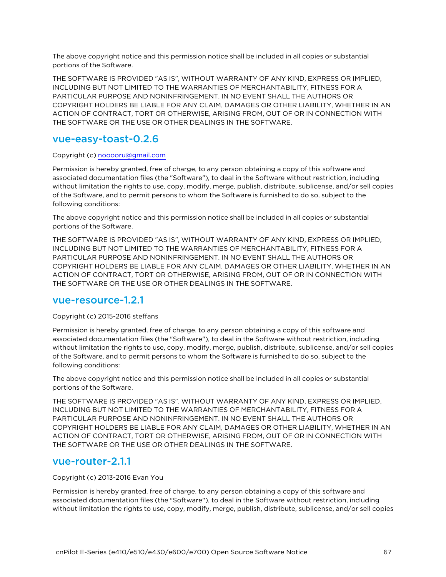The above copyright notice and this permission notice shall be included in all copies or substantial portions of the Software.

THE SOFTWARE IS PROVIDED "AS IS", WITHOUT WARRANTY OF ANY KIND, EXPRESS OR IMPLIED, INCLUDING BUT NOT LIMITED TO THE WARRANTIES OF MERCHANTABILITY, FITNESS FOR A PARTICULAR PURPOSE AND NONINFRINGEMENT. IN NO EVENT SHALL THE AUTHORS OR COPYRIGHT HOLDERS BE LIABLE FOR ANY CLAIM, DAMAGES OR OTHER LIABILITY, WHETHER IN AN ACTION OF CONTRACT, TORT OR OTHERWISE, ARISING FROM, OUT OF OR IN CONNECTION WITH THE SOFTWARE OR THE USE OR OTHER DEALINGS IN THE SOFTWARE.

#### vue-easy-toast-0.2.6

#### Copyright (c) [nooooru@gmail.com](mailto:nooooru@gmail.com)

Permission is hereby granted, free of charge, to any person obtaining a copy of this software and associated documentation files (the "Software"), to deal in the Software without restriction, including without limitation the rights to use, copy, modify, merge, publish, distribute, sublicense, and/or sell copies of the Software, and to permit persons to whom the Software is furnished to do so, subject to the following conditions:

The above copyright notice and this permission notice shall be included in all copies or substantial portions of the Software.

THE SOFTWARE IS PROVIDED "AS IS", WITHOUT WARRANTY OF ANY KIND, EXPRESS OR IMPLIED, INCLUDING BUT NOT LIMITED TO THE WARRANTIES OF MERCHANTABILITY, FITNESS FOR A PARTICULAR PURPOSE AND NONINFRINGEMENT. IN NO EVENT SHALL THE AUTHORS OR COPYRIGHT HOLDERS BE LIABLE FOR ANY CLAIM, DAMAGES OR OTHER LIABILITY, WHETHER IN AN ACTION OF CONTRACT, TORT OR OTHERWISE, ARISING FROM, OUT OF OR IN CONNECTION WITH THE SOFTWARE OR THE USE OR OTHER DEALINGS IN THE SOFTWARE.

#### vue-resource-1.2.1

#### Copyright (c) 2015-2016 steffans

Permission is hereby granted, free of charge, to any person obtaining a copy of this software and associated documentation files (the "Software"), to deal in the Software without restriction, including without limitation the rights to use, copy, modify, merge, publish, distribute, sublicense, and/or sell copies of the Software, and to permit persons to whom the Software is furnished to do so, subject to the following conditions:

The above copyright notice and this permission notice shall be included in all copies or substantial portions of the Software.

THE SOFTWARE IS PROVIDED "AS IS", WITHOUT WARRANTY OF ANY KIND, EXPRESS OR IMPLIED, INCLUDING BUT NOT LIMITED TO THE WARRANTIES OF MERCHANTABILITY, FITNESS FOR A PARTICULAR PURPOSE AND NONINFRINGEMENT. IN NO EVENT SHALL THE AUTHORS OR COPYRIGHT HOLDERS BE LIABLE FOR ANY CLAIM, DAMAGES OR OTHER LIABILITY, WHETHER IN AN ACTION OF CONTRACT, TORT OR OTHERWISE, ARISING FROM, OUT OF OR IN CONNECTION WITH THE SOFTWARE OR THE USE OR OTHER DEALINGS IN THE SOFTWARE.

#### vue-router-2.1.1

#### Copyright (c) 2013-2016 Evan You

Permission is hereby granted, free of charge, to any person obtaining a copy of this software and associated documentation files (the "Software"), to deal in the Software without restriction, including without limitation the rights to use, copy, modify, merge, publish, distribute, sublicense, and/or sell copies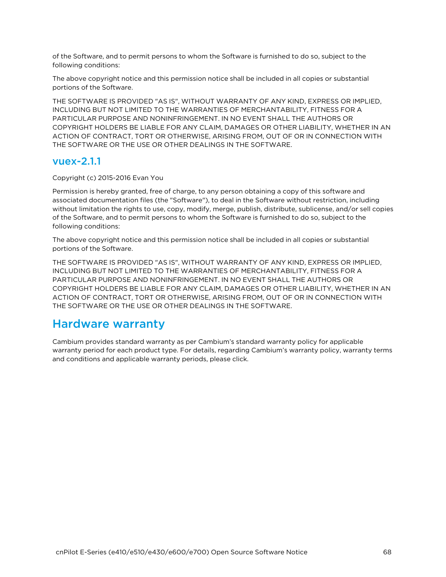of the Software, and to permit persons to whom the Software is furnished to do so, subject to the following conditions:

The above copyright notice and this permission notice shall be included in all copies or substantial portions of the Software.

THE SOFTWARE IS PROVIDED "AS IS", WITHOUT WARRANTY OF ANY KIND, EXPRESS OR IMPLIED, INCLUDING BUT NOT LIMITED TO THE WARRANTIES OF MERCHANTABILITY, FITNESS FOR A PARTICULAR PURPOSE AND NONINFRINGEMENT. IN NO EVENT SHALL THE AUTHORS OR COPYRIGHT HOLDERS BE LIABLE FOR ANY CLAIM, DAMAGES OR OTHER LIABILITY, WHETHER IN AN ACTION OF CONTRACT, TORT OR OTHERWISE, ARISING FROM, OUT OF OR IN CONNECTION WITH THE SOFTWARE OR THE USE OR OTHER DEALINGS IN THE SOFTWARE.

#### vuex-2.1.1

Copyright (c) 2015-2016 Evan You

Permission is hereby granted, free of charge, to any person obtaining a copy of this software and associated documentation files (the "Software"), to deal in the Software without restriction, including without limitation the rights to use, copy, modify, merge, publish, distribute, sublicense, and/or sell copies of the Software, and to permit persons to whom the Software is furnished to do so, subject to the following conditions:

The above copyright notice and this permission notice shall be included in all copies or substantial portions of the Software.

THE SOFTWARE IS PROVIDED "AS IS", WITHOUT WARRANTY OF ANY KIND, EXPRESS OR IMPLIED, INCLUDING BUT NOT LIMITED TO THE WARRANTIES OF MERCHANTABILITY, FITNESS FOR A PARTICULAR PURPOSE AND NONINFRINGEMENT. IN NO EVENT SHALL THE AUTHORS OR COPYRIGHT HOLDERS BE LIABLE FOR ANY CLAIM, DAMAGES OR OTHER LIABILITY, WHETHER IN AN ACTION OF CONTRACT, TORT OR OTHERWISE, ARISING FROM, OUT OF OR IN CONNECTION WITH THE SOFTWARE OR THE USE OR OTHER DEALINGS IN THE SOFTWARE.

# Hardware warranty

Cambium provides standard warranty as per Cambium's standard warranty policy for applicable warranty period for each product type. For details, regarding Cambium's warranty policy, warranty terms and conditions and applicable warranty periods, please click.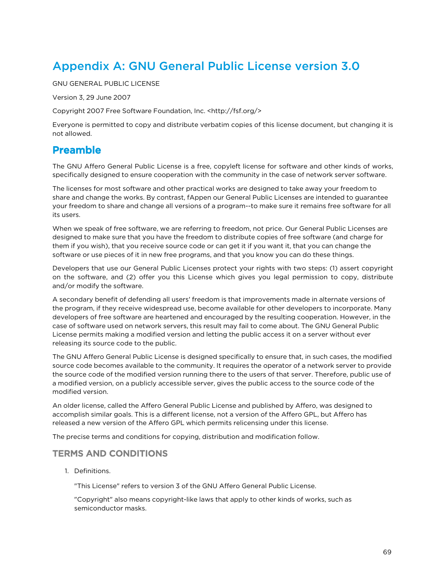# Appendix A: GNU General Public License version 3.0

GNU GENERAL PUBLIC LICENSE

Version 3, 29 June 2007

Copyright 2007 Free Software Foundation, Inc. <http://fsf.org/>

Everyone is permitted to copy and distribute verbatim copies of this license document, but changing it is not allowed.

# Preamble

The GNU Affero General Public License is a free, copyleft license for software and other kinds of works, specifically designed to ensure cooperation with the community in the case of network server software.

The licenses for most software and other practical works are designed to take away your freedom to share and change the works. By contrast, fAppen our General Public Licenses are intended to guarantee your freedom to share and change all versions of a program--to make sure it remains free software for all its users.

When we speak of free software, we are referring to freedom, not price. Our General Public Licenses are designed to make sure that you have the freedom to distribute copies of free software (and charge for them if you wish), that you receive source code or can get it if you want it, that you can change the software or use pieces of it in new free programs, and that you know you can do these things.

Developers that use our General Public Licenses protect your rights with two steps: (1) assert copyright on the software, and (2) offer you this License which gives you legal permission to copy, distribute and/or modify the software.

A secondary benefit of defending all users' freedom is that improvements made in alternate versions of the program, if they receive widespread use, become available for other developers to incorporate. Many developers of free software are heartened and encouraged by the resulting cooperation. However, in the case of software used on network servers, this result may fail to come about. The GNU General Public License permits making a modified version and letting the public access it on a server without ever releasing its source code to the public.

The GNU Affero General Public License is designed specifically to ensure that, in such cases, the modified source code becomes available to the community. It requires the operator of a network server to provide the source code of the modified version running there to the users of that server. Therefore, public use of a modified version, on a publicly accessible server, gives the public access to the source code of the modified version.

An older license, called the Affero General Public License and published by Affero, was designed to accomplish similar goals. This is a different license, not a version of the Affero GPL, but Affero has released a new version of the Affero GPL which permits relicensing under this license.

The precise terms and conditions for copying, distribution and modification follow.

#### TERMS AND CONDITIONS

1. Definitions.

"This License" refers to version 3 of the GNU Affero General Public License.

"Copyright" also means copyright-like laws that apply to other kinds of works, such as semiconductor masks.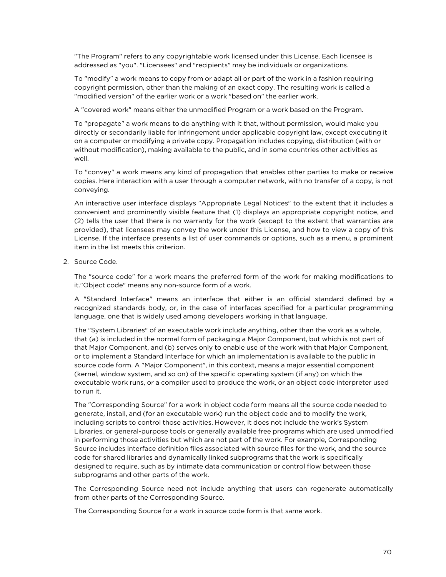"The Program" refers to any copyrightable work licensed under this License. Each licensee is addressed as "you". "Licensees" and "recipients" may be individuals or organizations.

To "modify" a work means to copy from or adapt all or part of the work in a fashion requiring copyright permission, other than the making of an exact copy. The resulting work is called a "modified version" of the earlier work or a work "based on" the earlier work.

A "covered work" means either the unmodified Program or a work based on the Program.

To "propagate" a work means to do anything with it that, without permission, would make you directly or secondarily liable for infringement under applicable copyright law, except executing it on a computer or modifying a private copy. Propagation includes copying, distribution (with or without modification), making available to the public, and in some countries other activities as well.

To "convey" a work means any kind of propagation that enables other parties to make or receive copies. Here interaction with a user through a computer network, with no transfer of a copy, is not conveying.

An interactive user interface displays "Appropriate Legal Notices" to the extent that it includes a convenient and prominently visible feature that (1) displays an appropriate copyright notice, and (2) tells the user that there is no warranty for the work (except to the extent that warranties are provided), that licensees may convey the work under this License, and how to view a copy of this License. If the interface presents a list of user commands or options, such as a menu, a prominent item in the list meets this criterion.

2. Source Code.

The "source code" for a work means the preferred form of the work for making modifications to it."Object code" means any non-source form of a work.

A "Standard Interface" means an interface that either is an official standard defined by a recognized standards body, or, in the case of interfaces specified for a particular programming language, one that is widely used among developers working in that language.

The "System Libraries" of an executable work include anything, other than the work as a whole, that (a) is included in the normal form of packaging a Major Component, but which is not part of that Major Component, and (b) serves only to enable use of the work with that Major Component, or to implement a Standard Interface for which an implementation is available to the public in source code form. A "Major Component", in this context, means a major essential component (kernel, window system, and so on) of the specific operating system (if any) on which the executable work runs, or a compiler used to produce the work, or an object code interpreter used to run it.

The "Corresponding Source" for a work in object code form means all the source code needed to generate, install, and (for an executable work) run the object code and to modify the work, including scripts to control those activities. However, it does not include the work's System Libraries, or general-purpose tools or generally available free programs which are used unmodified in performing those activities but which are not part of the work. For example, Corresponding Source includes interface definition files associated with source files for the work, and the source code for shared libraries and dynamically linked subprograms that the work is specifically designed to require, such as by intimate data communication or control flow between those subprograms and other parts of the work.

The Corresponding Source need not include anything that users can regenerate automatically from other parts of the Corresponding Source.

The Corresponding Source for a work in source code form is that same work.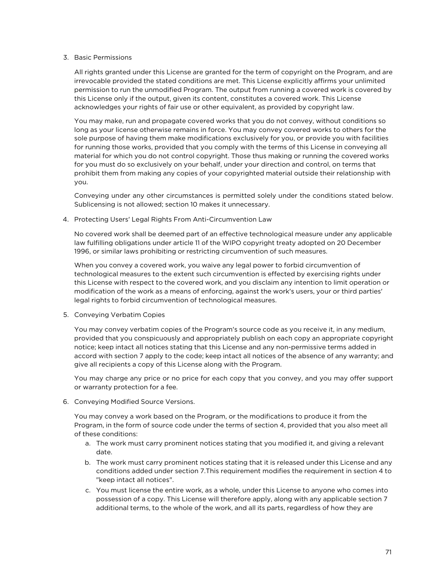#### 3. Basic Permissions

All rights granted under this License are granted for the term of copyright on the Program, and are irrevocable provided the stated conditions are met. This License explicitly affirms your unlimited permission to run the unmodified Program. The output from running a covered work is covered by this License only if the output, given its content, constitutes a covered work. This License acknowledges your rights of fair use or other equivalent, as provided by copyright law.

You may make, run and propagate covered works that you do not convey, without conditions so long as your license otherwise remains in force. You may convey covered works to others for the sole purpose of having them make modifications exclusively for you, or provide you with facilities for running those works, provided that you comply with the terms of this License in conveying all material for which you do not control copyright. Those thus making or running the covered works for you must do so exclusively on your behalf, under your direction and control, on terms that prohibit them from making any copies of your copyrighted material outside their relationship with you.

Conveying under any other circumstances is permitted solely under the conditions stated below. Sublicensing is not allowed; section 10 makes it unnecessary.

4. Protecting Users' Legal Rights From Anti-Circumvention Law

No covered work shall be deemed part of an effective technological measure under any applicable law fulfilling obligations under article 11 of the WIPO copyright treaty adopted on 20 December 1996, or similar laws prohibiting or restricting circumvention of such measures.

When you convey a covered work, you waive any legal power to forbid circumvention of technological measures to the extent such circumvention is effected by exercising rights under this License with respect to the covered work, and you disclaim any intention to limit operation or modification of the work as a means of enforcing, against the work's users, your or third parties' legal rights to forbid circumvention of technological measures.

5. Conveying Verbatim Copies

You may convey verbatim copies of the Program's source code as you receive it, in any medium, provided that you conspicuously and appropriately publish on each copy an appropriate copyright notice; keep intact all notices stating that this License and any non-permissive terms added in accord with section 7 apply to the code; keep intact all notices of the absence of any warranty; and give all recipients a copy of this License along with the Program.

You may charge any price or no price for each copy that you convey, and you may offer support or warranty protection for a fee.

6. Conveying Modified Source Versions.

You may convey a work based on the Program, or the modifications to produce it from the Program, in the form of source code under the terms of section 4, provided that you also meet all of these conditions:

- a. The work must carry prominent notices stating that you modified it, and giving a relevant date.
- b. The work must carry prominent notices stating that it is released under this License and any conditions added under section 7.This requirement modifies the requirement in section 4 to "keep intact all notices".
- c. You must license the entire work, as a whole, under this License to anyone who comes into possession of a copy. This License will therefore apply, along with any applicable section 7 additional terms, to the whole of the work, and all its parts, regardless of how they are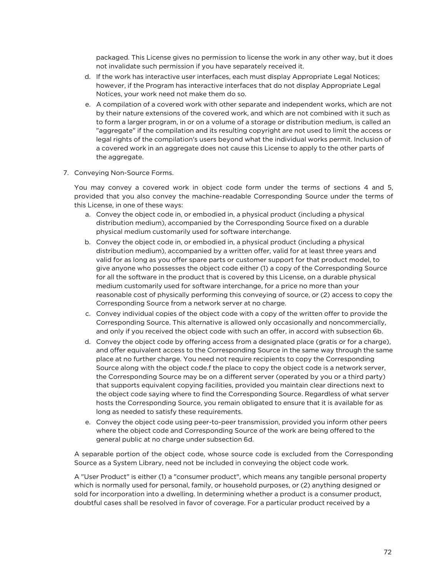packaged. This License gives no permission to license the work in any other way, but it does not invalidate such permission if you have separately received it.

- d. If the work has interactive user interfaces, each must display Appropriate Legal Notices; however, if the Program has interactive interfaces that do not display Appropriate Legal Notices, your work need not make them do so.
- e. A compilation of a covered work with other separate and independent works, which are not by their nature extensions of the covered work, and which are not combined with it such as to form a larger program, in or on a volume of a storage or distribution medium, is called an "aggregate" if the compilation and its resulting copyright are not used to limit the access or legal rights of the compilation's users beyond what the individual works permit. Inclusion of a covered work in an aggregate does not cause this License to apply to the other parts of the aggregate.
- 7. Conveying Non-Source Forms.

You may convey a covered work in object code form under the terms of sections 4 and 5, provided that you also convey the machine-readable Corresponding Source under the terms of this License, in one of these ways:

- a. Convey the object code in, or embodied in, a physical product (including a physical distribution medium), accompanied by the Corresponding Source fixed on a durable physical medium customarily used for software interchange.
- b. Convey the object code in, or embodied in, a physical product (including a physical distribution medium), accompanied by a written offer, valid for at least three years and valid for as long as you offer spare parts or customer support for that product model, to give anyone who possesses the object code either (1) a copy of the Corresponding Source for all the software in the product that is covered by this License, on a durable physical medium customarily used for software interchange, for a price no more than your reasonable cost of physically performing this conveying of source, or (2) access to copy the Corresponding Source from a network server at no charge.
- c. Convey individual copies of the object code with a copy of the written offer to provide the Corresponding Source. This alternative is allowed only occasionally and noncommercially, and only if you received the object code with such an offer, in accord with subsection 6b.
- d. Convey the object code by offering access from a designated place (gratis or for a charge), and offer equivalent access to the Corresponding Source in the same way through the same place at no further charge. You need not require recipients to copy the Corresponding Source along with the object code.f the place to copy the object code is a network server, the Corresponding Source may be on a different server (operated by you or a third party) that supports equivalent copying facilities, provided you maintain clear directions next to the object code saying where to find the Corresponding Source. Regardless of what server hosts the Corresponding Source, you remain obligated to ensure that it is available for as long as needed to satisfy these requirements.
- e. Convey the object code using peer-to-peer transmission, provided you inform other peers where the object code and Corresponding Source of the work are being offered to the general public at no charge under subsection 6d.

A separable portion of the object code, whose source code is excluded from the Corresponding Source as a System Library, need not be included in conveying the object code work.

A "User Product" is either (1) a "consumer product", which means any tangible personal property which is normally used for personal, family, or household purposes, or (2) anything designed or sold for incorporation into a dwelling. In determining whether a product is a consumer product, doubtful cases shall be resolved in favor of coverage. For a particular product received by a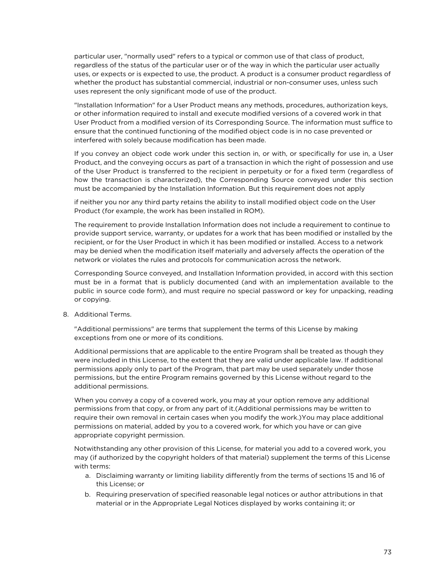particular user, "normally used" refers to a typical or common use of that class of product, regardless of the status of the particular user or of the way in which the particular user actually uses, or expects or is expected to use, the product. A product is a consumer product regardless of whether the product has substantial commercial, industrial or non-consumer uses, unless such uses represent the only significant mode of use of the product.

"Installation Information" for a User Product means any methods, procedures, authorization keys, or other information required to install and execute modified versions of a covered work in that User Product from a modified version of its Corresponding Source. The information must suffice to ensure that the continued functioning of the modified object code is in no case prevented or interfered with solely because modification has been made.

If you convey an object code work under this section in, or with, or specifically for use in, a User Product, and the conveying occurs as part of a transaction in which the right of possession and use of the User Product is transferred to the recipient in perpetuity or for a fixed term (regardless of how the transaction is characterized), the Corresponding Source conveyed under this section must be accompanied by the Installation Information. But this requirement does not apply

if neither you nor any third party retains the ability to install modified object code on the User Product (for example, the work has been installed in ROM).

The requirement to provide Installation Information does not include a requirement to continue to provide support service, warranty, or updates for a work that has been modified or installed by the recipient, or for the User Product in which it has been modified or installed. Access to a network may be denied when the modification itself materially and adversely affects the operation of the network or violates the rules and protocols for communication across the network.

Corresponding Source conveyed, and Installation Information provided, in accord with this section must be in a format that is publicly documented (and with an implementation available to the public in source code form), and must require no special password or key for unpacking, reading or copying.

8. Additional Terms.

"Additional permissions" are terms that supplement the terms of this License by making exceptions from one or more of its conditions.

Additional permissions that are applicable to the entire Program shall be treated as though they were included in this License, to the extent that they are valid under applicable law. If additional permissions apply only to part of the Program, that part may be used separately under those permissions, but the entire Program remains governed by this License without regard to the additional permissions.

When you convey a copy of a covered work, you may at your option remove any additional permissions from that copy, or from any part of it.(Additional permissions may be written to require their own removal in certain cases when you modify the work.)You may place additional permissions on material, added by you to a covered work, for which you have or can give appropriate copyright permission.

Notwithstanding any other provision of this License, for material you add to a covered work, you may (if authorized by the copyright holders of that material) supplement the terms of this License with terms:

- a. Disclaiming warranty or limiting liability differently from the terms of sections 15 and 16 of this License; or
- b. Requiring preservation of specified reasonable legal notices or author attributions in that material or in the Appropriate Legal Notices displayed by works containing it; or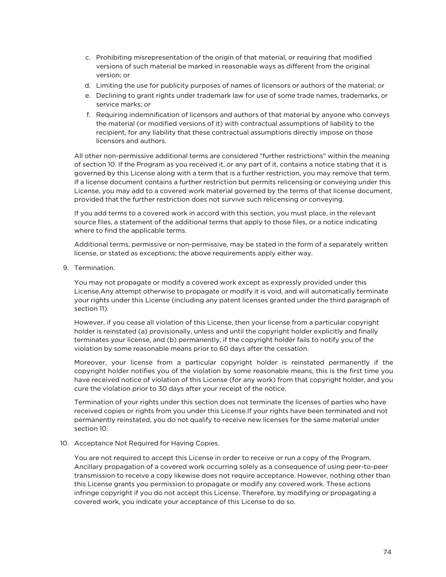- c. Prohibiting misrepresentation of the origin of that material, or requiring that modified versions of such material be marked in reasonable ways as different from the original version; or
- d. Limiting the use for publicity purposes of names of licensors or authors of the material; or
- e. Declining to grant rights under trademark law for use of some trade names, trademarks, or service marks; or
- f. Requiring indemnification of licensors and authors of that material by anyone who conveys the material (or modified versions of it) with contractual assumptions of liability to the recipient, for any liability that these contractual assumptions directly impose on those licensors and authors.

All other non-permissive additional terms are considered "further restrictions" within the meaning of section 10. If the Program as you received it, or any part of it, contains a notice stating that it is governed by this License along with a term that is a further restriction, you may remove that term. If a license document contains a further restriction but permits relicensing or conveying under this License, you may add to a covered work material governed by the terms of that license document, provided that the further restriction does not survive such relicensing or conveying.

If you add terms to a covered work in accord with this section, you must place, in the relevant source files, a statement of the additional terms that apply to those files, or a notice indicating where to find the applicable terms.

Additional terms, permissive or non-permissive, may be stated in the form of a separately written license, or stated as exceptions; the above requirements apply either way.

9. Termination.

You may not propagate or modify a covered work except as expressly provided under this License.Any attempt otherwise to propagate or modify it is void, and will automatically terminate your rights under this License (including any patent licenses granted under the third paragraph of section 11).

However, if you cease all violation of this License, then your license from a particular copyright holder is reinstated (a) provisionally, unless and until the copyright holder explicitly and finally terminates your license, and (b) permanently, if the copyright holder fails to notify you of the violation by some reasonable means prior to 60 days after the cessation.

Moreover, your license from a particular copyright holder is reinstated permanently if the copyright holder notifies you of the violation by some reasonable means, this is the first time you have received notice of violation of this License (for any work) from that copyright holder, and you cure the violation prior to 30 days after your receipt of the notice.

Termination of your rights under this section does not terminate the licenses of parties who have received copies or rights from you under this License.If your rights have been terminated and not permanently reinstated, you do not qualify to receive new licenses for the same material under section 10.

#### 10. Acceptance Not Required for Having Copies.

You are not required to accept this License in order to receive or run a copy of the Program. Ancillary propagation of a covered work occurring solely as a consequence of using peer-to-peer transmission to receive a copy likewise does not require acceptance. However, nothing other than this License grants you permission to propagate or modify any covered work. These actions infringe copyright if you do not accept this License. Therefore, by modifying or propagating a covered work, you indicate your acceptance of this License to do so.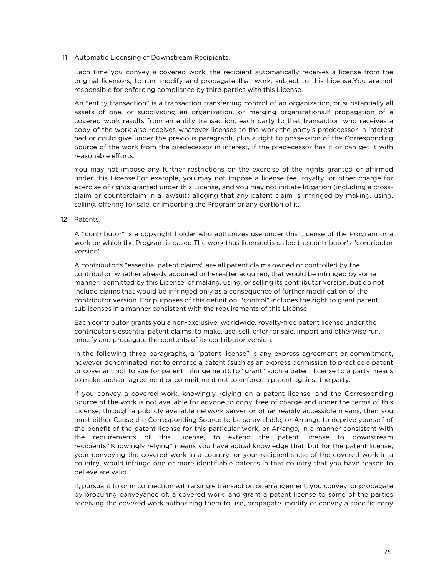11. Automatic Licensing of Downstream Recipients.

Each time you convey a covered work, the recipient automatically receives a license from the original licensors, to run, modify and propagate that work, subject to this License.You are not responsible for enforcing compliance by third parties with this License.

An "entity transaction" is a transaction transferring control of an organization, or substantially all assets of one, or subdividing an organization, or merging organizations.If propagation of a covered work results from an entity transaction, each party to that transaction who receives a copy of the work also receives whatever licenses to the work the party's predecessor in interest had or could give under the previous paragraph, plus a right to possession of the Corresponding Source of the work from the predecessor in interest, if the predecessor has it or can get it with reasonable efforts.

You may not impose any further restrictions on the exercise of the rights granted or affirmed under this License.For example, you may not impose a license fee, royalty, or other charge for exercise of rights granted under this License, and you may not initiate litigation (including a crossclaim or counterclaim in a lawsuit) alleging that any patent claim is infringed by making, using, selling, offering for sale, or importing the Program or any portion of it.

12. Patents.

A "contributor" is a copyright holder who authorizes use under this License of the Program or a work on which the Program is based.The work thus licensed is called the contributor's "contributor version".

A contributor's "essential patent claims" are all patent claims owned or controlled by the contributor, whether already acquired or hereafter acquired, that would be infringed by some manner, permitted by this License, of making, using, or selling its contributor version, but do not include claims that would be infringed only as a consequence of further modification of the contributor version. For purposes of this definition, "control" includes the right to grant patent sublicenses in a manner consistent with the requirements of this License.

Each contributor grants you a non-exclusive, worldwide, royalty-free patent license under the contributor's essential patent claims, to make, use, sell, offer for sale, import and otherwise run, modify and propagate the contents of its contributor version.

In the following three paragraphs, a "patent license" is any express agreement or commitment, however denominated, not to enforce a patent (such as an express permission to practice a patent or covenant not to sue for patent infringement).To "grant" such a patent license to a party means to make such an agreement or commitment not to enforce a patent against the party.

If you convey a covered work, knowingly relying on a patent license, and the Corresponding Source of the work is not available for anyone to copy, free of charge and under the terms of this License, through a publicly available network server or other readily accessible means, then you must either Cause the Corresponding Source to be so available, or Arrange to deprive yourself of the benefit of the patent license for this particular work, or Arrange, in a manner consistent with the requirements of this License, to extend the patent license to downstream recipients."Knowingly relying" means you have actual knowledge that, but for the patent license, your conveying the covered work in a country, or your recipient's use of the covered work in a country, would infringe one or more identifiable patents in that country that you have reason to believe are valid.

If, pursuant to or in connection with a single transaction or arrangement, you convey, or propagate by procuring conveyance of, a covered work, and grant a patent license to some of the parties receiving the covered work authorizing them to use, propagate, modify or convey a specific copy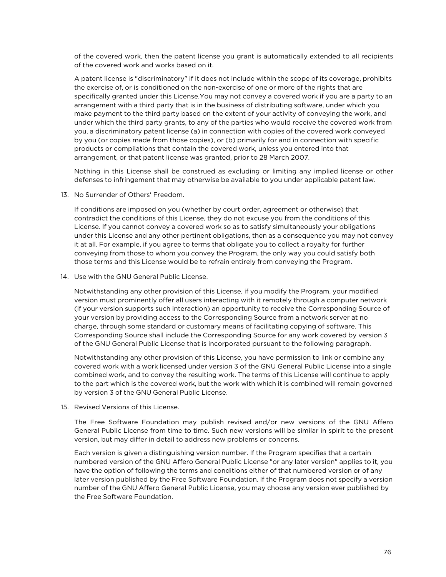of the covered work, then the patent license you grant is automatically extended to all recipients of the covered work and works based on it.

A patent license is "discriminatory" if it does not include within the scope of its coverage, prohibits the exercise of, or is conditioned on the non-exercise of one or more of the rights that are specifically granted under this License.You may not convey a covered work if you are a party to an arrangement with a third party that is in the business of distributing software, under which you make payment to the third party based on the extent of your activity of conveying the work, and under which the third party grants, to any of the parties who would receive the covered work from you, a discriminatory patent license (a) in connection with copies of the covered work conveyed by you (or copies made from those copies), or (b) primarily for and in connection with specific products or compilations that contain the covered work, unless you entered into that arrangement, or that patent license was granted, prior to 28 March 2007.

Nothing in this License shall be construed as excluding or limiting any implied license or other defenses to infringement that may otherwise be available to you under applicable patent law.

13. No Surrender of Others' Freedom.

If conditions are imposed on you (whether by court order, agreement or otherwise) that contradict the conditions of this License, they do not excuse you from the conditions of this License. If you cannot convey a covered work so as to satisfy simultaneously your obligations under this License and any other pertinent obligations, then as a consequence you may not convey it at all. For example, if you agree to terms that obligate you to collect a royalty for further conveying from those to whom you convey the Program, the only way you could satisfy both those terms and this License would be to refrain entirely from conveying the Program.

14. Use with the GNU General Public License.

Notwithstanding any other provision of this License, if you modify the Program, your modified version must prominently offer all users interacting with it remotely through a computer network (if your version supports such interaction) an opportunity to receive the Corresponding Source of your version by providing access to the Corresponding Source from a network server at no charge, through some standard or customary means of facilitating copying of software. This Corresponding Source shall include the Corresponding Source for any work covered by version 3 of the GNU General Public License that is incorporated pursuant to the following paragraph.

Notwithstanding any other provision of this License, you have permission to link or combine any covered work with a work licensed under version 3 of the GNU General Public License into a single combined work, and to convey the resulting work. The terms of this License will continue to apply to the part which is the covered work, but the work with which it is combined will remain governed by version 3 of the GNU General Public License.

15. Revised Versions of this License.

The Free Software Foundation may publish revised and/or new versions of the GNU Affero General Public License from time to time. Such new versions will be similar in spirit to the present version, but may differ in detail to address new problems or concerns.

Each version is given a distinguishing version number. If the Program specifies that a certain numbered version of the GNU Affero General Public License "or any later version" applies to it, you have the option of following the terms and conditions either of that numbered version or of any later version published by the Free Software Foundation. If the Program does not specify a version number of the GNU Affero General Public License, you may choose any version ever published by the Free Software Foundation.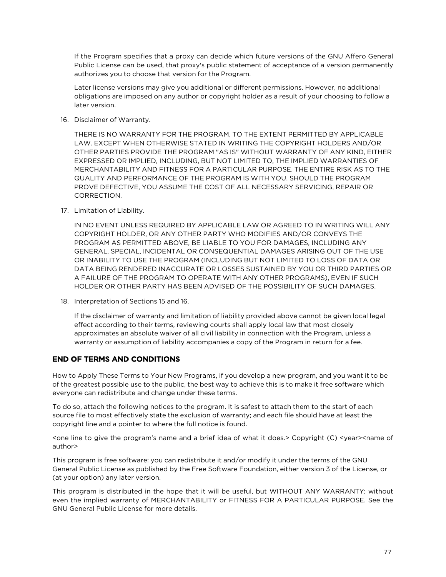If the Program specifies that a proxy can decide which future versions of the GNU Affero General Public License can be used, that proxy's public statement of acceptance of a version permanently authorizes you to choose that version for the Program.

Later license versions may give you additional or different permissions. However, no additional obligations are imposed on any author or copyright holder as a result of your choosing to follow a later version.

16. Disclaimer of Warranty.

THERE IS NO WARRANTY FOR THE PROGRAM, TO THE EXTENT PERMITTED BY APPLICABLE LAW. EXCEPT WHEN OTHERWISE STATED IN WRITING THE COPYRIGHT HOLDERS AND/OR OTHER PARTIES PROVIDE THE PROGRAM "AS IS" WITHOUT WARRANTY OF ANY KIND, EITHER EXPRESSED OR IMPLIED, INCLUDING, BUT NOT LIMITED TO, THE IMPLIED WARRANTIES OF MERCHANTABILITY AND FITNESS FOR A PARTICULAR PURPOSE. THE ENTIRE RISK AS TO THE QUALITY AND PERFORMANCE OF THE PROGRAM IS WITH YOU. SHOULD THE PROGRAM PROVE DEFECTIVE, YOU ASSUME THE COST OF ALL NECESSARY SERVICING, REPAIR OR CORRECTION.

17. Limitation of Liability.

IN NO EVENT UNLESS REQUIRED BY APPLICABLE LAW OR AGREED TO IN WRITING WILL ANY COPYRIGHT HOLDER, OR ANY OTHER PARTY WHO MODIFIES AND/OR CONVEYS THE PROGRAM AS PERMITTED ABOVE, BE LIABLE TO YOU FOR DAMAGES, INCLUDING ANY GENERAL, SPECIAL, INCIDENTAL OR CONSEQUENTIAL DAMAGES ARISING OUT OF THE USE OR INABILITY TO USE THE PROGRAM (INCLUDING BUT NOT LIMITED TO LOSS OF DATA OR DATA BEING RENDERED INACCURATE OR LOSSES SUSTAINED BY YOU OR THIRD PARTIES OR A FAILURE OF THE PROGRAM TO OPERATE WITH ANY OTHER PROGRAMS), EVEN IF SUCH HOLDER OR OTHER PARTY HAS BEEN ADVISED OF THE POSSIBILITY OF SUCH DAMAGES.

18. Interpretation of Sections 15 and 16.

If the disclaimer of warranty and limitation of liability provided above cannot be given local legal effect according to their terms, reviewing courts shall apply local law that most closely approximates an absolute waiver of all civil liability in connection with the Program, unless a warranty or assumption of liability accompanies a copy of the Program in return for a fee.

#### END OF TERMS AND CONDITIONS

How to Apply These Terms to Your New Programs, if you develop a new program, and you want it to be of the greatest possible use to the public, the best way to achieve this is to make it free software which everyone can redistribute and change under these terms.

To do so, attach the following notices to the program. It is safest to attach them to the start of each source file to most effectively state the exclusion of warranty; and each file should have at least the copyright line and a pointer to where the full notice is found.

<one line to give the program's name and a brief idea of what it does.> Copyright (C) <year><name of author>

This program is free software: you can redistribute it and/or modify it under the terms of the GNU General Public License as published by the Free Software Foundation, either version 3 of the License, or (at your option) any later version.

This program is distributed in the hope that it will be useful, but WITHOUT ANY WARRANTY; without even the implied warranty of MERCHANTABILITY or FITNESS FOR A PARTICULAR PURPOSE. See the GNU General Public License for more details.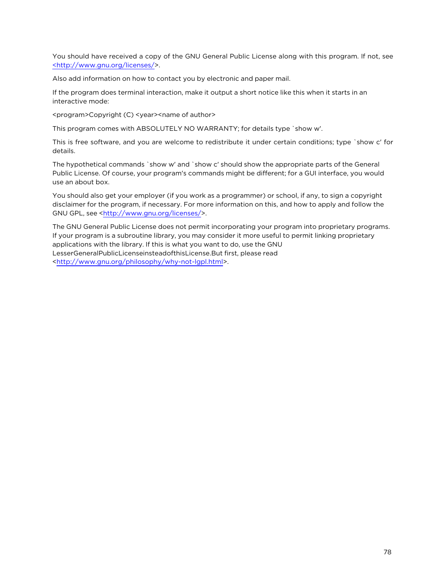You should have received a copy of the GNU General Public License along with this program. If not, see [<http://www.gnu.org/licenses/](http://www.gnu.org/licenses/)>.

Also add information on how to contact you by electronic and paper mail.

If the program does terminal interaction, make it output a short notice like this when it starts in an interactive mode:

<program>Copyright (C) <year><name of author>

This program comes with ABSOLUTELY NO WARRANTY; for details type `show w'.

This is free software, and you are welcome to redistribute it under certain conditions; type `show c' for details.

The hypothetical commands `show w' and `show c' should show the appropriate parts of the General Public License. Of course, your program's commands might be different; for a GUI interface, you would use an about box.

You should also get your employer (if you work as a programmer) or school, if any, to sign a copyright disclaimer for the program, if necessary. For more information on this, and how to apply and follow the GNU GPL, see <<http://www.gnu.org/licenses/>>.

The GNU General Public License does not permit incorporating your program into proprietary programs. If your program is a subroutine library, you may consider it more useful to permit linking proprietary applications with the library. If this is what you want to do, use the GNU LesserGeneralPublicLicenseinsteadofthisLicense.But first, please read <<http://www.gnu.org/philosophy/why-not-lgpl.html>>.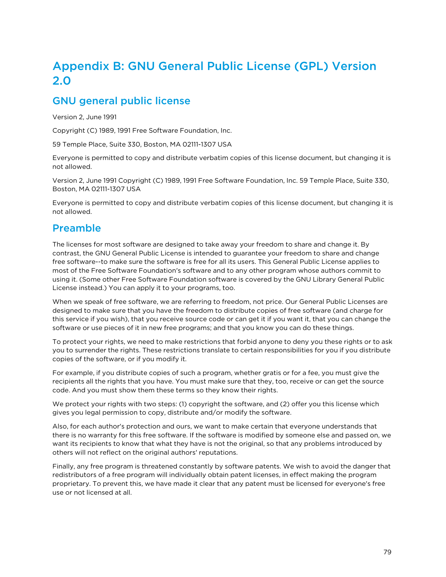# Appendix B: GNU General Public License (GPL) Version 2.0

## GNU general public license

Version 2, June 1991

Copyright (C) 1989, 1991 Free Software Foundation, Inc.

59 Temple Place, Suite 330, Boston, MA 02111-1307 USA

Everyone is permitted to copy and distribute verbatim copies of this license document, but changing it is not allowed.

Version 2, June 1991 Copyright (C) 1989, 1991 Free Software Foundation, Inc. 59 Temple Place, Suite 330, Boston, MA 02111-1307 USA

Everyone is permitted to copy and distribute verbatim copies of this license document, but changing it is not allowed.

## Preamble

The licenses for most software are designed to take away your freedom to share and change it. By contrast, the GNU General Public License is intended to guarantee your freedom to share and change free software--to make sure the software is free for all its users. This General Public License applies to most of the Free Software Foundation's software and to any other program whose authors commit to using it. (Some other Free Software Foundation software is covered by the GNU Library General Public License instead.) You can apply it to your programs, too.

When we speak of free software, we are referring to freedom, not price. Our General Public Licenses are designed to make sure that you have the freedom to distribute copies of free software (and charge for this service if you wish), that you receive source code or can get it if you want it, that you can change the software or use pieces of it in new free programs; and that you know you can do these things.

To protect your rights, we need to make restrictions that forbid anyone to deny you these rights or to ask you to surrender the rights. These restrictions translate to certain responsibilities for you if you distribute copies of the software, or if you modify it.

For example, if you distribute copies of such a program, whether gratis or for a fee, you must give the recipients all the rights that you have. You must make sure that they, too, receive or can get the source code. And you must show them these terms so they know their rights.

We protect your rights with two steps: (1) copyright the software, and (2) offer you this license which gives you legal permission to copy, distribute and/or modify the software.

Also, for each author's protection and ours, we want to make certain that everyone understands that there is no warranty for this free software. If the software is modified by someone else and passed on, we want its recipients to know that what they have is not the original, so that any problems introduced by others will not reflect on the original authors' reputations.

Finally, any free program is threatened constantly by software patents. We wish to avoid the danger that redistributors of a free program will individually obtain patent licenses, in effect making the program proprietary. To prevent this, we have made it clear that any patent must be licensed for everyone's free use or not licensed at all.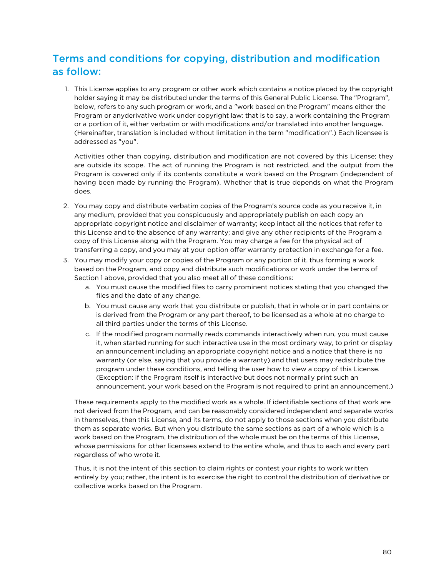## Terms and conditions for copying, distribution and modification as follow:

1. This License applies to any program or other work which contains a notice placed by the copyright holder saying it may be distributed under the terms of this General Public License. The "Program", below, refers to any such program or work, and a "work based on the Program" means either the Program or anyderivative work under copyright law: that is to say, a work containing the Program or a portion of it, either verbatim or with modifications and/or translated into another language. (Hereinafter, translation is included without limitation in the term "modification".) Each licensee is addressed as "you".

Activities other than copying, distribution and modification are not covered by this License; they are outside its scope. The act of running the Program is not restricted, and the output from the Program is covered only if its contents constitute a work based on the Program (independent of having been made by running the Program). Whether that is true depends on what the Program does.

- 2. You may copy and distribute verbatim copies of the Program's source code as you receive it, in any medium, provided that you conspicuously and appropriately publish on each copy an appropriate copyright notice and disclaimer of warranty; keep intact all the notices that refer to this License and to the absence of any warranty; and give any other recipients of the Program a copy of this License along with the Program. You may charge a fee for the physical act of transferring a copy, and you may at your option offer warranty protection in exchange for a fee.
- 3. You may modify your copy or copies of the Program or any portion of it, thus forming a work based on the Program, and copy and distribute such modifications or work under the terms of Section 1 above, provided that you also meet all of these conditions:
	- a. You must cause the modified files to carry prominent notices stating that you changed the files and the date of any change.
	- b. You must cause any work that you distribute or publish, that in whole or in part contains or is derived from the Program or any part thereof, to be licensed as a whole at no charge to all third parties under the terms of this License.
	- c. If the modified program normally reads commands interactively when run, you must cause it, when started running for such interactive use in the most ordinary way, to print or display an announcement including an appropriate copyright notice and a notice that there is no warranty (or else, saying that you provide a warranty) and that users may redistribute the program under these conditions, and telling the user how to view a copy of this License. (Exception: if the Program itself is interactive but does not normally print such an announcement, your work based on the Program is not required to print an announcement.)

These requirements apply to the modified work as a whole. If identifiable sections of that work are not derived from the Program, and can be reasonably considered independent and separate works in themselves, then this License, and its terms, do not apply to those sections when you distribute them as separate works. But when you distribute the same sections as part of a whole which is a work based on the Program, the distribution of the whole must be on the terms of this License, whose permissions for other licensees extend to the entire whole, and thus to each and every part regardless of who wrote it.

Thus, it is not the intent of this section to claim rights or contest your rights to work written entirely by you; rather, the intent is to exercise the right to control the distribution of derivative or collective works based on the Program.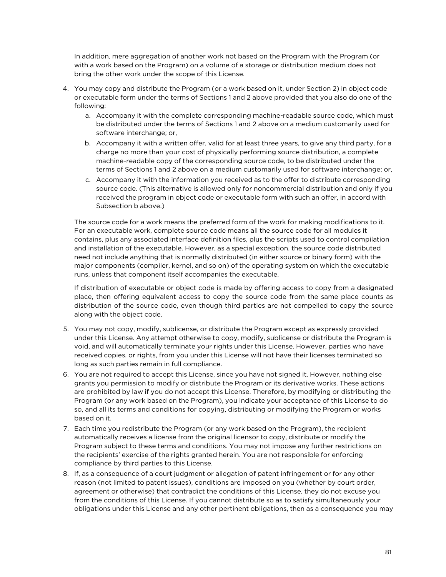In addition, mere aggregation of another work not based on the Program with the Program (or with a work based on the Program) on a volume of a storage or distribution medium does not bring the other work under the scope of this License.

- 4. You may copy and distribute the Program (or a work based on it, under Section 2) in object code or executable form under the terms of Sections 1 and 2 above provided that you also do one of the following:
	- a. Accompany it with the complete corresponding machine-readable source code, which must be distributed under the terms of Sections 1 and 2 above on a medium customarily used for software interchange; or,
	- b. Accompany it with a written offer, valid for at least three years, to give any third party, for a charge no more than your cost of physically performing source distribution, a complete machine-readable copy of the corresponding source code, to be distributed under the terms of Sections 1 and 2 above on a medium customarily used for software interchange; or,
	- c. Accompany it with the information you received as to the offer to distribute corresponding source code. (This alternative is allowed only for noncommercial distribution and only if you received the program in object code or executable form with such an offer, in accord with Subsection b above.)

The source code for a work means the preferred form of the work for making modifications to it. For an executable work, complete source code means all the source code for all modules it contains, plus any associated interface definition files, plus the scripts used to control compilation and installation of the executable. However, as a special exception, the source code distributed need not include anything that is normally distributed (in either source or binary form) with the major components (compiler, kernel, and so on) of the operating system on which the executable runs, unless that component itself accompanies the executable.

If distribution of executable or object code is made by offering access to copy from a designated place, then offering equivalent access to copy the source code from the same place counts as distribution of the source code, even though third parties are not compelled to copy the source along with the object code.

- 5. You may not copy, modify, sublicense, or distribute the Program except as expressly provided under this License. Any attempt otherwise to copy, modify, sublicense or distribute the Program is void, and will automatically terminate your rights under this License. However, parties who have received copies, or rights, from you under this License will not have their licenses terminated so long as such parties remain in full compliance.
- 6. You are not required to accept this License, since you have not signed it. However, nothing else grants you permission to modify or distribute the Program or its derivative works. These actions are prohibited by law if you do not accept this License. Therefore, by modifying or distributing the Program (or any work based on the Program), you indicate your acceptance of this License to do so, and all its terms and conditions for copying, distributing or modifying the Program or works based on it.
- 7. Each time you redistribute the Program (or any work based on the Program), the recipient automatically receives a license from the original licensor to copy, distribute or modify the Program subject to these terms and conditions. You may not impose any further restrictions on the recipients' exercise of the rights granted herein. You are not responsible for enforcing compliance by third parties to this License.
- 8. If, as a consequence of a court judgment or allegation of patent infringement or for any other reason (not limited to patent issues), conditions are imposed on you (whether by court order, agreement or otherwise) that contradict the conditions of this License, they do not excuse you from the conditions of this License. If you cannot distribute so as to satisfy simultaneously your obligations under this License and any other pertinent obligations, then as a consequence you may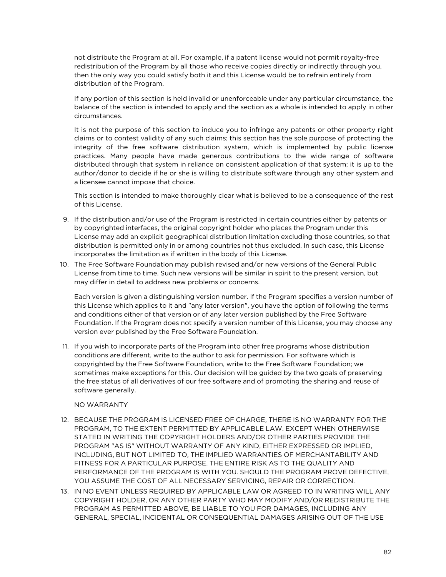not distribute the Program at all. For example, if a patent license would not permit royalty-free redistribution of the Program by all those who receive copies directly or indirectly through you, then the only way you could satisfy both it and this License would be to refrain entirely from distribution of the Program.

If any portion of this section is held invalid or unenforceable under any particular circumstance, the balance of the section is intended to apply and the section as a whole is intended to apply in other circumstances.

It is not the purpose of this section to induce you to infringe any patents or other property right claims or to contest validity of any such claims; this section has the sole purpose of protecting the integrity of the free software distribution system, which is implemented by public license practices. Many people have made generous contributions to the wide range of software distributed through that system in reliance on consistent application of that system; it is up to the author/donor to decide if he or she is willing to distribute software through any other system and a licensee cannot impose that choice.

This section is intended to make thoroughly clear what is believed to be a consequence of the rest of this License.

- 9. If the distribution and/or use of the Program is restricted in certain countries either by patents or by copyrighted interfaces, the original copyright holder who places the Program under this License may add an explicit geographical distribution limitation excluding those countries, so that distribution is permitted only in or among countries not thus excluded. In such case, this License incorporates the limitation as if written in the body of this License.
- 10. The Free Software Foundation may publish revised and/or new versions of the General Public License from time to time. Such new versions will be similar in spirit to the present version, but may differ in detail to address new problems or concerns.

Each version is given a distinguishing version number. If the Program specifies a version number of this License which applies to it and "any later version", you have the option of following the terms and conditions either of that version or of any later version published by the Free Software Foundation. If the Program does not specify a version number of this License, you may choose any version ever published by the Free Software Foundation.

11. If you wish to incorporate parts of the Program into other free programs whose distribution conditions are different, write to the author to ask for permission. For software which is copyrighted by the Free Software Foundation, write to the Free Software Foundation; we sometimes make exceptions for this. Our decision will be guided by the two goals of preserving the free status of all derivatives of our free software and of promoting the sharing and reuse of software generally.

#### NO WARRANTY

- 12. BECAUSE THE PROGRAM IS LICENSED FREE OF CHARGE, THERE IS NO WARRANTY FOR THE PROGRAM, TO THE EXTENT PERMITTED BY APPLICABLE LAW. EXCEPT WHEN OTHERWISE STATED IN WRITING THE COPYRIGHT HOLDERS AND/OR OTHER PARTIES PROVIDE THE PROGRAM "AS IS" WITHOUT WARRANTY OF ANY KIND, EITHER EXPRESSED OR IMPLIED, INCLUDING, BUT NOT LIMITED TO, THE IMPLIED WARRANTIES OF MERCHANTABILITY AND FITNESS FOR A PARTICULAR PURPOSE. THE ENTIRE RISK AS TO THE QUALITY AND PERFORMANCE OF THE PROGRAM IS WITH YOU. SHOULD THE PROGRAM PROVE DEFECTIVE, YOU ASSUME THE COST OF ALL NECESSARY SERVICING, REPAIR OR CORRECTION.
- 13. IN NO EVENT UNLESS REQUIRED BY APPLICABLE LAW OR AGREED TO IN WRITING WILL ANY COPYRIGHT HOLDER, OR ANY OTHER PARTY WHO MAY MODIFY AND/OR REDISTRIBUTE THE PROGRAM AS PERMITTED ABOVE, BE LIABLE TO YOU FOR DAMAGES, INCLUDING ANY GENERAL, SPECIAL, INCIDENTAL OR CONSEQUENTIAL DAMAGES ARISING OUT OF THE USE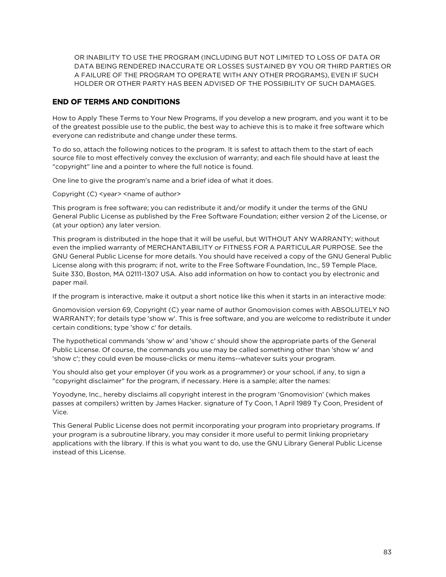OR INABILITY TO USE THE PROGRAM (INCLUDING BUT NOT LIMITED TO LOSS OF DATA OR DATA BEING RENDERED INACCURATE OR LOSSES SUSTAINED BY YOU OR THIRD PARTIES OR A FAILURE OF THE PROGRAM TO OPERATE WITH ANY OTHER PROGRAMS), EVEN IF SUCH HOLDER OR OTHER PARTY HAS BEEN ADVISED OF THE POSSIBILITY OF SUCH DAMAGES.

#### END OF TERMS AND CONDITIONS

How to Apply These Terms to Your New Programs, If you develop a new program, and you want it to be of the greatest possible use to the public, the best way to achieve this is to make it free software which everyone can redistribute and change under these terms.

To do so, attach the following notices to the program. It is safest to attach them to the start of each source file to most effectively convey the exclusion of warranty; and each file should have at least the "copyright" line and a pointer to where the full notice is found.

One line to give the program's name and a brief idea of what it does.

Copyright (C) <year> <name of author>

This program is free software; you can redistribute it and/or modify it under the terms of the GNU General Public License as published by the Free Software Foundation; either version 2 of the License, or (at your option) any later version.

This program is distributed in the hope that it will be useful, but WITHOUT ANY WARRANTY; without even the implied warranty of MERCHANTABILITY or FITNESS FOR A PARTICULAR PURPOSE. See the GNU General Public License for more details. You should have received a copy of the GNU General Public License along with this program; if not, write to the Free Software Foundation, Inc., 59 Temple Place, Suite 330, Boston, MA 02111-1307 USA. Also add information on how to contact you by electronic and paper mail.

If the program is interactive, make it output a short notice like this when it starts in an interactive mode:

Gnomovision version 69, Copyright (C) year name of author Gnomovision comes with ABSOLUTELY NO WARRANTY; for details type 'show w'. This is free software, and you are welcome to redistribute it under certain conditions; type 'show c' for details.

The hypothetical commands 'show w' and 'show c' should show the appropriate parts of the General Public License. Of course, the commands you use may be called something other than 'show w' and 'show c'; they could even be mouse-clicks or menu items--whatever suits your program.

You should also get your employer (if you work as a programmer) or your school, if any, to sign a "copyright disclaimer" for the program, if necessary. Here is a sample; alter the names:

Yoyodyne, Inc., hereby disclaims all copyright interest in the program 'Gnomovision' (which makes passes at compilers) written by James Hacker. signature of Ty Coon, 1 April 1989 Ty Coon, President of Vice.

This General Public License does not permit incorporating your program into proprietary programs. If your program is a subroutine library, you may consider it more useful to permit linking proprietary applications with the library. If this is what you want to do, use the GNU Library General Public License instead of this License.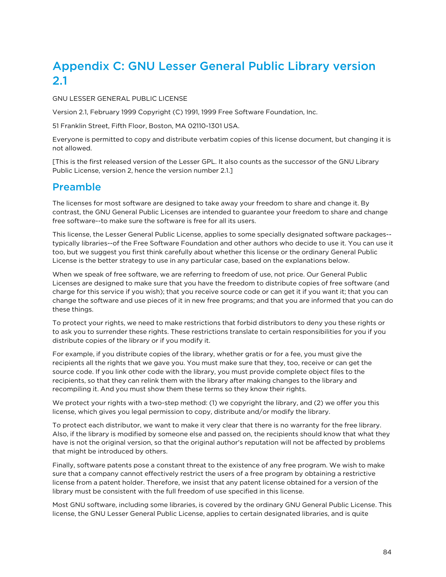# Appendix C: GNU Lesser General Public Library version 2.1

GNU LESSER GENERAL PUBLIC LICENSE

Version 2.1, February 1999 Copyright (C) 1991, 1999 Free Software Foundation, Inc.

51 Franklin Street, Fifth Floor, Boston, MA 02110-1301 USA.

Everyone is permitted to copy and distribute verbatim copies of this license document, but changing it is not allowed.

[This is the first released version of the Lesser GPL. It also counts as the successor of the GNU Library Public License, version 2, hence the version number 2.1.]

### Preamble

The licenses for most software are designed to take away your freedom to share and change it. By contrast, the GNU General Public Licenses are intended to guarantee your freedom to share and change free software--to make sure the software is free for all its users.

This license, the Lesser General Public License, applies to some specially designated software packages- typically libraries--of the Free Software Foundation and other authors who decide to use it. You can use it too, but we suggest you first think carefully about whether this license or the ordinary General Public License is the better strategy to use in any particular case, based on the explanations below.

When we speak of free software, we are referring to freedom of use, not price. Our General Public Licenses are designed to make sure that you have the freedom to distribute copies of free software (and charge for this service if you wish); that you receive source code or can get it if you want it; that you can change the software and use pieces of it in new free programs; and that you are informed that you can do these things.

To protect your rights, we need to make restrictions that forbid distributors to deny you these rights or to ask you to surrender these rights. These restrictions translate to certain responsibilities for you if you distribute copies of the library or if you modify it.

For example, if you distribute copies of the library, whether gratis or for a fee, you must give the recipients all the rights that we gave you. You must make sure that they, too, receive or can get the source code. If you link other code with the library, you must provide complete object files to the recipients, so that they can relink them with the library after making changes to the library and recompiling it. And you must show them these terms so they know their rights.

We protect your rights with a two-step method: (1) we copyright the library, and (2) we offer you this license, which gives you legal permission to copy, distribute and/or modify the library.

To protect each distributor, we want to make it very clear that there is no warranty for the free library. Also, if the library is modified by someone else and passed on, the recipients should know that what they have is not the original version, so that the original author's reputation will not be affected by problems that might be introduced by others.

Finally, software patents pose a constant threat to the existence of any free program. We wish to make sure that a company cannot effectively restrict the users of a free program by obtaining a restrictive license from a patent holder. Therefore, we insist that any patent license obtained for a version of the library must be consistent with the full freedom of use specified in this license.

Most GNU software, including some libraries, is covered by the ordinary GNU General Public License. This license, the GNU Lesser General Public License, applies to certain designated libraries, and is quite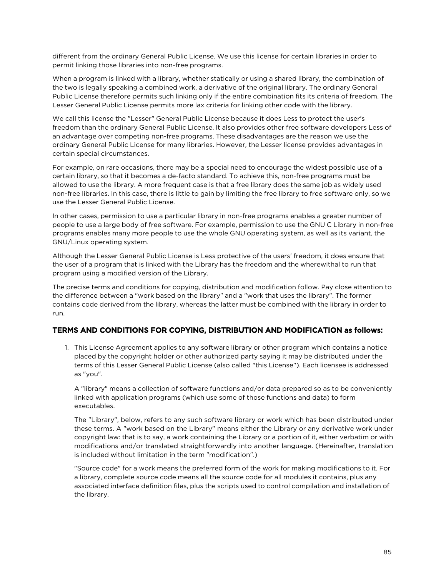different from the ordinary General Public License. We use this license for certain libraries in order to permit linking those libraries into non-free programs.

When a program is linked with a library, whether statically or using a shared library, the combination of the two is legally speaking a combined work, a derivative of the original library. The ordinary General Public License therefore permits such linking only if the entire combination fits its criteria of freedom. The Lesser General Public License permits more lax criteria for linking other code with the library.

We call this license the "Lesser" General Public License because it does Less to protect the user's freedom than the ordinary General Public License. It also provides other free software developers Less of an advantage over competing non-free programs. These disadvantages are the reason we use the ordinary General Public License for many libraries. However, the Lesser license provides advantages in certain special circumstances.

For example, on rare occasions, there may be a special need to encourage the widest possible use of a certain library, so that it becomes a de-facto standard. To achieve this, non-free programs must be allowed to use the library. A more frequent case is that a free library does the same job as widely used non-free libraries. In this case, there is little to gain by limiting the free library to free software only, so we use the Lesser General Public License.

In other cases, permission to use a particular library in non-free programs enables a greater number of people to use a large body of free software. For example, permission to use the GNU C Library in non-free programs enables many more people to use the whole GNU operating system, as well as its variant, the GNU/Linux operating system.

Although the Lesser General Public License is Less protective of the users' freedom, it does ensure that the user of a program that is linked with the Library has the freedom and the wherewithal to run that program using a modified version of the Library.

The precise terms and conditions for copying, distribution and modification follow. Pay close attention to the difference between a "work based on the library" and a "work that uses the library". The former contains code derived from the library, whereas the latter must be combined with the library in order to run.

#### TERMS AND CONDITIONS FOR COPYING, DISTRIBUTION AND MODIFICATION as follows:

1. This License Agreement applies to any software library or other program which contains a notice placed by the copyright holder or other authorized party saying it may be distributed under the terms of this Lesser General Public License (also called "this License"). Each licensee is addressed as "you".

A "library" means a collection of software functions and/or data prepared so as to be conveniently linked with application programs (which use some of those functions and data) to form executables.

The "Library", below, refers to any such software library or work which has been distributed under these terms. A "work based on the Library" means either the Library or any derivative work under copyright law: that is to say, a work containing the Library or a portion of it, either verbatim or with modifications and/or translated straightforwardly into another language. (Hereinafter, translation is included without limitation in the term "modification".)

"Source code" for a work means the preferred form of the work for making modifications to it. For a library, complete source code means all the source code for all modules it contains, plus any associated interface definition files, plus the scripts used to control compilation and installation of the library.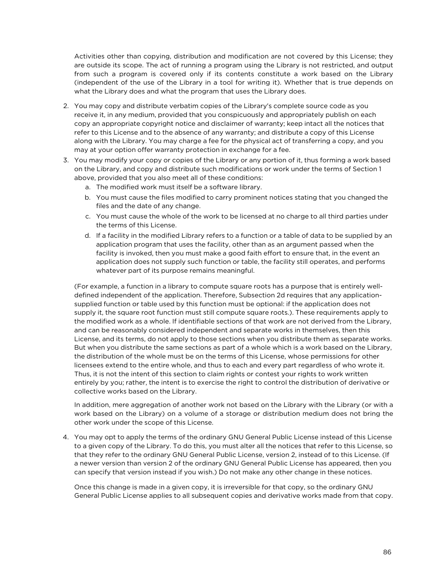Activities other than copying, distribution and modification are not covered by this License; they are outside its scope. The act of running a program using the Library is not restricted, and output from such a program is covered only if its contents constitute a work based on the Library (independent of the use of the Library in a tool for writing it). Whether that is true depends on what the Library does and what the program that uses the Library does.

- 2. You may copy and distribute verbatim copies of the Library's complete source code as you receive it, in any medium, provided that you conspicuously and appropriately publish on each copy an appropriate copyright notice and disclaimer of warranty; keep intact all the notices that refer to this License and to the absence of any warranty; and distribute a copy of this License along with the Library. You may charge a fee for the physical act of transferring a copy, and you may at your option offer warranty protection in exchange for a fee.
- 3. You may modify your copy or copies of the Library or any portion of it, thus forming a work based on the Library, and copy and distribute such modifications or work under the terms of Section 1 above, provided that you also meet all of these conditions:
	- a. The modified work must itself be a software library.
	- b. You must cause the files modified to carry prominent notices stating that you changed the files and the date of any change.
	- c. You must cause the whole of the work to be licensed at no charge to all third parties under the terms of this License.
	- d. If a facility in the modified Library refers to a function or a table of data to be supplied by an application program that uses the facility, other than as an argument passed when the facility is invoked, then you must make a good faith effort to ensure that, in the event an application does not supply such function or table, the facility still operates, and performs whatever part of its purpose remains meaningful.

(For example, a function in a library to compute square roots has a purpose that is entirely welldefined independent of the application. Therefore, Subsection 2d requires that any applicationsupplied function or table used by this function must be optional: if the application does not supply it, the square root function must still compute square roots.). These requirements apply to the modified work as a whole. If identifiable sections of that work are not derived from the Library, and can be reasonably considered independent and separate works in themselves, then this License, and its terms, do not apply to those sections when you distribute them as separate works. But when you distribute the same sections as part of a whole which is a work based on the Library, the distribution of the whole must be on the terms of this License, whose permissions for other licensees extend to the entire whole, and thus to each and every part regardless of who wrote it. Thus, it is not the intent of this section to claim rights or contest your rights to work written entirely by you; rather, the intent is to exercise the right to control the distribution of derivative or collective works based on the Library.

In addition, mere aggregation of another work not based on the Library with the Library (or with a work based on the Library) on a volume of a storage or distribution medium does not bring the other work under the scope of this License.

4. You may opt to apply the terms of the ordinary GNU General Public License instead of this License to a given copy of the Library. To do this, you must alter all the notices that refer to this License, so that they refer to the ordinary GNU General Public License, version 2, instead of to this License. (If a newer version than version 2 of the ordinary GNU General Public License has appeared, then you can specify that version instead if you wish.) Do not make any other change in these notices.

Once this change is made in a given copy, it is irreversible for that copy, so the ordinary GNU General Public License applies to all subsequent copies and derivative works made from that copy.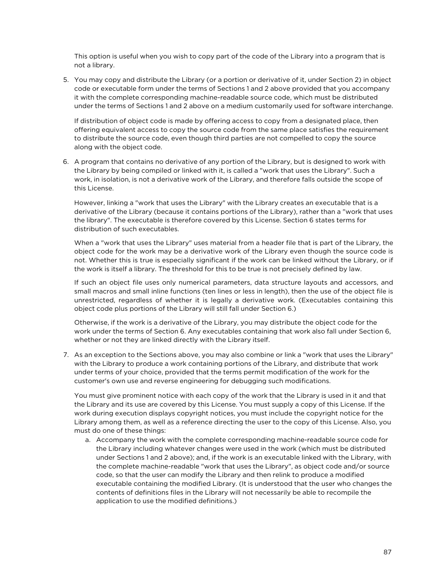This option is useful when you wish to copy part of the code of the Library into a program that is not a library.

5. You may copy and distribute the Library (or a portion or derivative of it, under Section 2) in object code or executable form under the terms of Sections 1 and 2 above provided that you accompany it with the complete corresponding machine-readable source code, which must be distributed under the terms of Sections 1 and 2 above on a medium customarily used for software interchange.

If distribution of object code is made by offering access to copy from a designated place, then offering equivalent access to copy the source code from the same place satisfies the requirement to distribute the source code, even though third parties are not compelled to copy the source along with the object code.

6. A program that contains no derivative of any portion of the Library, but is designed to work with the Library by being compiled or linked with it, is called a "work that uses the Library". Such a work, in isolation, is not a derivative work of the Library, and therefore falls outside the scope of this License.

However, linking a "work that uses the Library" with the Library creates an executable that is a derivative of the Library (because it contains portions of the Library), rather than a "work that uses the library". The executable is therefore covered by this License. Section 6 states terms for distribution of such executables.

When a "work that uses the Library" uses material from a header file that is part of the Library, the object code for the work may be a derivative work of the Library even though the source code is not. Whether this is true is especially significant if the work can be linked without the Library, or if the work is itself a library. The threshold for this to be true is not precisely defined by law.

If such an object file uses only numerical parameters, data structure layouts and accessors, and small macros and small inline functions (ten lines or less in length), then the use of the object file is unrestricted, regardless of whether it is legally a derivative work. (Executables containing this object code plus portions of the Library will still fall under Section 6.)

Otherwise, if the work is a derivative of the Library, you may distribute the object code for the work under the terms of Section 6. Any executables containing that work also fall under Section 6, whether or not they are linked directly with the Library itself.

7. As an exception to the Sections above, you may also combine or link a "work that uses the Library" with the Library to produce a work containing portions of the Library, and distribute that work under terms of your choice, provided that the terms permit modification of the work for the customer's own use and reverse engineering for debugging such modifications.

You must give prominent notice with each copy of the work that the Library is used in it and that the Library and its use are covered by this License. You must supply a copy of this License. If the work during execution displays copyright notices, you must include the copyright notice for the Library among them, as well as a reference directing the user to the copy of this License. Also, you must do one of these things:

a. Accompany the work with the complete corresponding machine-readable source code for the Library including whatever changes were used in the work (which must be distributed under Sections 1 and 2 above); and, if the work is an executable linked with the Library, with the complete machine-readable "work that uses the Library", as object code and/or source code, so that the user can modify the Library and then relink to produce a modified executable containing the modified Library. (It is understood that the user who changes the contents of definitions files in the Library will not necessarily be able to recompile the application to use the modified definitions.)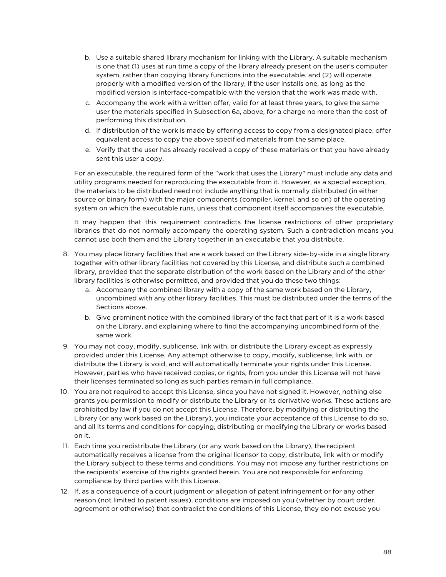- b. Use a suitable shared library mechanism for linking with the Library. A suitable mechanism is one that (1) uses at run time a copy of the library already present on the user's computer system, rather than copying library functions into the executable, and (2) will operate properly with a modified version of the library, if the user installs one, as long as the modified version is interface-compatible with the version that the work was made with.
- c. Accompany the work with a written offer, valid for at least three years, to give the same user the materials specified in Subsection 6a, above, for a charge no more than the cost of performing this distribution.
- d. If distribution of the work is made by offering access to copy from a designated place, offer equivalent access to copy the above specified materials from the same place.
- e. Verify that the user has already received a copy of these materials or that you have already sent this user a copy.

For an executable, the required form of the "work that uses the Library" must include any data and utility programs needed for reproducing the executable from it. However, as a special exception, the materials to be distributed need not include anything that is normally distributed (in either source or binary form) with the major components (compiler, kernel, and so on) of the operating system on which the executable runs, unless that component itself accompanies the executable.

It may happen that this requirement contradicts the license restrictions of other proprietary libraries that do not normally accompany the operating system. Such a contradiction means you cannot use both them and the Library together in an executable that you distribute.

- 8. You may place library facilities that are a work based on the Library side-by-side in a single library together with other library facilities not covered by this License, and distribute such a combined library, provided that the separate distribution of the work based on the Library and of the other library facilities is otherwise permitted, and provided that you do these two things:
	- a. Accompany the combined library with a copy of the same work based on the Library, uncombined with any other library facilities. This must be distributed under the terms of the Sections above.
	- b. Give prominent notice with the combined library of the fact that part of it is a work based on the Library, and explaining where to find the accompanying uncombined form of the same work.
- 9. You may not copy, modify, sublicense, link with, or distribute the Library except as expressly provided under this License. Any attempt otherwise to copy, modify, sublicense, link with, or distribute the Library is void, and will automatically terminate your rights under this License. However, parties who have received copies, or rights, from you under this License will not have their licenses terminated so long as such parties remain in full compliance.
- 10. You are not required to accept this License, since you have not signed it. However, nothing else grants you permission to modify or distribute the Library or its derivative works. These actions are prohibited by law if you do not accept this License. Therefore, by modifying or distributing the Library (or any work based on the Library), you indicate your acceptance of this License to do so, and all its terms and conditions for copying, distributing or modifying the Library or works based on it.
- 11. Each time you redistribute the Library (or any work based on the Library), the recipient automatically receives a license from the original licensor to copy, distribute, link with or modify the Library subject to these terms and conditions. You may not impose any further restrictions on the recipients' exercise of the rights granted herein. You are not responsible for enforcing compliance by third parties with this License.
- 12. If, as a consequence of a court judgment or allegation of patent infringement or for any other reason (not limited to patent issues), conditions are imposed on you (whether by court order, agreement or otherwise) that contradict the conditions of this License, they do not excuse you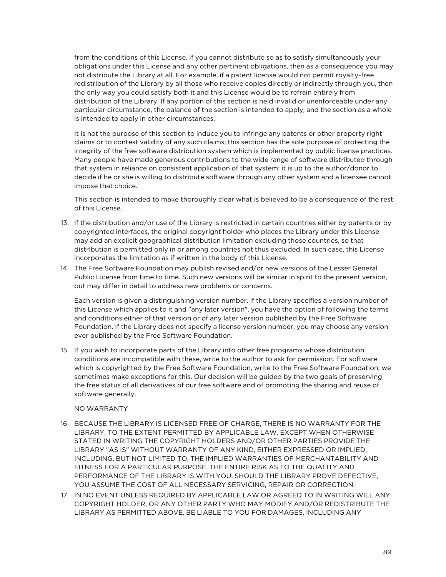from the conditions of this License. If you cannot distribute so as to satisfy simultaneously your obligations under this License and any other pertinent obligations, then as a consequence you may not distribute the Library at all. For example, if a patent license would not permit royalty-free redistribution of the Library by all those who receive copies directly or indirectly through you, then the only way you could satisfy both it and this License would be to refrain entirely from distribution of the Library. If any portion of this section is held invalid or unenforceable under any particular circumstance, the balance of the section is intended to apply, and the section as a whole is intended to apply in other circumstances.

It is not the purpose of this section to induce you to infringe any patents or other property right claims or to contest validity of any such claims; this section has the sole purpose of protecting the integrity of the free software distribution system which is implemented by public license practices. Many people have made generous contributions to the wide range of software distributed through that system in reliance on consistent application of that system; it is up to the author/donor to decide if he or she is willing to distribute software through any other system and a licensee cannot impose that choice.

This section is intended to make thoroughly clear what is believed to be a consequence of the rest of this License.

- 13. If the distribution and/or use of the Library is restricted in certain countries either by patents or by copyrighted interfaces, the original copyright holder who places the Library under this License may add an explicit geographical distribution limitation excluding those countries, so that distribution is permitted only in or among countries not thus excluded. In such case, this License incorporates the limitation as if written in the body of this License.
- 14. The Free Software Foundation may publish revised and/or new versions of the Lesser General Public License from time to time. Such new versions will be similar in spirit to the present version, but may differ in detail to address new problems or concerns.

Each version is given a distinguishing version number. If the Library specifies a version number of this License which applies to it and "any later version", you have the option of following the terms and conditions either of that version or of any later version published by the Free Software Foundation. If the Library does not specify a license version number, you may choose any version ever published by the Free Software Foundation.

15. If you wish to incorporate parts of the Library into other free programs whose distribution conditions are incompatible with these, write to the author to ask for permission. For software which is copyrighted by the Free Software Foundation, write to the Free Software Foundation; we sometimes make exceptions for this. Our decision will be guided by the two goals of preserving the free status of all derivatives of our free software and of promoting the sharing and reuse of software generally.

#### NO WARRANTY

- 16. BECAUSE THE LIBRARY IS LICENSED FREE OF CHARGE, THERE IS NO WARRANTY FOR THE LIBRARY, TO THE EXTENT PERMITTED BY APPLICABLE LAW. EXCEPT WHEN OTHERWISE STATED IN WRITING THE COPYRIGHT HOLDERS AND/OR OTHER PARTIES PROVIDE THE LIBRARY "AS IS" WITHOUT WARRANTY OF ANY KIND, EITHER EXPRESSED OR IMPLIED, INCLUDING, BUT NOT LIMITED TO, THE IMPLIED WARRANTIES OF MERCHANTABILITY AND FITNESS FOR A PARTICULAR PURPOSE. THE ENTIRE RISK AS TO THE QUALITY AND PERFORMANCE OF THE LIBRARY IS WITH YOU. SHOULD THE LIBRARY PROVE DEFECTIVE, YOU ASSUME THE COST OF ALL NECESSARY SERVICING, REPAIR OR CORRECTION.
- 17. IN NO EVENT UNLESS REQUIRED BY APPLICABLE LAW OR AGREED TO IN WRITING WILL ANY COPYRIGHT HOLDER, OR ANY OTHER PARTY WHO MAY MODIFY AND/OR REDISTRIBUTE THE LIBRARY AS PERMITTED ABOVE, BE LIABLE TO YOU FOR DAMAGES, INCLUDING ANY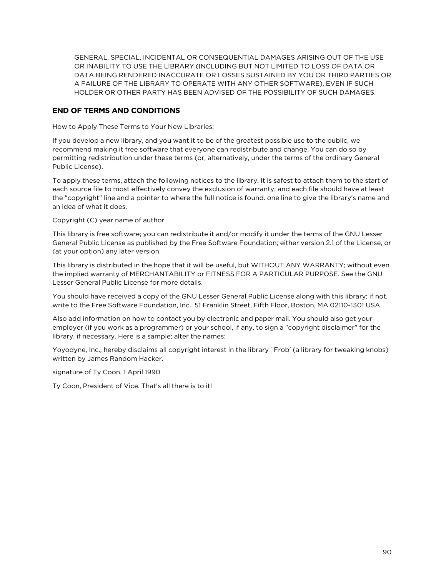GENERAL, SPECIAL, INCIDENTAL OR CONSEQUENTIAL DAMAGES ARISING OUT OF THE USE OR INABILITY TO USE THE LIBRARY (INCLUDING BUT NOT LIMITED TO LOSS OF DATA OR DATA BEING RENDERED INACCURATE OR LOSSES SUSTAINED BY YOU OR THIRD PARTIES OR A FAILURE OF THE LIBRARY TO OPERATE WITH ANY OTHER SOFTWARE), EVEN IF SUCH HOLDER OR OTHER PARTY HAS BEEN ADVISED OF THE POSSIBILITY OF SUCH DAMAGES.

#### END OF TERMS AND CONDITIONS

How to Apply These Terms to Your New Libraries:

If you develop a new library, and you want it to be of the greatest possible use to the public, we recommend making it free software that everyone can redistribute and change. You can do so by permitting redistribution under these terms (or, alternatively, under the terms of the ordinary General Public License).

To apply these terms, attach the following notices to the library. It is safest to attach them to the start of each source file to most effectively convey the exclusion of warranty; and each file should have at least the "copyright" line and a pointer to where the full notice is found. one line to give the library's name and an idea of what it does.

Copyright (C) year name of author

This library is free software; you can redistribute it and/or modify it under the terms of the GNU Lesser General Public License as published by the Free Software Foundation; either version 2.1 of the License, or (at your option) any later version.

This library is distributed in the hope that it will be useful, but WITHOUT ANY WARRANTY; without even the implied warranty of MERCHANTABILITY or FITNESS FOR A PARTICULAR PURPOSE. See the GNU Lesser General Public License for more details.

You should have received a copy of the GNU Lesser General Public License along with this library; if not, write to the Free Software Foundation, Inc., 51 Franklin Street, Fifth Floor, Boston, MA 02110-1301 USA

Also add information on how to contact you by electronic and paper mail. You should also get your employer (if you work as a programmer) or your school, if any, to sign a "copyright disclaimer" for the library, if necessary. Here is a sample; alter the names:

Yoyodyne, Inc., hereby disclaims all copyright interest in the library `Frob' (a library for tweaking knobs) written by James Random Hacker.

signature of Ty Coon, 1 April 1990

Ty Coon, President of Vice. That's all there is to it!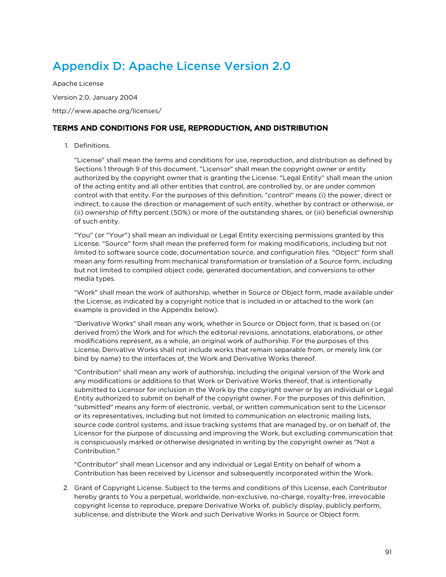# Appendix D: Apache License Version 2.0

Apache License

Version 2.0, January 2004

http://www.apache.org/licenses/

#### TERMS AND CONDITIONS FOR USE, REPRODUCTION, AND DISTRIBUTION

#### 1. Definitions.

"License" shall mean the terms and conditions for use, reproduction, and distribution as defined by Sections 1 through 9 of this document. "Licensor" shall mean the copyright owner or entity authorized by the copyright owner that is granting the License. "Legal Entity" shall mean the union of the acting entity and all other entities that control, are controlled by, or are under common control with that entity. For the purposes of this definition, "control" means (i) the power, direct or indirect, to cause the direction or management of such entity, whether by contract or otherwise, or (ii) ownership of fifty percent (50%) or more of the outstanding shares, or (iii) beneficial ownership of such entity.

"You" (or "Your") shall mean an individual or Legal Entity exercising permissions granted by this License. "Source" form shall mean the preferred form for making modifications, including but not limited to software source code, documentation source, and configuration files. "Object" form shall mean any form resulting from mechanical transformation or translation of a Source form, including but not limited to compiled object code, generated documentation, and conversions to other media types.

"Work" shall mean the work of authorship, whether in Source or Object form, made available under the License, as indicated by a copyright notice that is included in or attached to the work (an example is provided in the Appendix below).

"Derivative Works" shall mean any work, whether in Source or Object form, that is based on (or derived from) the Work and for which the editorial revisions, annotations, elaborations, or other modifications represent, as a whole, an original work of authorship. For the purposes of this License, Derivative Works shall not include works that remain separable from, or merely link (or bind by name) to the interfaces of, the Work and Derivative Works thereof.

"Contribution" shall mean any work of authorship, including the original version of the Work and any modifications or additions to that Work or Derivative Works thereof, that is intentionally submitted to Licensor for inclusion in the Work by the copyright owner or by an individual or Legal Entity authorized to submit on behalf of the copyright owner. For the purposes of this definition, "submitted" means any form of electronic, verbal, or written communication sent to the Licensor or its representatives, including but not limited to communication on electronic mailing lists, source code control systems, and issue tracking systems that are managed by, or on behalf of, the Licensor for the purpose of discussing and improving the Work, but excluding communication that is conspicuously marked or otherwise designated in writing by the copyright owner as "Not a Contribution."

"Contributor" shall mean Licensor and any individual or Legal Entity on behalf of whom a Contribution has been received by Licensor and subsequently incorporated within the Work.

2. Grant of Copyright License. Subject to the terms and conditions of this License, each Contributor hereby grants to You a perpetual, worldwide, non-exclusive, no-charge, royalty-free, irrevocable copyright license to reproduce, prepare Derivative Works of, publicly display, publicly perform, sublicense, and distribute the Work and such Derivative Works in Source or Object form.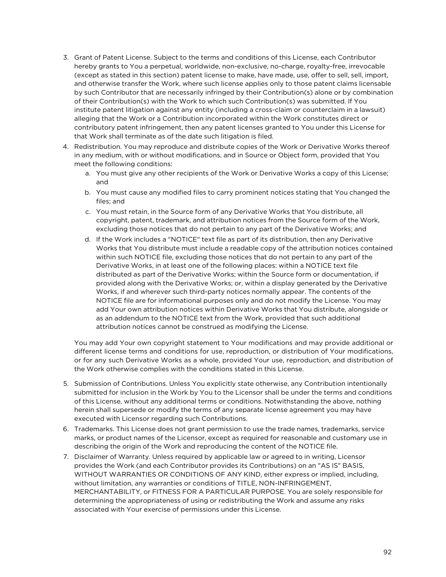- 3. Grant of Patent License. Subject to the terms and conditions of this License, each Contributor hereby grants to You a perpetual, worldwide, non-exclusive, no-charge, royalty-free, irrevocable (except as stated in this section) patent license to make, have made, use, offer to sell, sell, import, and otherwise transfer the Work, where such license applies only to those patent claims licensable by such Contributor that are necessarily infringed by their Contribution(s) alone or by combination of their Contribution(s) with the Work to which such Contribution(s) was submitted. If You institute patent litigation against any entity (including a cross-claim or counterclaim in a lawsuit) alleging that the Work or a Contribution incorporated within the Work constitutes direct or contributory patent infringement, then any patent licenses granted to You under this License for that Work shall terminate as of the date such litigation is filed.
- 4. Redistribution. You may reproduce and distribute copies of the Work or Derivative Works thereof in any medium, with or without modifications, and in Source or Object form, provided that You meet the following conditions:
	- a. You must give any other recipients of the Work or Derivative Works a copy of this License; and
	- b. You must cause any modified files to carry prominent notices stating that You changed the files; and
	- c. You must retain, in the Source form of any Derivative Works that You distribute, all copyright, patent, trademark, and attribution notices from the Source form of the Work, excluding those notices that do not pertain to any part of the Derivative Works; and
	- d. If the Work includes a "NOTICE" text file as part of its distribution, then any Derivative Works that You distribute must include a readable copy of the attribution notices contained within such NOTICE file, excluding those notices that do not pertain to any part of the Derivative Works, in at least one of the following places: within a NOTICE text file distributed as part of the Derivative Works; within the Source form or documentation, if provided along with the Derivative Works; or, within a display generated by the Derivative Works, if and wherever such third-party notices normally appear. The contents of the NOTICE file are for informational purposes only and do not modify the License. You may add Your own attribution notices within Derivative Works that You distribute, alongside or as an addendum to the NOTICE text from the Work, provided that such additional attribution notices cannot be construed as modifying the License.

You may add Your own copyright statement to Your modifications and may provide additional or different license terms and conditions for use, reproduction, or distribution of Your modifications, or for any such Derivative Works as a whole, provided Your use, reproduction, and distribution of the Work otherwise complies with the conditions stated in this License.

- 5. Submission of Contributions. Unless You explicitly state otherwise, any Contribution intentionally submitted for inclusion in the Work by You to the Licensor shall be under the terms and conditions of this License, without any additional terms or conditions. Notwithstanding the above, nothing herein shall supersede or modify the terms of any separate license agreement you may have executed with Licensor regarding such Contributions.
- 6. Trademarks. This License does not grant permission to use the trade names, trademarks, service marks, or product names of the Licensor, except as required for reasonable and customary use in describing the origin of the Work and reproducing the content of the NOTICE file.
- 7. Disclaimer of Warranty. Unless required by applicable law or agreed to in writing, Licensor provides the Work (and each Contributor provides its Contributions) on an "AS IS" BASIS, WITHOUT WARRANTIES OR CONDITIONS OF ANY KIND, either express or implied, including, without limitation, any warranties or conditions of TITLE, NON-INFRINGEMENT, MERCHANTABILITY, or FITNESS FOR A PARTICULAR PURPOSE. You are solely responsible for determining the appropriateness of using or redistributing the Work and assume any risks associated with Your exercise of permissions under this License.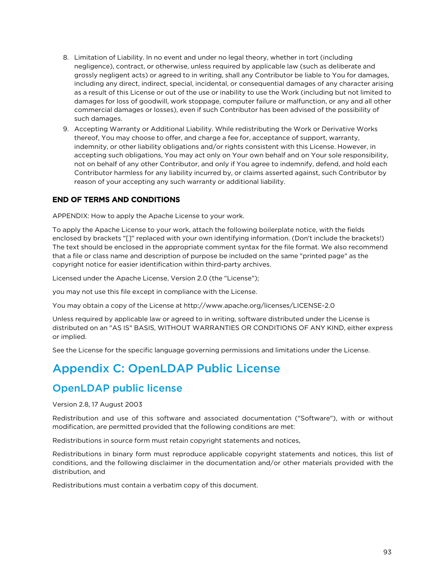- 8. Limitation of Liability. In no event and under no legal theory, whether in tort (including negligence), contract, or otherwise, unless required by applicable law (such as deliberate and grossly negligent acts) or agreed to in writing, shall any Contributor be liable to You for damages, including any direct, indirect, special, incidental, or consequential damages of any character arising as a result of this License or out of the use or inability to use the Work (including but not limited to damages for loss of goodwill, work stoppage, computer failure or malfunction, or any and all other commercial damages or losses), even if such Contributor has been advised of the possibility of such damages.
- 9. Accepting Warranty or Additional Liability. While redistributing the Work or Derivative Works thereof, You may choose to offer, and charge a fee for, acceptance of support, warranty, indemnity, or other liability obligations and/or rights consistent with this License. However, in accepting such obligations, You may act only on Your own behalf and on Your sole responsibility, not on behalf of any other Contributor, and only if You agree to indemnify, defend, and hold each Contributor harmless for any liability incurred by, or claims asserted against, such Contributor by reason of your accepting any such warranty or additional liability.

#### END OF TERMS AND CONDITIONS

APPENDIX: How to apply the Apache License to your work.

To apply the Apache License to your work, attach the following boilerplate notice, with the fields enclosed by brackets "[]" replaced with your own identifying information. (Don't include the brackets!) The text should be enclosed in the appropriate comment syntax for the file format. We also recommend that a file or class name and description of purpose be included on the same "printed page" as the copyright notice for easier identification within third-party archives.

Licensed under the Apache License, Version 2.0 (the "License");

you may not use this file except in compliance with the License.

You may obtain a copy of the License at http://www.apache.org/licenses/LICENSE-2.0

Unless required by applicable law or agreed to in writing, software distributed under the License is distributed on an "AS IS" BASIS, WITHOUT WARRANTIES OR CONDITIONS OF ANY KIND, either express or implied.

See the License for the specific language governing permissions and limitations under the License.

## Appendix C: OpenLDAP Public License

### OpenLDAP public license

Version 2.8, 17 August 2003

Redistribution and use of this software and associated documentation ("Software"), with or without modification, are permitted provided that the following conditions are met:

Redistributions in source form must retain copyright statements and notices,

Redistributions in binary form must reproduce applicable copyright statements and notices, this list of conditions, and the following disclaimer in the documentation and/or other materials provided with the distribution, and

Redistributions must contain a verbatim copy of this document.